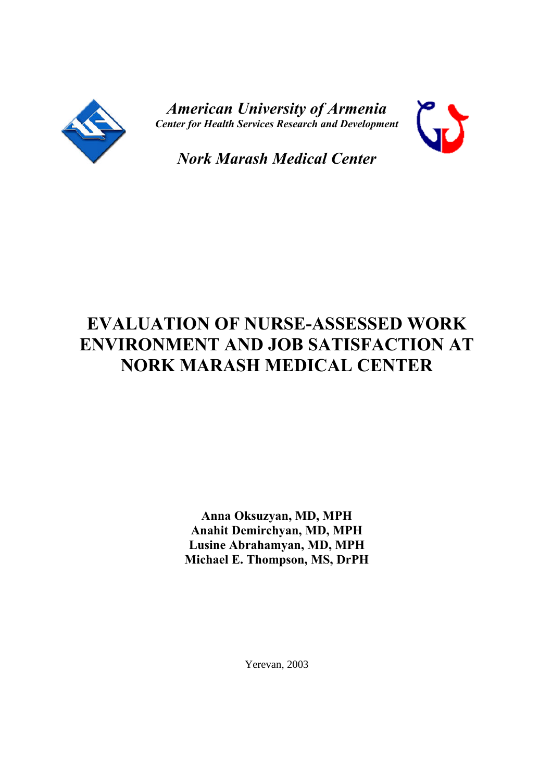

*American University of Armenia Center for Health Services Research and Development*



*Nork Marash Medical Center*

# **EVALUATION OF NURSE-ASSESSED WORK ENVIRONMENT AND JOB SATISFACTION AT NORK MARASH MEDICAL CENTER**

**Anna Oksuzyan, MD, MPH Anahit Demirchyan, MD, MPH Lusine Abrahamyan, MD, MPH Michael E. Thompson, MS, DrPH**

Yerevan, 2003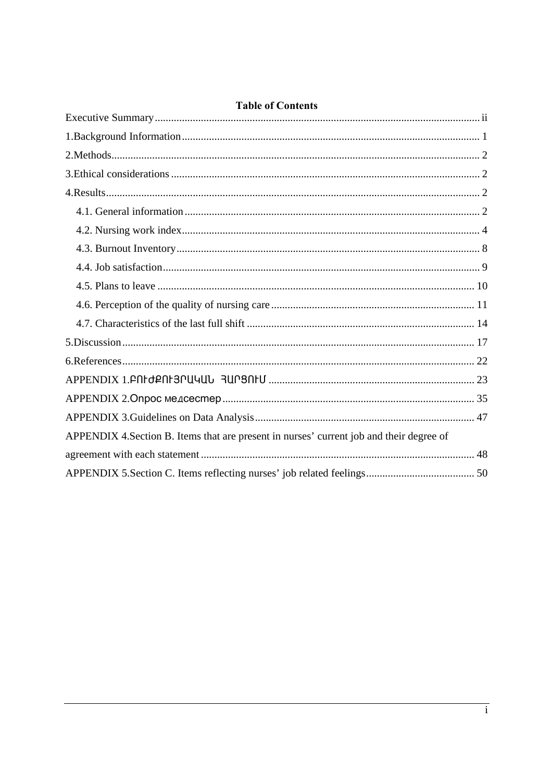| <b>TADIE OF CONTENTS</b>                                                                 |
|------------------------------------------------------------------------------------------|
|                                                                                          |
|                                                                                          |
|                                                                                          |
|                                                                                          |
|                                                                                          |
|                                                                                          |
|                                                                                          |
|                                                                                          |
|                                                                                          |
|                                                                                          |
|                                                                                          |
|                                                                                          |
|                                                                                          |
|                                                                                          |
|                                                                                          |
|                                                                                          |
| APPENDIX 4. Section B. Items that are present in nurses' current job and their degree of |
|                                                                                          |
|                                                                                          |

## Table of Contents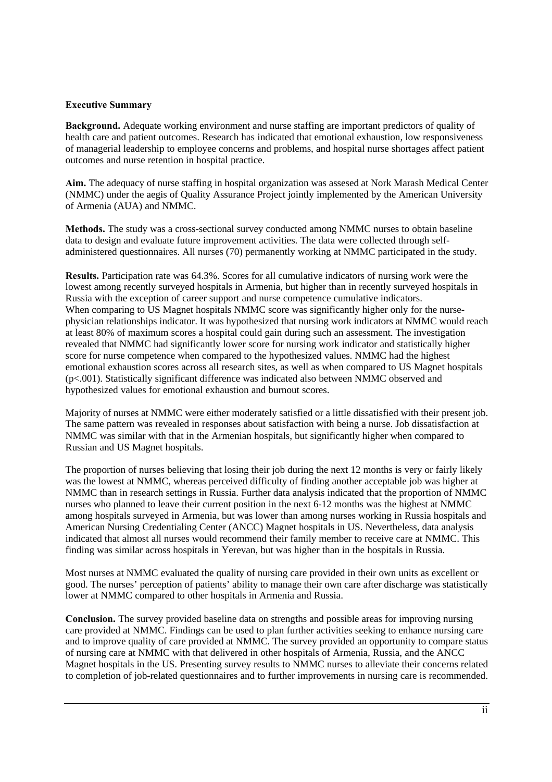#### **Executive Summary**

**Background.** Adequate working environment and nurse staffing are important predictors of quality of health care and patient outcomes. Research has indicated that emotional exhaustion, low responsiveness of managerial leadership to employee concerns and problems, and hospital nurse shortages affect patient outcomes and nurse retention in hospital practice.

**Aim.** The adequacy of nurse staffing in hospital organization was assesed at Nork Marash Medical Center (NMMC) under the aegis of Quality Assurance Project jointly implemented by the American University of Armenia (AUA) and NMMC.

**Methods.** The study was a cross-sectional survey conducted among NMMC nurses to obtain baseline data to design and evaluate future improvement activities. The data were collected through selfadministered questionnaires. All nurses (70) permanently working at NMMC participated in the study.

**Results.** Participation rate was 64.3%. Scores for all cumulative indicators of nursing work were the lowest among recently surveyed hospitals in Armenia, but higher than in recently surveyed hospitals in Russia with the exception of career support and nurse competence cumulative indicators. When comparing to US Magnet hospitals NMMC score was significantly higher only for the nursephysician relationships indicator. It was hypothesized that nursing work indicators at NMMC would reach at least 80% of maximum scores a hospital could gain during such an assessment. The investigation revealed that NMMC had significantly lower score for nursing work indicator and statistically higher score for nurse competence when compared to the hypothesized values. NMMC had the highest emotional exhaustion scores across all research sites, as well as when compared to US Magnet hospitals (p<.001). Statistically significant difference was indicated also between NMMC observed and hypothesized values for emotional exhaustion and burnout scores.

Majority of nurses at NMMC were either moderately satisfied or a little dissatisfied with their present job. The same pattern was revealed in responses about satisfaction with being a nurse. Job dissatisfaction at NMMC was similar with that in the Armenian hospitals, but significantly higher when compared to Russian and US Magnet hospitals.

The proportion of nurses believing that losing their job during the next 12 months is very or fairly likely was the lowest at NMMC, whereas perceived difficulty of finding another acceptable job was higher at NMMC than in research settings in Russia. Further data analysis indicated that the proportion of NMMC nurses who planned to leave their current position in the next 6-12 months was the highest at NMMC among hospitals surveyed in Armenia, but was lower than among nurses working in Russia hospitals and American Nursing Credentialing Center (ANCC) Magnet hospitals in US. Nevertheless, data analysis indicated that almost all nurses would recommend their family member to receive care at NMMC. This finding was similar across hospitals in Yerevan, but was higher than in the hospitals in Russia.

Most nurses at NMMC evaluated the quality of nursing care provided in their own units as excellent or good. The nurses' perception of patients' ability to manage their own care after discharge was statistically lower at NMMC compared to other hospitals in Armenia and Russia.

**Conclusion.** The survey provided baseline data on strengths and possible areas for improving nursing care provided at NMMC. Findings can be used to plan further activities seeking to enhance nursing care and to improve quality of care provided at NMMC. The survey provided an opportunity to compare status of nursing care at NMMC with that delivered in other hospitals of Armenia, Russia, and the ANCC Magnet hospitals in the US. Presenting survey results to NMMC nurses to alleviate their concerns related to completion of job-related questionnaires and to further improvements in nursing care is recommended.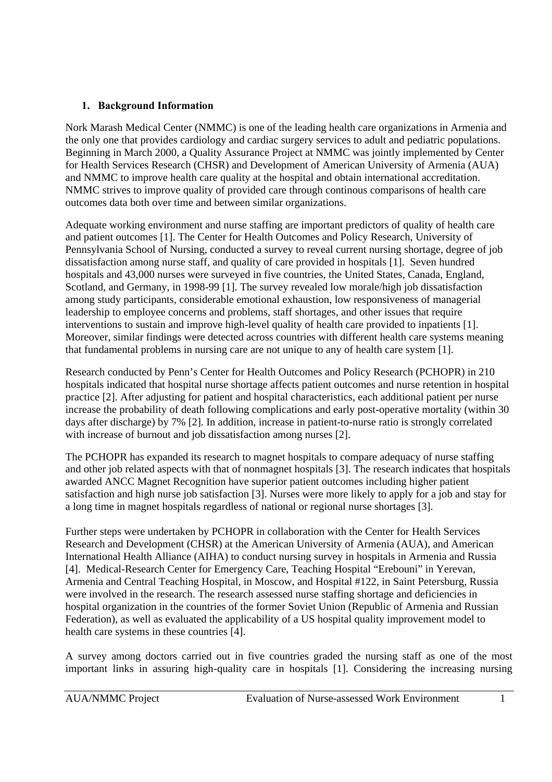## **1. Background Information**

Nork Marash Medical Center (NMMC) is one of the leading health care organizations in Armenia and the only one that provides cardiology and cardiac surgery services to adult and pediatric populations. Beginning in March 2000, a Quality Assurance Project at NMMC was jointly implemented by Center for Health Services Research (CHSR) and Development of American University of Armenia (AUA) and NMMC to improve health care quality at the hospital and obtain international accreditation. NMMC strives to improve quality of provided care through continous comparisons of health care outcomes data both over time and between similar organizations.

Adequate working environment and nurse staffing are important predictors of quality of health care and patient outcomes [1]. The Center for Health Outcomes and Policy Research, University of Pennsylvania School of Nursing, conducted a survey to reveal current nursing shortage, degree of job dissatisfaction among nurse staff, and quality of care provided in hospitals [1]. Seven hundred hospitals and 43,000 nurses were surveyed in five countries, the United States, Canada, England, Scotland, and Germany, in 1998-99 [1]. The survey revealed low morale/high job dissatisfaction among study participants, considerable emotional exhaustion, low responsiveness of managerial leadership to employee concerns and problems, staff shortages, and other issues that require interventions to sustain and improve high-level quality of health care provided to inpatients [1]. Moreover, similar findings were detected across countries with different health care systems meaning that fundamental problems in nursing care are not unique to any of health care system [1].

Research conducted by Penn's Center for Health Outcomes and Policy Research (PCHOPR) in 210 hospitals indicated that hospital nurse shortage affects patient outcomes and nurse retention in hospital practice [2]. After adjusting for patient and hospital characteristics, each additional patient per nurse increase the probability of death following complications and early post-operative mortality (within 30 days after discharge) by 7% [2]. In addition, increase in patient-to-nurse ratio is strongly correlated with increase of burnout and job dissatisfaction among nurses [2].

The PCHOPR has expanded its research to magnet hospitals to compare adequacy of nurse staffing and other job related aspects with that of nonmagnet hospitals [3]. The research indicates that hospitals awarded ANCC Magnet Recognition have superior patient outcomes including higher patient satisfaction and high nurse job satisfaction [3]. Nurses were more likely to apply for a job and stay for a long time in magnet hospitals regardless of national or regional nurse shortages [3].

Further steps were undertaken by PCHOPR in collaboration with the Center for Health Services Research and Development (CHSR) at the American University of Armenia (AUA), and American International Health Alliance (AIHA) to conduct nursing survey in hospitals in Armenia and Russia [4]. Medical-Research Center for Emergency Care, Teaching Hospital "Erebouni" in Yerevan, Armenia and Central Teaching Hospital, in Moscow, and Hospital #122, in Saint Petersburg, Russia were involved in the research. The research assessed nurse staffing shortage and deficiencies in hospital organization in the countries of the former Soviet Union (Republic of Armenia and Russian Federation), as well as evaluated the applicability of a US hospital quality improvement model to health care systems in these countries [4].

A survey among doctors carried out in five countries graded the nursing staff as one of the most important links in assuring high-quality care in hospitals [1]. Considering the increasing nursing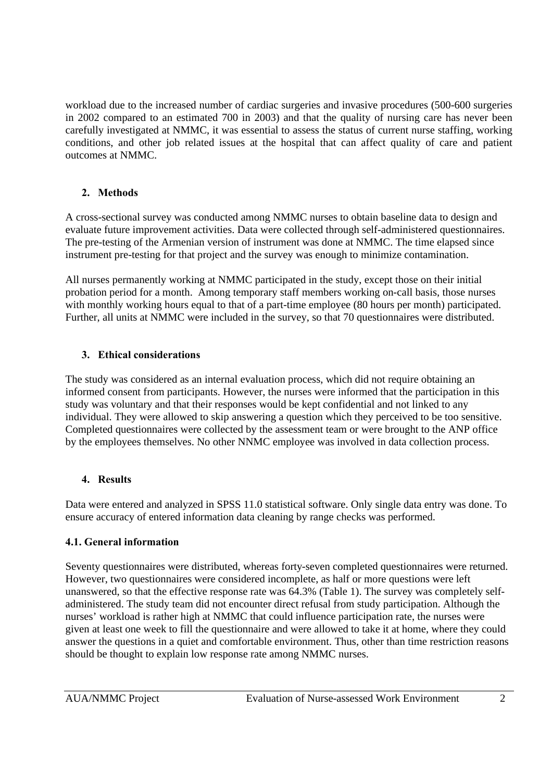workload due to the increased number of cardiac surgeries and invasive procedures (500-600 surgeries in 2002 compared to an estimated 700 in 2003) and that the quality of nursing care has never been carefully investigated at NMMC, it was essential to assess the status of current nurse staffing, working conditions, and other job related issues at the hospital that can affect quality of care and patient outcomes at NMMC.

## **2. Methods**

A cross-sectional survey was conducted among NMMC nurses to obtain baseline data to design and evaluate future improvement activities. Data were collected through self-administered questionnaires. The pre-testing of the Armenian version of instrument was done at NMMC. The time elapsed since instrument pre-testing for that project and the survey was enough to minimize contamination.

All nurses permanently working at NMMC participated in the study, except those on their initial probation period for a month. Among temporary staff members working on-call basis, those nurses with monthly working hours equal to that of a part-time employee (80 hours per month) participated. Further, all units at NMMC were included in the survey, so that 70 questionnaires were distributed.

## **3. Ethical considerations**

The study was considered as an internal evaluation process, which did not require obtaining an informed consent from participants. However, the nurses were informed that the participation in this study was voluntary and that their responses would be kept confidential and not linked to any individual. They were allowed to skip answering a question which they perceived to be too sensitive. Completed questionnaires were collected by the assessment team or were brought to the ANP office by the employees themselves. No other NNMC employee was involved in data collection process.

## **4. Results**

Data were entered and analyzed in SPSS 11.0 statistical software. Only single data entry was done. To ensure accuracy of entered information data cleaning by range checks was performed.

## **4.1. General information**

Seventy questionnaires were distributed, whereas forty-seven completed questionnaires were returned. However, two questionnaires were considered incomplete, as half or more questions were left unanswered, so that the effective response rate was 64.3% (Table 1). The survey was completely selfadministered. The study team did not encounter direct refusal from study participation. Although the nurses' workload is rather high at NMMC that could influence participation rate, the nurses were given at least one week to fill the questionnaire and were allowed to take it at home, where they could answer the questions in a quiet and comfortable environment. Thus, other than time restriction reasons should be thought to explain low response rate among NMMC nurses.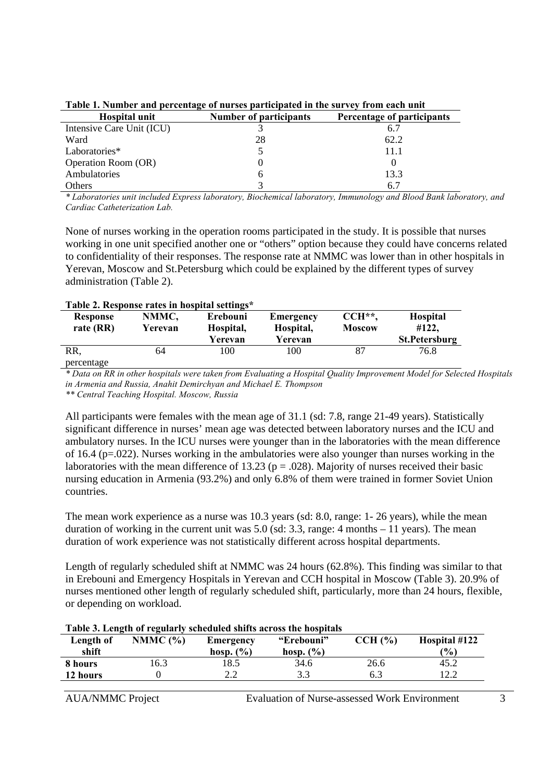| Hospital unit             | Number of participants | Percentage of participants |  |  |  |  |  |
|---------------------------|------------------------|----------------------------|--|--|--|--|--|
| Intensive Care Unit (ICU) |                        | 6.7                        |  |  |  |  |  |
| Ward                      | 28                     | 62.2                       |  |  |  |  |  |
| Laboratories*             |                        | 11.1                       |  |  |  |  |  |
| Operation Room (OR)       |                        |                            |  |  |  |  |  |
| Ambulatories              | h                      | 13.3                       |  |  |  |  |  |
| <b>Others</b>             |                        |                            |  |  |  |  |  |

| Table 1. Number and percentage of nurses participated in the survey from each unit |
|------------------------------------------------------------------------------------|
|------------------------------------------------------------------------------------|

*\* Laboratories unit included Express laboratory, Biochemical laboratory, Immunology and Blood Bank laboratory, and Cardiac Catheterization Lab.* 

None of nurses working in the operation rooms participated in the study. It is possible that nurses working in one unit specified another one or "others" option because they could have concerns related to confidentiality of their responses. The response rate at NMMC was lower than in other hospitals in Yerevan, Moscow and St.Petersburg which could be explained by the different types of survey administration (Table 2).

|                 | Table 2. Response rates in hospital settings |           |                  |               |                      |
|-----------------|----------------------------------------------|-----------|------------------|---------------|----------------------|
| <b>Response</b> | NMMC,                                        | Erebouni  | <b>Emergency</b> | $CCH**$       | <b>Hospital</b>      |
| rate (RR)       | Yerevan                                      | Hospital, | Hospital,        | <b>Moscow</b> | #122,                |
|                 |                                              | Yerevan   | Yerevan          |               | <b>St.Petersburg</b> |
| RR,             | 64                                           | 100       | 100              | 87            | 76.8                 |
| percentage      |                                              |           |                  |               |                      |

#### **Table 2. Response rates in hospital settings\***

*\* Data on RR in other hospitals were taken from Evaluating a Hospital Quality Improvement Model for Selected Hospitals in Armenia and Russia, Anahit Demirchyan and Michael E. Thompson* 

*\*\* Central Teaching Hospital. Moscow, Russia*

All participants were females with the mean age of 31.1 (sd: 7.8, range 21-49 years). Statistically significant difference in nurses' mean age was detected between laboratory nurses and the ICU and ambulatory nurses. In the ICU nurses were younger than in the laboratories with the mean difference of 16.4 (p=.022). Nurses working in the ambulatories were also younger than nurses working in the laboratories with the mean difference of 13.23 ( $p = .028$ ). Majority of nurses received their basic nursing education in Armenia (93.2%) and only 6.8% of them were trained in former Soviet Union countries.

The mean work experience as a nurse was 10.3 years (sd: 8.0, range: 1- 26 years), while the mean duration of working in the current unit was 5.0 (sd: 3.3, range: 4 months – 11 years). The mean duration of work experience was not statistically different across hospital departments.

Length of regularly scheduled shift at NMMC was 24 hours (62.8%). This finding was similar to that in Erebouni and Emergency Hospitals in Yerevan and CCH hospital in Moscow (Table 3). 20.9% of nurses mentioned other length of regularly scheduled shift, particularly, more than 24 hours, flexible, or depending on workload.

| Table 3. Length of regularly scheduled shifts across the hospitals |            |               |               |         |               |  |  |
|--------------------------------------------------------------------|------------|---------------|---------------|---------|---------------|--|--|
| Length of                                                          | NMMC $(%)$ | Emergency     | "Erebouni"    | CCH (%) | Hospital #122 |  |  |
| shift                                                              |            | hosp. $(\% )$ | hosp. $(\% )$ |         | (%)           |  |  |
| 8 hours                                                            | .6.3       | 18.5          | 34.6          | 26.6    | 45.2          |  |  |
| 12 hours                                                           |            | っっ            | 3.3           | 6.3     | 12.2          |  |  |

#### **Table 3. Length of regularly scheduled shifts across the hospitals**

AUA/NMMC Project Evaluation of Nurse-assessed Work Environment 3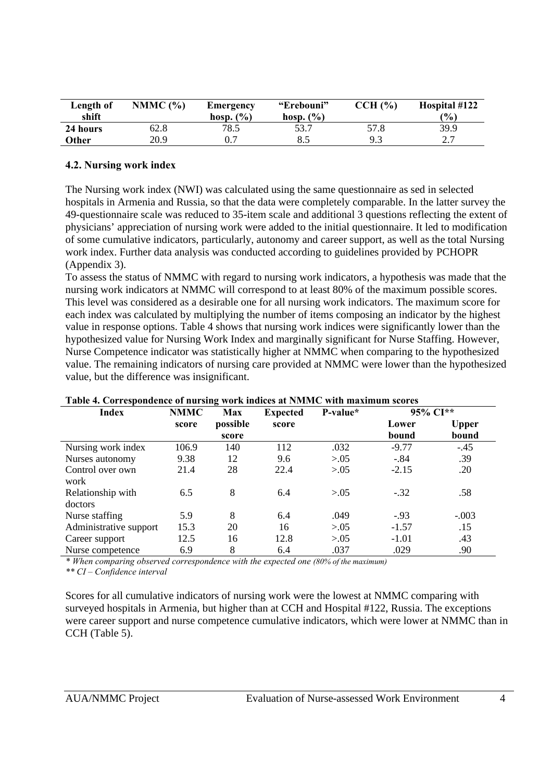| Length of<br>shift | NMMC $(%)$ | Emergency<br>hosp. $(\% )$ | "Erebouni"<br>hosp. $(\% )$ | CCH (%) | Hospital #122<br>(%) |
|--------------------|------------|----------------------------|-----------------------------|---------|----------------------|
| 24 hours           | 62.8       | 78.5                       | 53.7                        | 57.8    | 39.9                 |
| Other              | 20.9       | 0.7                        | 8.5                         | 9.3     | <u>າ 7</u>           |

#### **4.2. Nursing work index**

The Nursing work index (NWI) was calculated using the same questionnaire as sed in selected hospitals in Armenia and Russia, so that the data were completely comparable. In the latter survey the 49-questionnaire scale was reduced to 35-item scale and additional 3 questions reflecting the extent of physicians' appreciation of nursing work were added to the initial questionnaire. It led to modification of some cumulative indicators, particularly, autonomy and career support, as well as the total Nursing work index. Further data analysis was conducted according to guidelines provided by PCHOPR (Appendix 3).

To assess the status of NMMC with regard to nursing work indicators, a hypothesis was made that the nursing work indicators at NMMC will correspond to at least 80% of the maximum possible scores. This level was considered as a desirable one for all nursing work indicators. The maximum score for each index was calculated by multiplying the number of items composing an indicator by the highest value in response options. Table 4 shows that nursing work indices were significantly lower than the hypothesized value for Nursing Work Index and marginally significant for Nurse Staffing. However, Nurse Competence indicator was statistically higher at NMMC when comparing to the hypothesized value. The remaining indicators of nursing care provided at NMMC were lower than the hypothesized value, but the difference was insignificant.

| Table 4. Correspondence of harsing work marces at Furture with maximum seores |             |            |                 |          |          |              |  |
|-------------------------------------------------------------------------------|-------------|------------|-----------------|----------|----------|--------------|--|
| <b>Index</b>                                                                  | <b>NMMC</b> | <b>Max</b> | <b>Expected</b> | P-value* | 95% CI** |              |  |
|                                                                               | score       | possible   | score           |          | Lower    | <b>Upper</b> |  |
|                                                                               |             | score      |                 |          | bound    | bound        |  |
| Nursing work index                                                            | 106.9       | 140        | 112             | .032     | $-9.77$  | $-.45$       |  |
| Nurses autonomy                                                               | 9.38        | 12         | 9.6             | > 0.05   | $-.84$   | .39          |  |
| Control over own                                                              | 21.4        | 28         | 22.4            | > 0.05   | $-2.15$  | .20          |  |
| work                                                                          |             |            |                 |          |          |              |  |
| Relationship with                                                             | 6.5         | 8          | 6.4             | > 0.05   | $-.32$   | .58          |  |
| doctors                                                                       |             |            |                 |          |          |              |  |
| Nurse staffing                                                                | 5.9         | 8          | 6.4             | .049     | $-.93$   | $-.003$      |  |
| Administrative support                                                        | 15.3        | 20         | 16              | > 0.05   | $-1.57$  | .15          |  |
| Career support                                                                | 12.5        | 16         | 12.8            | > 0.05   | $-1.01$  | .43          |  |
| Nurse competence                                                              | 6.9         | 8          | 6.4             | .037     | .029     | .90          |  |

#### **Table 4. Correspondence of nursing work indices at NMMC with maximum scores**

*\* When comparing observed correspondence with the expected one (80% of the maximum)*

*\*\* CI – Confidence interval*

Scores for all cumulative indicators of nursing work were the lowest at NMMC comparing with surveyed hospitals in Armenia, but higher than at CCH and Hospital #122, Russia. The exceptions were career support and nurse competence cumulative indicators, which were lower at NMMC than in CCH (Table 5).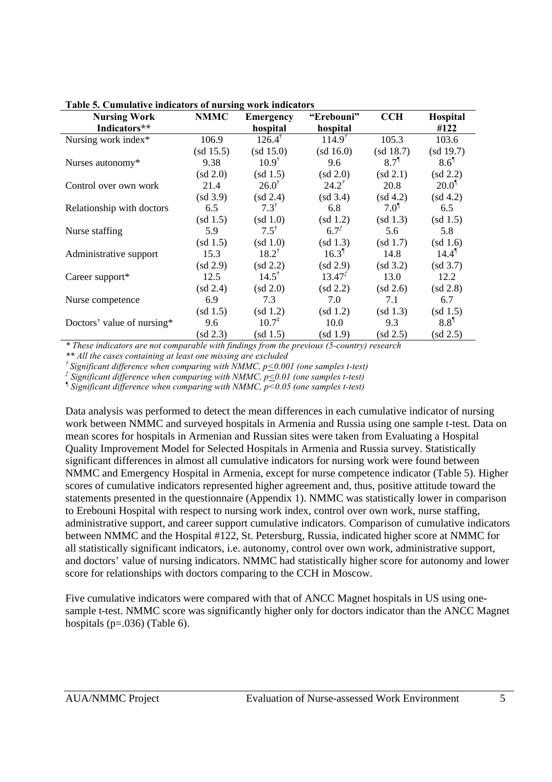| <b>Nursing Work</b>        | <b>NMMC</b> | <b>Emergency</b>     | "Erebouni"     | <b>CCH</b>       | Hospital            |
|----------------------------|-------------|----------------------|----------------|------------------|---------------------|
| Indicators**               |             | hospital             | hospital       |                  | #122                |
| Nursing work index*        | 106.9       | $126.4^{\dagger}$    | $114.9^{t}$    | 105.3            | 103.6               |
|                            | (sd 15.5)   | (sd 15.0)            | (sd 16.0)      | (sd 18.7)        | (sd 19.7)           |
| Nurses autonomy*           | 9.38        | $10.9^{\dagger}$     | 9.6            | 8.7 <sup>1</sup> | $8.6^{\circ}$       |
|                            | (sd 2.0)    | (sd 1.5)             | (sd 2.0)       | (sd 2.1)         | (sd 2.2)            |
| Control over own work      | 21.4        | $26.0^{\dagger}$     | $24.2^{t}$     | 20.8             | $20.0$ <sup>1</sup> |
|                            | (sd 3.9)    | (sd 2.4)             | (sd 3.4)       | (sd 4.2)         | (sd 4.2)            |
| Relationship with doctors  | 6.5         | $7.3^{\dagger}$      | 6.8            | $7.0^{1}$        | 6.5                 |
|                            | (sd 1.5)    | (sd 1.0)             | (sd 1.2)       | (sd 1.3)         | (sd 1.5)            |
| Nurse staffing             | 5.9         | $7.5^{\dagger}$      | $6.7^{t}$      | 5.6              | 5.8                 |
|                            | (sd 1.5)    | (sd 1.0)             | (sd 1.3)       | (sd 1.7)         | (sd 1.6)            |
| Administrative support     | 15.3        | $18.2^{\dagger}$     | $16.3^{\circ}$ | 14.8             | $14.4^{\text{T}}$   |
|                            | (sd 2.9)    | (sd 2.2)             | (sd 2.9)       | (sd 3.2)         | (sd 3.7)            |
| Career support*            | 12.5        | $14.5^{\dagger}$     | $13.47^{T}$    | 13.0             | 12.2                |
|                            | (sd 2.4)    | (sd 2.0)             | (sd 2.2)       | (sd 2.6)         | (sd 2.8)            |
| Nurse competence           | 6.9         | 7.3                  | 7.0            | 7.1              | 6.7                 |
|                            | (sd 1.5)    | (sd 1.2)             | (sd 1.2)       | (sd 1.3)         | (sd 1.5)            |
| Doctors' value of nursing* | 9.6         | $10.7^{\frac{1}{4}}$ | 10.0           | 9.3              | $8.8^{\circ}$       |
|                            | (sd 2.3)    | (sd 1.5)             | (sd 1.9)       | (sd 2.5)         | (sd 2.5)            |

**Table 5. Cumulative indicators of nursing work indicators**

*\* These indicators are not comparable with findings from the previous (5-country) research*

*\*\* All the cases containing at least one missing are excluded*

*† Significant difference when comparing with NMMC, p<0.001 (one samples t-test)*

*‡ Significant difference when comparing with NMMC, p<0.01 (one samples t-test)*

*¶ Significant difference when comparing with NMMC, p<0.05 (one samples t-test)*

Data analysis was performed to detect the mean differences in each cumulative indicator of nursing work between NMMC and surveyed hospitals in Armenia and Russia using one sample t-test. Data on mean scores for hospitals in Armenian and Russian sites were taken from Evaluating a Hospital Quality Improvement Model for Selected Hospitals in Armenia and Russia survey. Statistically significant differences in almost all cumulative indicators for nursing work were found between NMMC and Emergency Hospital in Armenia, except for nurse competence indicator (Table 5). Higher scores of cumulative indicators represented higher agreement and, thus, positive attitude toward the statements presented in the questionnaire (Appendix 1). NMMC was statistically lower in comparison to Erebouni Hospital with respect to nursing work index, control over own work, nurse staffing, administrative support, and career support cumulative indicators. Comparison of cumulative indicators between NMMC and the Hospital #122, St. Petersburg, Russia, indicated higher score at NMMC for all statistically significant indicators, i.e. autonomy, control over own work, administrative support, and doctors' value of nursing indicators. NMMC had statistically higher score for autonomy and lower score for relationships with doctors comparing to the CCH in Moscow.

Five cumulative indicators were compared with that of ANCC Magnet hospitals in US using onesample t-test. NMMC score was significantly higher only for doctors indicator than the ANCC Magnet hospitals ( $p=.036$ ) (Table 6).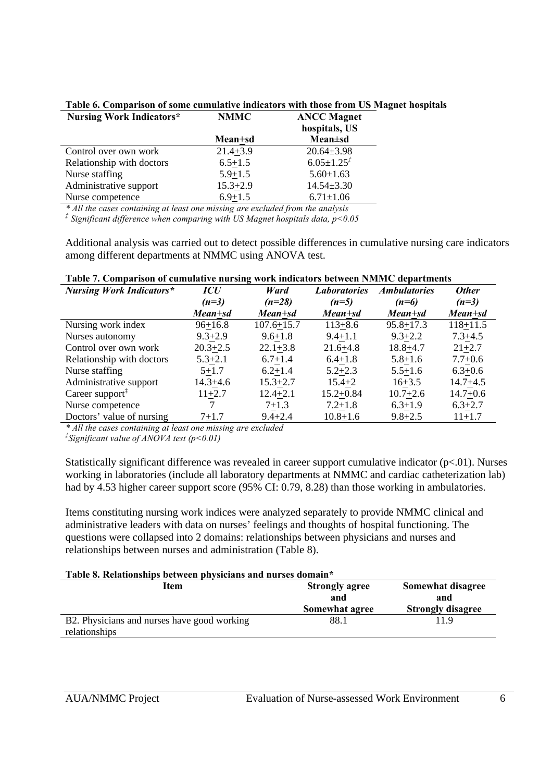| <b>NMMC</b>  | <b>ANCC Magnet</b><br>hospitals, US |
|--------------|-------------------------------------|
| Mean+sd      | <b>Mean</b> ±sd                     |
| $21.4 + 3.9$ | $20.64 \pm 3.98$                    |
| $6.5 + 1.5$  | $6.05 \pm 1.25^{t}$                 |
| $5.9 + 1.5$  | $5.60 \pm 1.63$                     |
| $15.3 + 2.9$ | $14.54 \pm 3.30$                    |
| $6.9 + 1.5$  | $6.71 \pm 1.06$                     |
|              |                                     |

**Table 6. Comparison of some cumulative indicators with those from US Magnet hospitals**

*\* All the cases containing at least one missing are excluded from the analysis*

*‡ Significant difference when comparing with US Magnet hospitals data, p<0.05*

Additional analysis was carried out to detect possible differences in cumulative nursing care indicators among different departments at NMMC using ANOVA test.

| Table 7. Comparison of cumulative nursing work mulcators between invitite uepartments |              |                |                     |                     |              |  |  |  |  |
|---------------------------------------------------------------------------------------|--------------|----------------|---------------------|---------------------|--------------|--|--|--|--|
| <b>Nursing Work Indicators*</b>                                                       | <b>ICU</b>   | Ward           | <i>Laboratories</i> | <b>Ambulatories</b> | <b>Other</b> |  |  |  |  |
|                                                                                       | $(n=3)$      | $(n=28)$       | $(n=5)$             | $(n=6)$             | $(n=3)$      |  |  |  |  |
|                                                                                       | Mean+sd      | Mean+sd        | Mean+sd             | Mean+sd             | Mean+sd      |  |  |  |  |
| Nursing work index                                                                    | $96 + 16.8$  | $107.6 + 15.7$ | $113 + 8.6$         | $95.8 + 17.3$       | $118 + 11.5$ |  |  |  |  |
| Nurses autonomy                                                                       | $9.3 + 2.9$  | $9.6 + 1.8$    | $9.4 + 1.1$         | $9.3 + 2.2$         | $7.3 + 4.5$  |  |  |  |  |
| Control over own work                                                                 | $20.3 + 2.5$ | $22.1 + 3.8$   | $21.6 + 4.8$        | $18.8 + 4.7$        | $21 + 2.7$   |  |  |  |  |
| Relationship with doctors                                                             | $5.3 + 2.1$  | $6.7 + 1.4$    | $6.4 + 1.8$         | $5.8 + 1.6$         | $7.7 + 0.6$  |  |  |  |  |
| Nurse staffing                                                                        | $5 + 1.7$    | $6.2 + 1.4$    | $5.2 + 2.3$         | $5.5 + 1.6$         | $6.3 + 0.6$  |  |  |  |  |
| Administrative support                                                                | 14.3+4.6     | $15.3 + 2.7$   | $15.4 + 2$          | $16 + 3.5$          | $14.7 + 4.5$ |  |  |  |  |
| Career support <sup>#</sup>                                                           | $11+2.7$     | $12.4 + 2.1$   | $15.2 + 0.84$       | $10.7 + 2.6$        | $14.7 + 0.6$ |  |  |  |  |
| Nurse competence                                                                      |              | $7+1.3$        | $7.2 + 1.8$         | $6.3 + 1.9$         | $6.3 + 2.7$  |  |  |  |  |
| Doctors' value of nursing                                                             | 7+1.7        | $9.4 + 2.4$    | $10.8 + 1.6$        | $9.8 + 2.5$         | $11+1.7$     |  |  |  |  |

|  |  |  | Table 7. Comparison of cumulative nursing work indicators between NMMC departments |  |  |
|--|--|--|------------------------------------------------------------------------------------|--|--|
|  |  |  |                                                                                    |  |  |

*\* All the cases containing at least one missing are excluded*

*‡ Significant value of ANOVA test (p<0.01)* 

Statistically significant difference was revealed in career support cumulative indicator  $(p<0.01)$ . Nurses working in laboratories (include all laboratory departments at NMMC and cardiac catheterization lab) had by 4.53 higher career support score (95% CI: 0.79, 8.28) than those working in ambulatories.

Items constituting nursing work indices were analyzed separately to provide NMMC clinical and administrative leaders with data on nurses' feelings and thoughts of hospital functioning. The questions were collapsed into 2 domains: relationships between physicians and nurses and relationships between nurses and administration (Table 8).

#### **Table 8. Relationships between physicians and nurses domain\***

| Item                                        | <b>Strongly agree</b> | Somewhat disagree        |
|---------------------------------------------|-----------------------|--------------------------|
|                                             | and                   | and                      |
|                                             | Somewhat agree        | <b>Strongly disagree</b> |
| B2. Physicians and nurses have good working | 88.1                  | 11.9                     |
| relationships                               |                       |                          |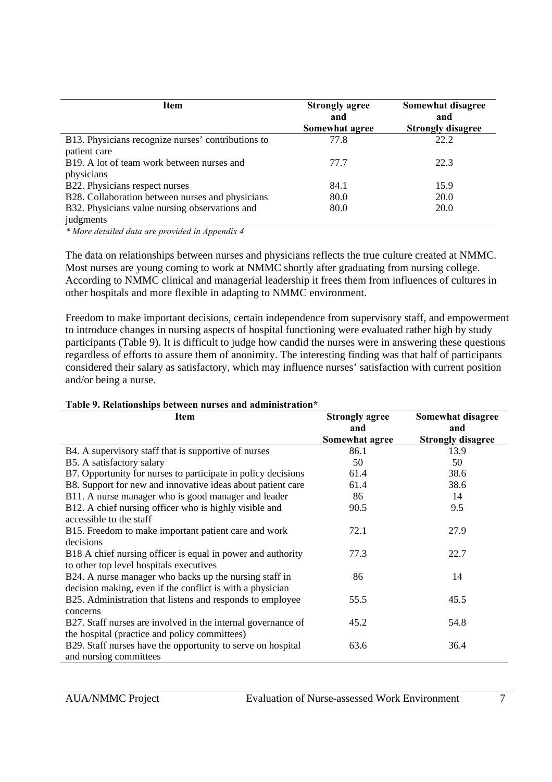| Item                                               | <b>Strongly agree</b><br>and<br>Somewhat agree | Somewhat disagree<br>and<br><b>Strongly disagree</b> |
|----------------------------------------------------|------------------------------------------------|------------------------------------------------------|
| B13. Physicians recognize nurses' contributions to | 77.8                                           | 22.2                                                 |
| patient care                                       |                                                |                                                      |
| B19. A lot of team work between nurses and         | 77.7                                           | 22.3                                                 |
| physicians                                         |                                                |                                                      |
| B22. Physicians respect nurses                     | 84.1                                           | 15.9                                                 |
| B28. Collaboration between nurses and physicians   | 80.0                                           | 20.0                                                 |
| B32. Physicians value nursing observations and     | 80.0                                           | 20.0                                                 |
| judgments                                          |                                                |                                                      |

*\* More detailed data are provided in Appendix 4* 

The data on relationships between nurses and physicians reflects the true culture created at NMMC. Most nurses are young coming to work at NMMC shortly after graduating from nursing college. According to NMMC clinical and managerial leadership it frees them from influences of cultures in other hospitals and more flexible in adapting to NMMC environment.

Freedom to make important decisions, certain independence from supervisory staff, and empowerment to introduce changes in nursing aspects of hospital functioning were evaluated rather high by study participants (Table 9). It is difficult to judge how candid the nurses were in answering these questions regardless of efforts to assure them of anonimity. The interesting finding was that half of participants considered their salary as satisfactory, which may influence nurses' satisfaction with current position and/or being a nurse.

| Table 9. Relationships between nurses and administration* |       |
|-----------------------------------------------------------|-------|
| Item                                                      | Stron |

| <b>Item</b>                                                   | <b>Strongly agree</b> | Somewhat disagree        |
|---------------------------------------------------------------|-----------------------|--------------------------|
|                                                               | and                   | and                      |
|                                                               | Somewhat agree        | <b>Strongly disagree</b> |
| B4. A supervisory staff that is supportive of nurses          | 86.1                  | 13.9                     |
| B5. A satisfactory salary                                     | 50                    | 50                       |
| B7. Opportunity for nurses to participate in policy decisions | 61.4                  | 38.6                     |
| B8. Support for new and innovative ideas about patient care   | 61.4                  | 38.6                     |
| B11. A nurse manager who is good manager and leader           | 86                    | 14                       |
| B12. A chief nursing officer who is highly visible and        | 90.5                  | 9.5                      |
| accessible to the staff                                       |                       |                          |
| B15. Freedom to make important patient care and work          | 72.1                  | 27.9                     |
| decisions                                                     |                       |                          |
| B18 A chief nursing officer is equal in power and authority   | 77.3                  | 22.7                     |
| to other top level hospitals executives                       |                       |                          |
| B24. A nurse manager who backs up the nursing staff in        | 86                    | 14                       |
| decision making, even if the conflict is with a physician     |                       |                          |
| B25. Administration that listens and responds to employee     | 55.5                  | 45.5                     |
| concerns                                                      |                       |                          |
| B27. Staff nurses are involved in the internal governance of  | 45.2                  | 54.8                     |
| the hospital (practice and policy committees)                 |                       |                          |
| B29. Staff nurses have the opportunity to serve on hospital   | 63.6                  | 36.4                     |
| and nursing committees                                        |                       |                          |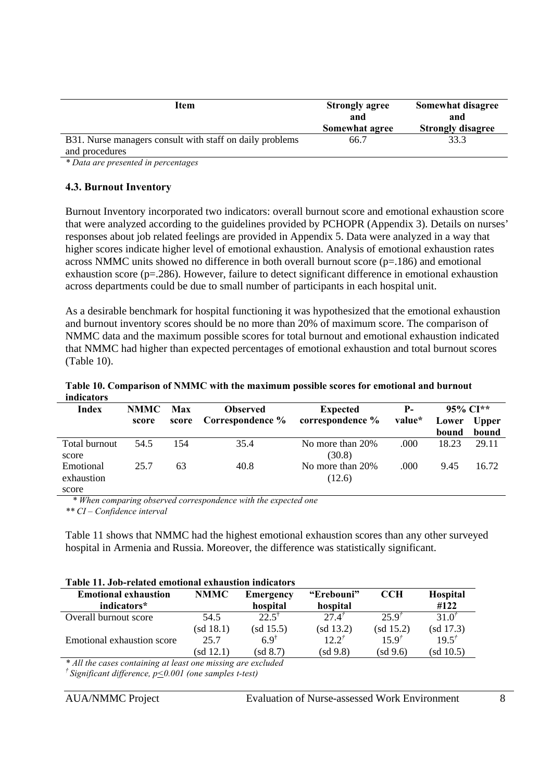| Item                                                     | <b>Strongly agree</b><br>and<br>Somewhat agree | Somewhat disagree<br>and<br><b>Strongly disagree</b> |
|----------------------------------------------------------|------------------------------------------------|------------------------------------------------------|
| B31. Nurse managers consult with staff on daily problems | 66.7                                           | 33.3                                                 |
| and procedures                                           |                                                |                                                      |

*\* Data are presented in percentages* 

#### **4.3. Burnout Inventory**

Burnout Inventory incorporated two indicators: overall burnout score and emotional exhaustion score that were analyzed according to the guidelines provided by PCHOPR (Appendix 3). Details on nurses' responses about job related feelings are provided in Appendix 5. Data were analyzed in a way that higher scores indicate higher level of emotional exhaustion. Analysis of emotional exhaustion rates across NMMC units showed no difference in both overall burnout score (p=.186) and emotional exhaustion score (p=.286). However, failure to detect significant difference in emotional exhaustion across departments could be due to small number of participants in each hospital unit.

As a desirable benchmark for hospital functioning it was hypothesized that the emotional exhaustion and burnout inventory scores should be no more than 20% of maximum score. The comparison of NMMC data and the maximum possible scores for total burnout and emotional exhaustion indicated that NMMC had higher than expected percentages of emotional exhaustion and total burnout scores (Table 10).

| muicators     |             |       |                  |                  |        |             |              |
|---------------|-------------|-------|------------------|------------------|--------|-------------|--------------|
| Index         | <b>NMMC</b> | Max   | <b>Observed</b>  | <b>Expected</b>  | $P-$   | $95\%$ CI** |              |
|               | score       | score | Correspondence % | correspondence % | value* | Lower       | <b>Upper</b> |
|               |             |       |                  |                  |        | bound       | bound        |
| Total burnout | 54.5        | 154   | 35.4             | No more than 20% | .000   | 18.23       | 29.11        |
| score         |             |       |                  | (30.8)           |        |             |              |
| Emotional     | 25.7        | 63    | 40.8             | No more than 20% | .000   | 9.45        | 16.72        |
| exhaustion    |             |       |                  | (12.6)           |        |             |              |
| score         |             |       |                  |                  |        |             |              |

**Table 10. Comparison of NMMC with the maximum possible scores for emotional and burnout indicators**

 *\* When comparing observed correspondence with the expected one*

*\*\* CI – Confidence interval* 

Table 11 shows that NMMC had the highest emotional exhaustion scores than any other surveyed hospital in Armenia and Russia. Moreover, the difference was statistically significant.

#### **Table 11. Job-related emotional exhaustion indicators**

| <b>Emotional exhaustion</b><br>indicators*                                                                                                                                                                                                                                                                                              | <b>NMMC</b> | <b>Emergency</b><br>hospital | "Erebouni"<br>hospital | <b>CCH</b> | Hospital<br>#122 |  |
|-----------------------------------------------------------------------------------------------------------------------------------------------------------------------------------------------------------------------------------------------------------------------------------------------------------------------------------------|-------------|------------------------------|------------------------|------------|------------------|--|
| Overall burnout score                                                                                                                                                                                                                                                                                                                   | 54.5        | $22.5^{\circ}$               | $27.4^{t}$             | 259'       | $31.0^{7}$       |  |
|                                                                                                                                                                                                                                                                                                                                         | (sd 18.1)   | (sd 15.5)                    | (sd 13.2)              | (sd 15.2)  | (sd 17.3)        |  |
| Emotional exhaustion score                                                                                                                                                                                                                                                                                                              | 25.7        | 6.9 <sup>†</sup>             | $12.2^{t}$             | $15.9^{t}$ | $19.5^{t}$       |  |
|                                                                                                                                                                                                                                                                                                                                         | (sd 12.1)   | (sd 8.7)                     | (sd 9.8)               | (sd 9.6)   | (sd 10.5)        |  |
| $*$ $\ell$ , $\ell$ , $\ell$ , $\ell$ , $\ell$ , $\ell$ , $\ell$ , $\ell$ , $\ell$ , $\ell$ , $\ell$ , $\ell$ , $\ell$ , $\ell$ , $\ell$ , $\ell$ , $\ell$ , $\ell$ , $\ell$ , $\ell$ , $\ell$ , $\ell$ , $\ell$ , $\ell$ , $\ell$ , $\ell$ , $\ell$ , $\ell$ , $\ell$ , $\ell$ , $\ell$ , $\ell$ , $\ell$ , $\ell$ , $\ell$ , $\ell$ , |             |                              |                        |            |                  |  |

*\* All the cases containing at least one missing are excluded † Significant difference, p<0.001 (one samples t-test)*

AUA/NMMC Project Evaluation of Nurse-assessed Work Environment 8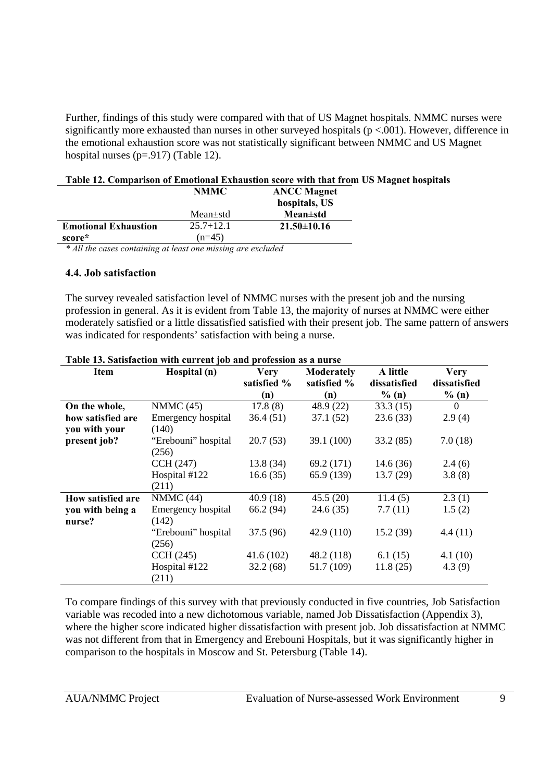Further, findings of this study were compared with that of US Magnet hospitals. NMMC nurses were significantly more exhausted than nurses in other surveyed hospitals ( $p < .001$ ). However, difference in the emotional exhaustion score was not statistically significant between NMMC and US Magnet hospital nurses (p=.917) (Table 12).

#### **Table 12. Comparison of Emotional Exhaustion score with that from US Magnet hospitals**

|                             | <b>NMMC</b>   | <b>ANCC Magnet</b> |
|-----------------------------|---------------|--------------------|
|                             |               | hospitals, US      |
|                             | $Mean + std$  | <b>Mean</b> ±std   |
| <b>Emotional Exhaustion</b> | $25.7 + 12.1$ | $21.50\pm10.16$    |
| score*                      | $(n=45)$      |                    |

*\* All the cases containing at least one missing are excluded*

#### **4.4. Job satisfaction**

The survey revealed satisfaction level of NMMC nurses with the present job and the nursing profession in general. As it is evident from Table 13, the majority of nurses at NMMC were either moderately satisfied or a little dissatisfied satisfied with their present job. The same pattern of answers was indicated for respondents' satisfaction with being a nurse.

| Item                     | Hospital (n)        | Very        | <b>Moderately</b> | A little     | <b>Very</b>  |
|--------------------------|---------------------|-------------|-------------------|--------------|--------------|
|                          |                     | satisfied % | satisfied %       | dissatisfied | dissatisfied |
|                          |                     | (n)         | (n)               | % (n)        | % (n)        |
| On the whole,            | NMMC $(45)$         | 17.8(8)     | 48.9 (22)         | 33.3(15)     | $\Omega$     |
| how satisfied are        | Emergency hospital  | 36.4(51)    | 37.1(52)          | 23.6(33)     | 2.9(4)       |
| you with your            | (140)               |             |                   |              |              |
| present job?             | "Erebouni" hospital | 20.7(53)    | 39.1(100)         | 33.2(85)     | 7.0(18)      |
|                          | (256)               |             |                   |              |              |
|                          | CCH (247)           | 13.8(34)    | 69.2 (171)        | 14.6(36)     | 2.4(6)       |
|                          | Hospital #122       | 16.6(35)    | 65.9 (139)        | 13.7(29)     | 3.8(8)       |
|                          | (211)               |             |                   |              |              |
| <b>How satisfied are</b> | NMMC(44)            | 40.9(18)    | 45.5(20)          | 11.4(5)      | 2.3(1)       |
| you with being a         | Emergency hospital  | 66.2 (94)   | 24.6 (35)         | 7.7(11)      | 1.5(2)       |
| nurse?                   | (142)               |             |                   |              |              |
|                          | "Erebouni" hospital | 37.5 (96)   | 42.9(110)         | 15.2(39)     | 4.4(11)      |
|                          | (256)               |             |                   |              |              |
|                          | CCH(245)            | 41.6(102)   | 48.2(118)         | 6.1(15)      | 4.1(10)      |
|                          | Hospital #122       | 32.2(68)    | 51.7 (109)        | 11.8(25)     | 4.3(9)       |
|                          | (211)               |             |                   |              |              |

| Table 13. Satisfaction with current job and profession as a nurse |  |
|-------------------------------------------------------------------|--|
|-------------------------------------------------------------------|--|

To compare findings of this survey with that previously conducted in five countries, Job Satisfaction variable was recoded into a new dichotomous variable, named Job Dissatisfaction (Appendix 3), where the higher score indicated higher dissatisfaction with present job. Job dissatisfaction at NMMC was not different from that in Emergency and Erebouni Hospitals, but it was significantly higher in comparison to the hospitals in Moscow and St. Petersburg (Table 14).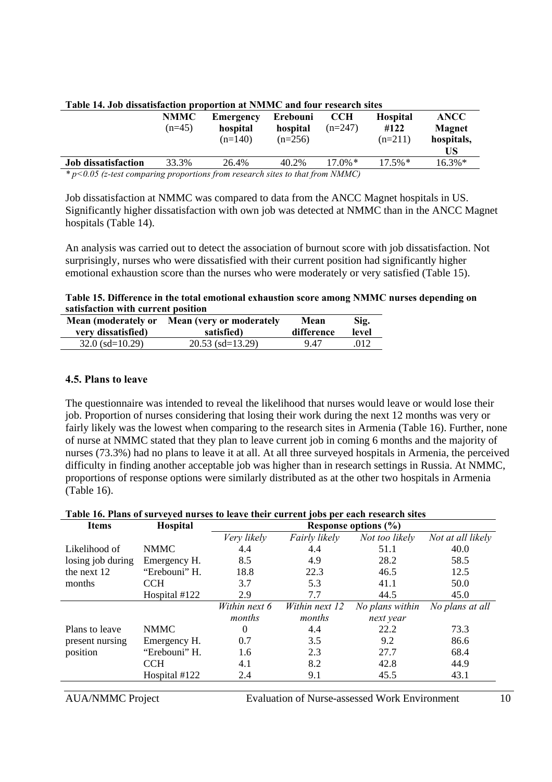| Table 14. Jub uissaustacuun proportion at inninee and iour research sites       |             |           |           |            |                 |               |
|---------------------------------------------------------------------------------|-------------|-----------|-----------|------------|-----------------|---------------|
|                                                                                 | <b>NMMC</b> | Emergency | Erebouni  | <b>CCH</b> | <b>Hospital</b> | <b>ANCC</b>   |
|                                                                                 | $(n=45)$    | hospital  | hospital  | $(n=247)$  | #122            | <b>Magnet</b> |
|                                                                                 |             | $(n=140)$ | $(n=256)$ |            | $(n=211)$       | hospitals,    |
|                                                                                 |             |           |           |            |                 | US            |
| <b>Job</b> dissatisfaction                                                      | 33.3%       | 26.4%     | 40.2%     | $17.0\%*$  | $17.5\%*$       | $16.3\%*$     |
| $*$ p<0.05 (z-test comparing proportions from research sites to that from NMMC) |             |           |           |            |                 |               |

#### **Table 14. Job dissatisfaction proportion at NMMC and four research sites**

Job dissatisfaction at NMMC was compared to data from the ANCC Magnet hospitals in US. Significantly higher dissatisfaction with own job was detected at NMMC than in the ANCC Magnet hospitals (Table 14).

An analysis was carried out to detect the association of burnout score with job dissatisfaction. Not surprisingly, nurses who were dissatisfied with their current position had significantly higher emotional exhaustion score than the nurses who were moderately or very satisfied (Table 15).

**Table 15. Difference in the total emotional exhaustion score among NMMC nurses depending on satisfaction with current position**

| Mean (moderately or | Mean (very or moderately | Mean       | Sig.  |
|---------------------|--------------------------|------------|-------|
| very dissatisfied)  | satisfied)               | difference | level |
| $32.0$ (sd=10.29)   | $20.53$ (sd=13.29)       | 9.47       | .012  |

#### **4.5. Plans to leave**

The questionnaire was intended to reveal the likelihood that nurses would leave or would lose their job. Proportion of nurses considering that losing their work during the next 12 months was very or fairly likely was the lowest when comparing to the research sites in Armenia (Table 16). Further, none of nurse at NMMC stated that they plan to leave current job in coming 6 months and the majority of nurses (73.3%) had no plans to leave it at all. At all three surveyed hospitals in Armenia, the perceived difficulty in finding another acceptable job was higher than in research settings in Russia. At NMMC, proportions of response options were similarly distributed as at the other two hospitals in Armenia (Table 16).

#### **Table 16. Plans of surveyed nurses to leave their current jobs per each research sites**

| <b>Items</b>      | Hospital      | Response options $(\% )$ |                |                 |                   |  |
|-------------------|---------------|--------------------------|----------------|-----------------|-------------------|--|
|                   |               | Very likely              | Fairly likely  | Not too likely  | Not at all likely |  |
| Likelihood of     | <b>NMMC</b>   | 4.4                      | 4.4            | 51.1            | 40.0              |  |
| losing job during | Emergency H.  | 8.5                      | 4.9            | 28.2            | 58.5              |  |
| the next 12       | "Erebouni" H. | 18.8                     | 22.3           | 46.5            | 12.5              |  |
| months            | <b>CCH</b>    | 3.7                      | 5.3            | 41.1            | 50.0              |  |
|                   | Hospital #122 | 2.9                      | 7.7            | 44.5            | 45.0              |  |
|                   |               | Within next 6            | Within next 12 | No plans within | No plans at all   |  |
|                   |               | months                   | months         | next year       |                   |  |
| Plans to leave    | <b>NMMC</b>   | 0                        | 4.4            | 22.2            | 73.3              |  |
| present nursing   | Emergency H.  | 0.7                      | 3.5            | 9.2             | 86.6              |  |
| position          | "Erebouni" H. | 1.6                      | 2.3            | 27.7            | 68.4              |  |
|                   | <b>CCH</b>    | 4.1                      | 8.2            | 42.8            | 44.9              |  |
|                   | Hospital #122 | 2.4                      | 9.1            | 45.5            | 43.1              |  |
|                   |               |                          |                |                 |                   |  |

AUA/NMMC Project Evaluation of Nurse-assessed Work Environment 10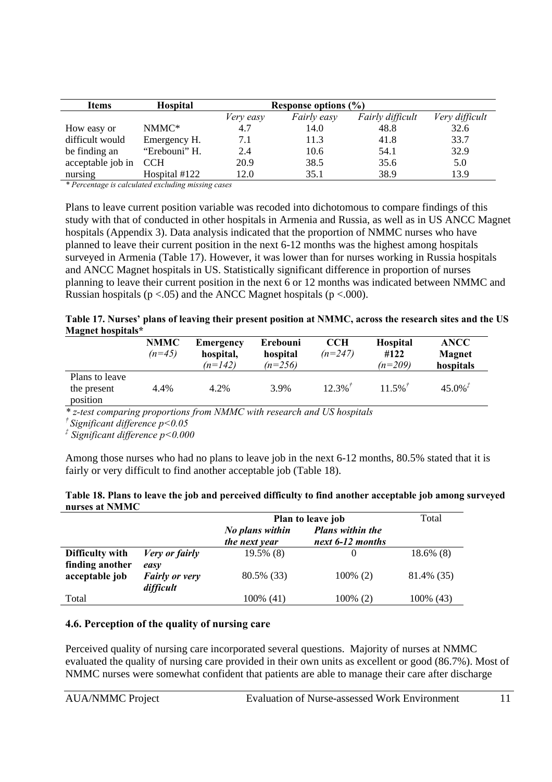| <b>Items</b>      | <b>Hospital</b> | Response options $(\% )$ |                    |                  |                |  |  |  |
|-------------------|-----------------|--------------------------|--------------------|------------------|----------------|--|--|--|
|                   |                 | Very easy                | <i>Fairly easy</i> | Fairly difficult | Very difficult |  |  |  |
| How easy or       | NMMC*           | 4.7                      | 14.0               | 48.8             | 32.6           |  |  |  |
| difficult would   | Emergency H.    | 7.1                      | 11.3               | 41.8             | 33.7           |  |  |  |
| be finding an     | "Erebouni" H.   | 2.4                      | 10.6               | 54.1             | 32.9           |  |  |  |
| acceptable job in | <b>CCH</b>      | 20.9                     | 38.5               | 35.6             | 5.0            |  |  |  |
| nursing           | Hospital #122   | 12.0                     | 35.1               | 38.9             | 13.9           |  |  |  |

*\* Percentage is calculated excluding missing cases*

Plans to leave current position variable was recoded into dichotomous to compare findings of this study with that of conducted in other hospitals in Armenia and Russia, as well as in US ANCC Magnet hospitals (Appendix 3). Data analysis indicated that the proportion of NMMC nurses who have planned to leave their current position in the next 6-12 months was the highest among hospitals surveyed in Armenia (Table 17). However, it was lower than for nurses working in Russia hospitals and ANCC Magnet hospitals in US. Statistically significant difference in proportion of nurses planning to leave their current position in the next 6 or 12 months was indicated between NMMC and Russian hospitals ( $p < .05$ ) and the ANCC Magnet hospitals ( $p < .000$ ).

| Table 17. Nurses' plans of leaving their present position at NMMC, across the research sites and the US |  |
|---------------------------------------------------------------------------------------------------------|--|
| Magnet hospitals*                                                                                       |  |

|                                           | <b>NMMC</b><br>$(n=45)$ | <b>Emergency</b><br>hospital,<br>$(n=142)$ | Erebouni<br>hospital<br>$(n=256)$ | <b>CCH</b><br>$(n=247)$ | <b>Hospital</b><br>#122<br>$(n=209)$ | <b>ANCC</b><br>Magnet<br>hospitals |
|-------------------------------------------|-------------------------|--------------------------------------------|-----------------------------------|-------------------------|--------------------------------------|------------------------------------|
| Plans to leave<br>the present<br>position | 4.4%                    | 4.2%                                       | 3.9%                              | $12.3\%$                | $11.5\%$                             | $45.0\%$ <sup>†</sup>              |

*\* z-test comparing proportions from NMMC with research and US hospitals* 

*† Significant difference p<0.05*

*‡ Significant difference p<0.000*

Among those nurses who had no plans to leave job in the next 6-12 months, 80.5% stated that it is fairly or very difficult to find another acceptable job (Table 18).

| Table 18. Plans to leave the job and perceived difficulty to find another acceptable job among surveyed |  |
|---------------------------------------------------------------------------------------------------------|--|
| nurses at NMMC                                                                                          |  |

|                                    |                                    | Plan to leave job                | Total                                       |              |
|------------------------------------|------------------------------------|----------------------------------|---------------------------------------------|--------------|
|                                    |                                    | No plans within<br>the next year | <b>Plans within the</b><br>next 6-12 months |              |
| Difficulty with<br>finding another | Very or fairly<br>easy             | $19.5\%$ (8)                     | $\theta$                                    | $18.6\%$ (8) |
| acceptable job                     | <b>Fairly or very</b><br>difficult | 80.5% (33)                       | $100\%$ (2)                                 | 81.4% (35)   |
| Total                              |                                    | 100% (41)                        | $100\%$ (2)                                 | 100% (43)    |

#### **4.6. Perception of the quality of nursing care**

Perceived quality of nursing care incorporated several questions. Majority of nurses at NMMC evaluated the quality of nursing care provided in their own units as excellent or good (86.7%). Most of NMMC nurses were somewhat confident that patients are able to manage their care after discharge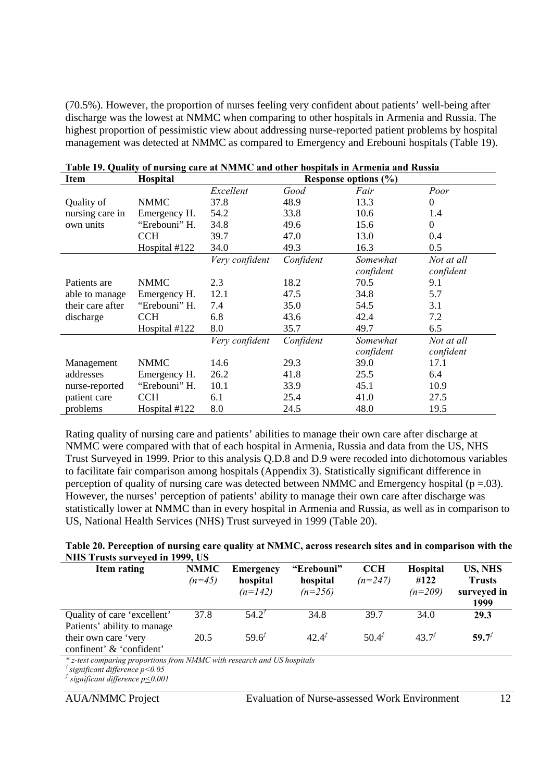(70.5%). However, the proportion of nurses feeling very confident about patients' well-being after discharge was the lowest at NMMC when comparing to other hospitals in Armenia and Russia. The highest proportion of pessimistic view about addressing nurse-reported patient problems by hospital management was detected at NMMC as compared to Emergency and Erebouni hospitals (Table 19).

| Item             | Hospital      | Response options (%) |           |           |              |  |  |
|------------------|---------------|----------------------|-----------|-----------|--------------|--|--|
|                  |               | Excellent            | Good      | Fair      | Poor         |  |  |
| Quality of       | <b>NMMC</b>   | 37.8                 | 48.9      | 13.3      | $\Omega$     |  |  |
| nursing care in  | Emergency H.  | 54.2                 | 33.8      | 10.6      | 1.4          |  |  |
| own units        | "Erebouni" H. | 34.8                 | 49.6      | 15.6      | $\mathbf{0}$ |  |  |
|                  | <b>CCH</b>    | 39.7                 | 47.0      | 13.0      | 0.4          |  |  |
|                  | Hospital #122 | 34.0                 | 49.3      | 16.3      | 0.5          |  |  |
|                  |               | Very confident       | Confident | Somewhat  | Not at all   |  |  |
|                  |               |                      |           | confident | confident    |  |  |
| Patients are     | <b>NMMC</b>   | 2.3                  | 18.2      | 70.5      | 9.1          |  |  |
| able to manage   | Emergency H.  | 12.1                 | 47.5      | 34.8      | 5.7          |  |  |
| their care after | "Erebouni" H. | 7.4                  | 35.0      | 54.5      | 3.1          |  |  |
| discharge        | <b>CCH</b>    | 6.8                  | 43.6      | 42.4      | 7.2          |  |  |
|                  | Hospital #122 | 8.0                  | 35.7      | 49.7      | 6.5          |  |  |
|                  |               | Very confident       | Confident | Somewhat  | Not at all   |  |  |
|                  |               |                      |           | confident | confident    |  |  |
| Management       | <b>NMMC</b>   | 14.6                 | 29.3      | 39.0      | 17.1         |  |  |
| addresses        | Emergency H.  | 26.2                 | 41.8      | 25.5      | 6.4          |  |  |
| nurse-reported   | "Erebouni" H. | 10.1                 | 33.9      | 45.1      | 10.9         |  |  |
| patient care     | <b>CCH</b>    | 6.1                  | 25.4      | 41.0      | 27.5         |  |  |
| problems         | Hospital #122 | 8.0                  | 24.5      | 48.0      | 19.5         |  |  |

| Table 19. Quality of nursing care at NMMC and other hospitals in Armenia and Russia |  |  |  |  |  |  |  |
|-------------------------------------------------------------------------------------|--|--|--|--|--|--|--|
|                                                                                     |  |  |  |  |  |  |  |

Rating quality of nursing care and patients' abilities to manage their own care after discharge at NMMC were compared with that of each hospital in Armenia, Russia and data from the US, NHS Trust Surveyed in 1999. Prior to this analysis Q.D.8 and D.9 were recoded into dichotomous variables to facilitate fair comparison among hospitals (Appendix 3). Statistically significant difference in perception of quality of nursing care was detected between NMMC and Emergency hospital ( $p = .03$ ). However, the nurses' perception of patients' ability to manage their own care after discharge was statistically lower at NMMC than in every hospital in Armenia and Russia, as well as in comparison to US, National Health Services (NHS) Trust surveyed in 1999 (Table 20).

#### **Table 20. Perception of nursing care quality at NMMC, across research sites and in comparison with the NHS Trusts surveyed in 1999, US**

| Item rating                 | <b>NMMC</b> | Emergency             | "Erebouni"            | <b>CCH</b> | <b>Hospital</b>   | US, NHS                      |
|-----------------------------|-------------|-----------------------|-----------------------|------------|-------------------|------------------------------|
|                             | $(n=45)$    | hospital<br>$(n=142)$ | hospital<br>$(n=256)$ | $(n=247)$  | #122<br>$(n=209)$ | <b>Trusts</b><br>surveyed in |
|                             |             |                       |                       |            |                   | 1999                         |
| Quality of care 'excellent' | 37.8        | $54.2^{7}$            | 34.8                  | 39.7       | 34.0              | 29.3                         |
| Patients' ability to manage |             |                       |                       |            |                   |                              |
| their own care 'very        | 20.5        | $59.6^{t}$            | $42.4^{t}$            | $50.4^{t}$ | $437^{T}$         | $59.7^{t}$                   |
| confinent' & 'confident'    |             |                       |                       |            |                   |                              |

*\* z-test comparing proportions from NMMC with research and US hospitals* 

*† significant difference p<0.05*

*‡ significant difference p<0.001*

AUA/NMMC Project Evaluation of Nurse-assessed Work Environment 12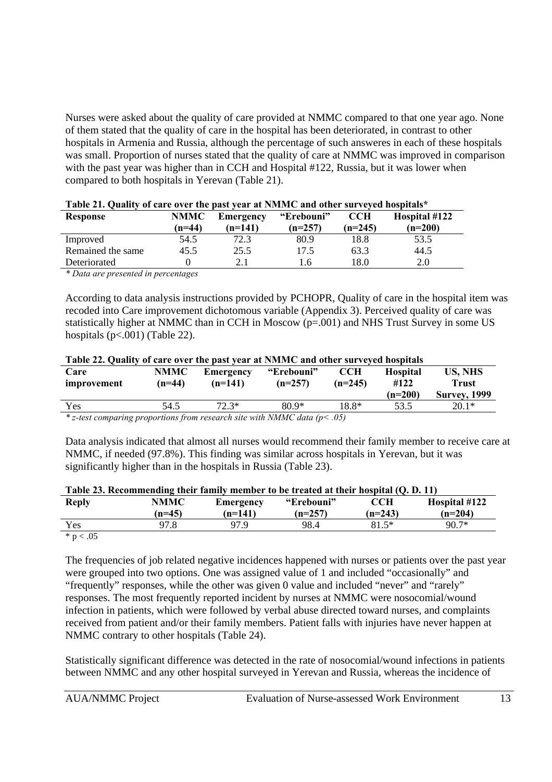Nurses were asked about the quality of care provided at NMMC compared to that one year ago. None of them stated that the quality of care in the hospital has been deteriorated, in contrast to other hospitals in Armenia and Russia, although the percentage of such answeres in each of these hospitals was small. Proportion of nurses stated that the quality of care at NMMC was improved in comparison with the past year was higher than in CCH and Hospital #122, Russia, but it was lower when compared to both hospitals in Yerevan (Table 21).

| <b>Response</b>   | <b>NMMC</b><br>$(n=44)$ | <b>Emergency</b><br>(n=141) | "Erebouni"<br>$(n=257)$ | CCH<br>$(n=245)$ | Hospital #122<br>$(n=200)$ |
|-------------------|-------------------------|-----------------------------|-------------------------|------------------|----------------------------|
| Improved          | 54.5                    | 72.3                        | 80.9                    | 18.8             | 53.5                       |
| Remained the same | 45.5                    | 25.5                        | 17.5                    | 63.3             | 44.5                       |
| Deteriorated      |                         |                             | 6                       | 18.0             | 2.0                        |

| Table 21. Quality of care over the past year at NMMC and other surveyed hospitals* |  |  |  |  |  |
|------------------------------------------------------------------------------------|--|--|--|--|--|
|------------------------------------------------------------------------------------|--|--|--|--|--|

*\* Data are presented in percentages*

According to data analysis instructions provided by PCHOPR, Quality of care in the hospital item was recoded into Care improvement dichotomous variable (Appendix 3). Perceived quality of care was statistically higher at NMMC than in CCH in Moscow (p=.001) and NHS Trust Survey in some US hospitals  $(p<.001)$  (Table 22).

| Table 22. Quality of care over the past year at NMMC and other surveyed hospitals |                         |                        |                         |                         |                                    |                                                       |  |  |
|-----------------------------------------------------------------------------------|-------------------------|------------------------|-------------------------|-------------------------|------------------------------------|-------------------------------------------------------|--|--|
| Care<br>improvement                                                               | <b>NMMC</b><br>$(n=44)$ | Emergency<br>$(n=141)$ | "Erebouni"<br>$(n=257)$ | <b>CCH</b><br>$(n=245)$ | <b>Hospital</b><br>#122<br>(n=200) | <b>US, NHS</b><br><b>Trust</b><br><b>Survey, 1999</b> |  |  |
| Yes                                                                               | 54.5                    | $72.3*$                | $80.9*$                 | 18.8*                   | 53.5                               | $20.1*$                                               |  |  |

*\* z-test comparing proportions from research site with NMMC data (p< .05)*

Data analysis indicated that almost all nurses would recommend their family member to receive care at NMMC, if needed (97.8%). This finding was similar across hospitals in Yerevan, but it was significantly higher than in the hospitals in Russia (Table 23).

| Table 23. Recommending their family member to be treated at their hospital (Q. D. 11) |          |           |            |           |               |  |  |  |  |
|---------------------------------------------------------------------------------------|----------|-----------|------------|-----------|---------------|--|--|--|--|
| <b>Reply</b>                                                                          | NMMC     | Emergency | "Erebouni" | CCH       | Hospital #122 |  |  |  |  |
|                                                                                       | $(n=45)$ | $(n=141)$ | $(n=257)$  | $(n=243)$ | $(n=204)$     |  |  |  |  |
| Yes                                                                                   | 97.8     | 97.9      | 98.4       | $81.5*$   | $90.7*$       |  |  |  |  |

#### **Table 23. Recommending their family member to be treated at their hospital (Q. D. 11)**

 $* p < .05$ 

The frequencies of job related negative incidences happened with nurses or patients over the past year were grouped into two options. One was assigned value of 1 and included "occasionally" and "frequently" responses, while the other was given 0 value and included "never" and "rarely" responses. The most frequently reported incident by nurses at NMMC were nosocomial/wound infection in patients, which were followed by verbal abuse directed toward nurses, and complaints received from patient and/or their family members. Patient falls with injuries have never happen at NMMC contrary to other hospitals (Table 24).

Statistically significant difference was detected in the rate of nosocomial/wound infections in patients between NMMC and any other hospital surveyed in Yerevan and Russia, whereas the incidence of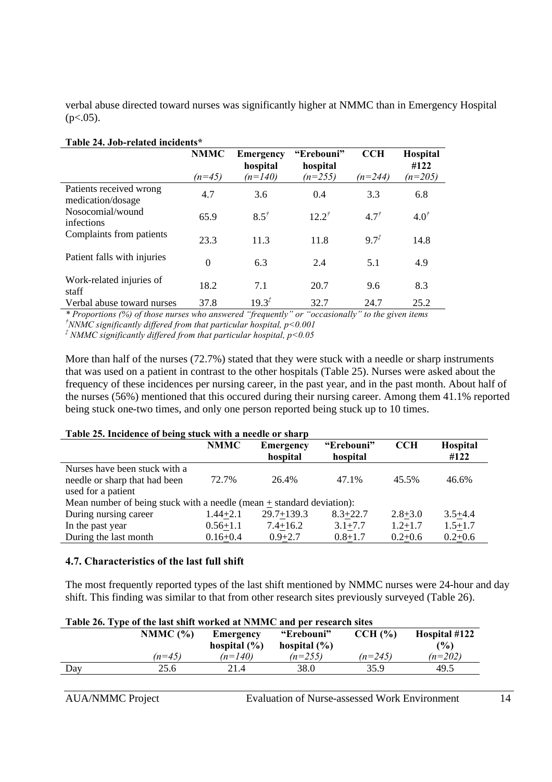verbal abuse directed toward nurses was significantly higher at NMMC than in Emergency Hospital  $(p<.05)$ .

| Table 27. 000-Telated incluents              |                         |                                           |                                     |                         |                               |  |  |
|----------------------------------------------|-------------------------|-------------------------------------------|-------------------------------------|-------------------------|-------------------------------|--|--|
|                                              | <b>NMMC</b><br>$(n=45)$ | <b>Emergency</b><br>hospital<br>$(n=140)$ | "Erebouni"<br>hospital<br>$(n=255)$ | <b>CCH</b><br>$(n=244)$ | Hospital<br>#122<br>$(n=205)$ |  |  |
| Patients received wrong<br>medication/dosage | 4.7                     | 3.6                                       | 0.4                                 | 3.3                     | 6.8                           |  |  |
| Nosocomial/wound<br>infections               | 65.9                    | $8.5^{\dagger}$                           | $12.2^{t}$                          | 4.7 <sup>†</sup>        | $4.0^{\dagger}$               |  |  |
| Complaints from patients                     | 23.3                    | 11.3                                      | 11.8                                | $9.7^{t}$               | 14.8                          |  |  |
| Patient falls with injuries                  | $\theta$                | 6.3                                       | 2.4                                 | 5.1                     | 4.9                           |  |  |
| Work-related injuries of<br>staff            | 18.2                    | 7.1                                       | 20.7                                | 9.6                     | 8.3                           |  |  |
| Verbal abuse toward nurses                   | 37.8                    | $19.3^{t}$                                | 32.7                                | 24.7                    | 25.2                          |  |  |

#### **Table 24. Job-related incidents\***

*\* Proportions (%) of those nurses who answered "frequently" or "occasionally" to the given items †NNMC significantly differed from that particular hospital, p<0.001*

*‡ NMMC significantly differed from that particular hospital, p<0.05*

More than half of the nurses (72.7%) stated that they were stuck with a needle or sharp instruments that was used on a patient in contrast to the other hospitals (Table 25). Nurses were asked about the frequency of these incidences per nursing career, in the past year, and in the past month. About half of the nurses (56%) mentioned that this occured during their nursing career. Among them 41.1% reported being stuck one-two times, and only one person reported being stuck up to 10 times.

| Table 25. Incidence of being stuck with a needle or sharp               |              |                              |                        |             |                         |  |  |
|-------------------------------------------------------------------------|--------------|------------------------------|------------------------|-------------|-------------------------|--|--|
|                                                                         | <b>NMMC</b>  | <b>Emergency</b><br>hospital | "Erebouni"<br>hospital | <b>CCH</b>  | <b>Hospital</b><br>#122 |  |  |
| Nurses have been stuck with a                                           |              |                              |                        |             |                         |  |  |
| needle or sharp that had been                                           | 72.7%        | 26.4%                        | 47.1%                  | 45.5%       | 46.6%                   |  |  |
| used for a patient                                                      |              |                              |                        |             |                         |  |  |
| Mean number of being stuck with a needle (mean $+$ standard deviation): |              |                              |                        |             |                         |  |  |
| During nursing career                                                   | $1.44 + 2.1$ | $29.7 + 139.3$               | $8.3 + 22.7$           | $2.8 + 3.0$ | $3.5 + 4.4$             |  |  |
| In the past year                                                        | $0.56 + 1.1$ | $7.4 + 16.2$                 | $3.1 + 7.7$            | $1.2 + 1.7$ | $1.5 + 1.7$             |  |  |
| During the last month                                                   | $0.16 + 0.4$ | $0.9 + 2.7$                  | $0.8 + 1.7$            | $0.2 + 0.6$ | $0.2 + 0.6$             |  |  |

#### **4.7. Characteristics of the last full shift**

The most frequently reported types of the last shift mentioned by NMMC nurses were 24-hour and day shift. This finding was similar to that from other research sites previously surveyed (Table 26).

| Table 26. Type of the last shift worked at NMMC and per research sites |             |                  |                  |           |               |  |  |
|------------------------------------------------------------------------|-------------|------------------|------------------|-----------|---------------|--|--|
|                                                                        | NMMC $($ %) | Emergency        | "Erebouni"       | CCH (%)   | Hospital #122 |  |  |
|                                                                        |             | hospital $(\% )$ | hospital $(\% )$ |           | $($ %)        |  |  |
|                                                                        | $(n=45)$    | $(n=140)$        | $(n=255)$        | $(n=245)$ | $(n=202)$     |  |  |
| Dav                                                                    | 25.6        | 21.4             | 38.0             | 35.9      | 49.5          |  |  |
|                                                                        |             |                  |                  |           |               |  |  |

## **Table 26. Type of the last shift worked at NMMC and per research sites**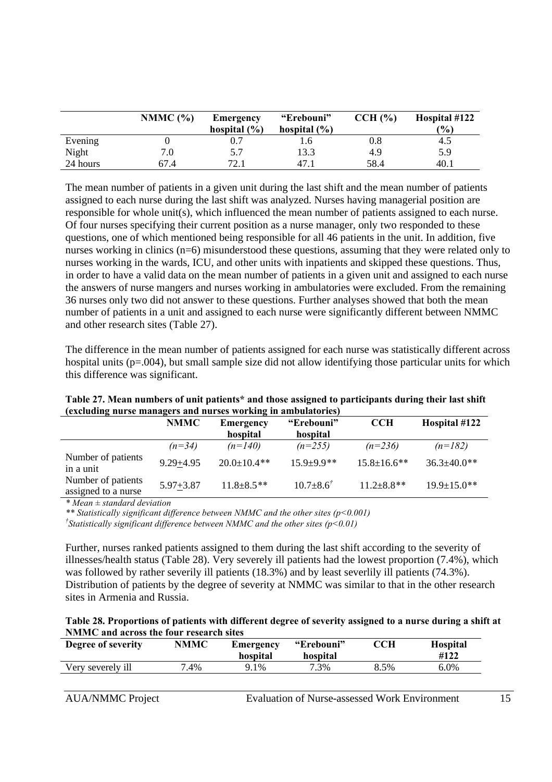|          | NMMC $(%)$ | Emergency<br>hospital $(\% )$ | "Erebouni"<br>hospital $(\% )$ | CCH (%)   | Hospital #122<br>(%) |
|----------|------------|-------------------------------|--------------------------------|-----------|----------------------|
| Evening  |            |                               | b                              | $\rm 0.8$ | 4.5                  |
| Night    | 7.0        | 5.7                           | 13.3                           | 4.9       | 5.9                  |
| 24 hours | 67.4       | 72.1                          | 47.1                           | 58.4      | 40.1                 |

The mean number of patients in a given unit during the last shift and the mean number of patients assigned to each nurse during the last shift was analyzed. Nurses having managerial position are responsible for whole unit(s), which influenced the mean number of patients assigned to each nurse. Of four nurses specifying their current position as a nurse manager, only two responded to these questions, one of which mentioned being responsible for all 46 patients in the unit. In addition, five nurses working in clinics (n=6) misunderstood these questions, assuming that they were related only to nurses working in the wards, ICU, and other units with inpatients and skipped these questions. Thus, in order to have a valid data on the mean number of patients in a given unit and assigned to each nurse the answers of nurse mangers and nurses working in ambulatories were excluded. From the remaining 36 nurses only two did not answer to these questions. Further analyses showed that both the mean number of patients in a unit and assigned to each nurse were significantly different between NMMC and other research sites (Table 27).

The difference in the mean number of patients assigned for each nurse was statistically different across hospital units (p=.004), but small sample size did not allow identifying those particular units for which this difference was significant.

| (excluding nurse managers and nurses working in amburatories) |               |                    |                          |                    |                    |  |  |
|---------------------------------------------------------------|---------------|--------------------|--------------------------|--------------------|--------------------|--|--|
|                                                               | <b>NMMC</b>   | <b>Emergency</b>   | "Erebouni"               | <b>CCH</b>         | Hospital #122      |  |  |
|                                                               |               | hospital           | hospital                 |                    |                    |  |  |
|                                                               | $(n=34)$      | $(n=140)$          | $(n=255)$                | $(n=236)$          | $(n=182)$          |  |  |
| Number of patients<br>in a unit                               | $9.29 + 4.95$ | $20.0 \pm 10.4$ ** | $15.9 + 9.9**$           | $15.8 \pm 16.6$ ** | $36.3 \pm 40.0$ ** |  |  |
| Number of patients<br>assigned to a nurse                     | $5.97 + 3.87$ | $11.8 \pm 8.5$ **  | $10.7 \pm 8.6^{\dagger}$ | $11.2 \pm 8.8$ **  | $19.9 \pm 15.0$ ** |  |  |

**Table 27. Mean numbers of unit patients\* and those assigned to participants during their last shift (excluding nurse managers and nurses working in ambulatories)**

*\* Mean ± standard deviation*

*\*\* Statistically significant difference between NMMC and the other sites (p<0.001)*

*† Statistically significant difference between NMMC and the other sites (p<0.01)*

Further, nurses ranked patients assigned to them during the last shift according to the severity of illnesses/health status (Table 28). Very severely ill patients had the lowest proportion (7.4%), which was followed by rather severily ill patients (18.3%) and by least severlily ill patients (74.3%). Distribution of patients by the degree of severity at NMMC was similar to that in the other research sites in Armenia and Russia.

| Table 28. Proportions of patients with different degree of severity assigned to a nurse during a shift at |  |
|-----------------------------------------------------------------------------------------------------------|--|
| <b>NMMC</b> and across the four research sites                                                            |  |

| Degree of severity | <b>NMMC</b> | Emergency<br>hospital | "Erebouni"<br>hospital | $\mathbb C\mathbf{CH}$ | <b>Hospital</b><br>#122 |
|--------------------|-------------|-----------------------|------------------------|------------------------|-------------------------|
| Very severely ill  | 7.4%        | 9.1%                  | 7.3%                   | 8.5%                   | 6.0%                    |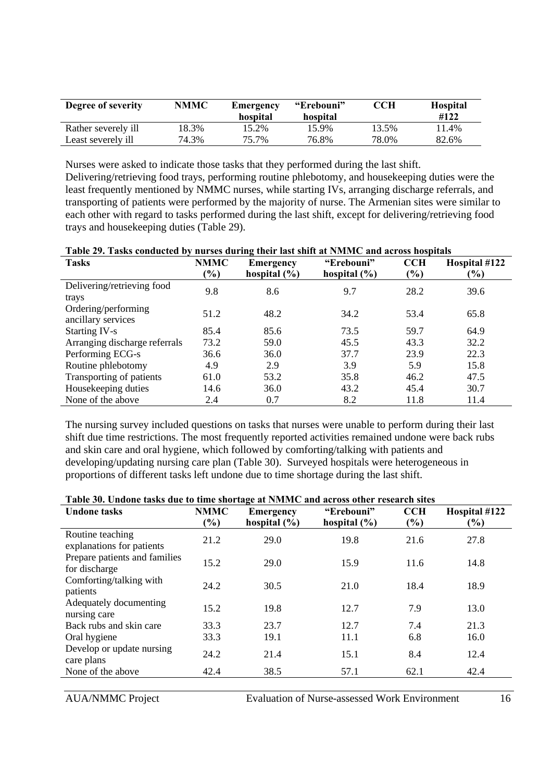| Degree of severity  | <b>NMMC</b> | Emergency<br>hospital | "Erebouni"<br>hospital | CCH   | <b>Hospital</b><br>#122 |
|---------------------|-------------|-----------------------|------------------------|-------|-------------------------|
| Rather severely ill | 18.3%       | 15.2%                 | 15.9%                  | 13.5% | 11.4%                   |
| Least severely ill  | 74.3%       | 75.7%                 | 76.8%                  | 78.0% | 82.6%                   |

Nurses were asked to indicate those tasks that they performed during the last shift. Delivering/retrieving food trays, performing routine phlebotomy, and housekeeping duties were the least frequently mentioned by NMMC nurses, while starting IVs, arranging discharge referrals, and transporting of patients were performed by the majority of nurse. The Armenian sites were similar to each other with regard to tasks performed during the last shift, except for delivering/retrieving food trays and housekeeping duties (Table 29).

| Table 27. Tasks conducted by hurses during their last sinit at Fightic and across hospitals |               |                  |                  |            |               |  |  |
|---------------------------------------------------------------------------------------------|---------------|------------------|------------------|------------|---------------|--|--|
| <b>Tasks</b>                                                                                | <b>NMMC</b>   | <b>Emergency</b> | "Erebouni"       | <b>CCH</b> | Hospital #122 |  |  |
|                                                                                             | $\frac{9}{6}$ | hospital $(\% )$ | hospital $(\% )$ | $(\%)$     | $(\%)$        |  |  |
| Delivering/retrieving food                                                                  | 9.8           | 8.6              | 9.7              | 28.2       | 39.6          |  |  |
| trays                                                                                       |               |                  |                  |            |               |  |  |
| Ordering/performing                                                                         |               |                  |                  |            |               |  |  |
| ancillary services                                                                          | 51.2          | 48.2             | 34.2             | 53.4       | 65.8          |  |  |
| <b>Starting IV-s</b>                                                                        | 85.4          | 85.6             | 73.5             | 59.7       | 64.9          |  |  |
| Arranging discharge referrals                                                               | 73.2          | 59.0             | 45.5             | 43.3       | 32.2          |  |  |
| Performing ECG-s                                                                            | 36.6          | 36.0             | 37.7             | 23.9       | 22.3          |  |  |
| Routine phlebotomy                                                                          | 4.9           | 2.9              | 3.9              | 5.9        | 15.8          |  |  |
| Transporting of patients                                                                    | 61.0          | 53.2             | 35.8             | 46.2       | 47.5          |  |  |
| Housekeeping duties                                                                         | 14.6          | 36.0             | 43.2             | 45.4       | 30.7          |  |  |
| None of the above                                                                           | 2.4           | 0.7              | 8.2              | 11.8       | 11.4          |  |  |

| Table 29. Tasks conducted by nurses during their last shift at NMMC and across hospitals |  |  |  |  |
|------------------------------------------------------------------------------------------|--|--|--|--|
|------------------------------------------------------------------------------------------|--|--|--|--|

The nursing survey included questions on tasks that nurses were unable to perform during their last shift due time restrictions. The most frequently reported activities remained undone were back rubs and skin care and oral hygiene, which followed by comforting/talking with patients and developing/updating nursing care plan (Table 30). Surveyed hospitals were heterogeneous in proportions of different tasks left undone due to time shortage during the last shift.

| <b>Undone tasks</b>                            | <b>NMMC</b>                  | <b>Emergency</b> | "Erebouni"       | <b>CCH</b> | Hospital #122 |
|------------------------------------------------|------------------------------|------------------|------------------|------------|---------------|
|                                                | $\left( \frac{9}{6} \right)$ | hospital $(\% )$ | hospital $(\% )$ | (%)        | $(\%)$        |
| Routine teaching<br>explanations for patients  | 21.2                         | 29.0             | 19.8             | 21.6       | 27.8          |
| Prepare patients and families<br>for discharge | 15.2                         | 29.0             | 15.9             | 11.6       | 14.8          |
| Comforting/talking with<br>patients            | 24.2                         | 30.5             | 21.0             | 18.4       | 18.9          |
| Adequately documenting<br>nursing care         | 15.2                         | 19.8             | 12.7             | 7.9        | 13.0          |
| Back rubs and skin care                        | 33.3                         | 23.7             | 12.7             | 7.4        | 21.3          |
| Oral hygiene                                   | 33.3                         | 19.1             | 11.1             | 6.8        | 16.0          |
| Develop or update nursing<br>care plans        | 24.2                         | 21.4             | 15.1             | 8.4        | 12.4          |
| None of the above                              | 42.4                         | 38.5             | 57.1             | 62.1       | 42.4          |

AUA/NMMC Project Evaluation of Nurse-assessed Work Environment 16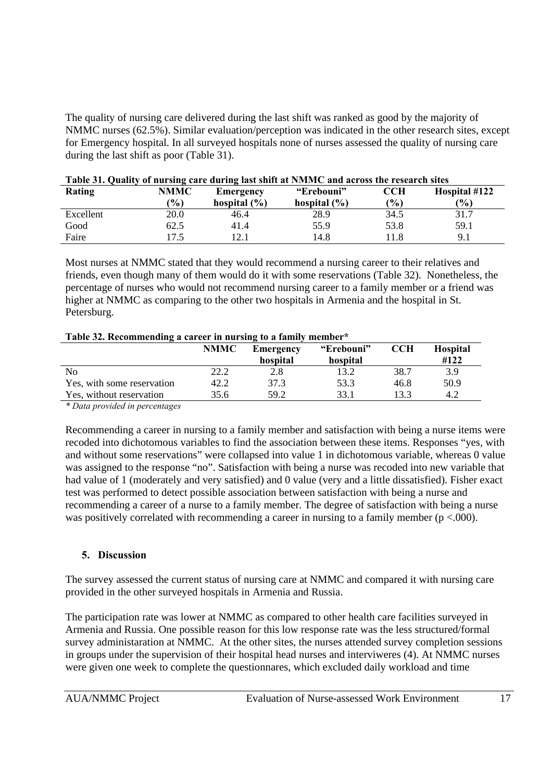The quality of nursing care delivered during the last shift was ranked as good by the majority of NMMC nurses (62.5%). Similar evaluation/perception was indicated in the other research sites, except for Emergency hospital. In all surveyed hospitals none of nurses assessed the quality of nursing care during the last shift as poor (Table 31).

| Rating    | <b>NMMC</b><br>$($ % $)$ | Emergency<br>hospital $(\% )$ | "Erebouni"<br>hospital $(\% )$ | CCH<br>(%) | Hospital #122<br>(%) |
|-----------|--------------------------|-------------------------------|--------------------------------|------------|----------------------|
| Excellent | 20.0                     | 46.4                          | 28.9                           | 34.5       | 31.7                 |
| Good      | 62.5                     | 41.4                          | 55.9                           | 53.8       | 59.1                 |
| Faire     |                          | 1 2 1<br>2. J                 | 14.8                           | 11.8       | 9.1                  |

| Table 31. Quality of nursing care during last shift at NMMC and across the research sites |
|-------------------------------------------------------------------------------------------|
|-------------------------------------------------------------------------------------------|

Most nurses at NMMC stated that they would recommend a nursing career to their relatives and friends, even though many of them would do it with some reservations (Table 32). Nonetheless, the percentage of nurses who would not recommend nursing career to a family member or a friend was higher at NMMC as comparing to the other two hospitals in Armenia and the hospital in St. Petersburg.

| Table 32. Recommending a career in nursing to a family member* |  |  |
|----------------------------------------------------------------|--|--|
|                                                                |  |  |

|                            | <b>NMMC</b> | Emergency | "Erebouni" | CCH  | <b>Hospital</b> |
|----------------------------|-------------|-----------|------------|------|-----------------|
|                            |             | hospital  | hospital   |      | #122            |
| N <sub>0</sub>             | 22.2        | 2.8       | 13.2       | 38.7 | 3.9             |
| Yes, with some reservation | 42.2        | 37.3      | 53.3       | 46.8 | 50.9            |
| Yes, without reservation   | 35.6        | 59.2      | 33.1       | 13.3 | 4.2             |
|                            |             |           |            |      |                 |

*\* Data provided in percentages* 

Recommending a career in nursing to a family member and satisfaction with being a nurse items were recoded into dichotomous variables to find the association between these items. Responses "yes, with and without some reservations" were collapsed into value 1 in dichotomous variable, whereas 0 value was assigned to the response "no". Satisfaction with being a nurse was recoded into new variable that had value of 1 (moderately and very satisfied) and 0 value (very and a little dissatisfied). Fisher exact test was performed to detect possible association between satisfaction with being a nurse and recommending a career of a nurse to a family member. The degree of satisfaction with being a nurse was positively correlated with recommending a career in nursing to a family member ( $p < .000$ ).

#### **5. Discussion**

The survey assessed the current status of nursing care at NMMC and compared it with nursing care provided in the other surveyed hospitals in Armenia and Russia.

The participation rate was lower at NMMC as compared to other health care facilities surveyed in Armenia and Russia. One possible reason for this low response rate was the less structured/formal survey administaration at NMMC. At the other sites, the nurses attended survey completion sessions in groups under the supervision of their hospital head nurses and interviweres (4). At NMMC nurses were given one week to complete the questionnares, which excluded daily workload and time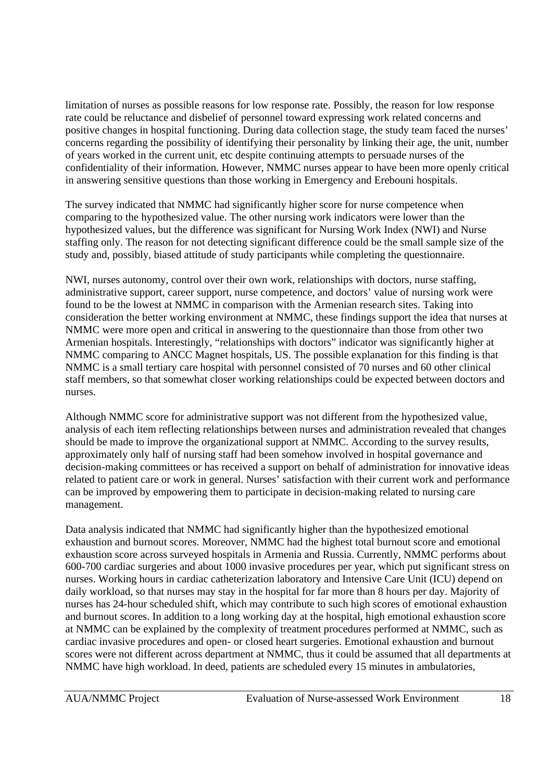limitation of nurses as possible reasons for low response rate. Possibly, the reason for low response rate could be reluctance and disbelief of personnel toward expressing work related concerns and positive changes in hospital functioning. During data collection stage, the study team faced the nurses' concerns regarding the possibility of identifying their personality by linking their age, the unit, number of years worked in the current unit, etc despite continuing attempts to persuade nurses of the confidentiality of their information. However, NMMC nurses appear to have been more openly critical in answering sensitive questions than those working in Emergency and Erebouni hospitals.

The survey indicated that NMMC had significantly higher score for nurse competence when comparing to the hypothesized value. The other nursing work indicators were lower than the hypothesized values, but the difference was significant for Nursing Work Index (NWI) and Nurse staffing only. The reason for not detecting significant difference could be the small sample size of the study and, possibly, biased attitude of study participants while completing the questionnaire.

NWI, nurses autonomy, control over their own work, relationships with doctors, nurse staffing, administrative support, career support, nurse competence, and doctors' value of nursing work were found to be the lowest at NMMC in comparison with the Armenian research sites. Taking into consideration the better working environment at NMMC, these findings support the idea that nurses at NMMC were more open and critical in answering to the questionnaire than those from other two Armenian hospitals. Interestingly, "relationships with doctors" indicator was significantly higher at NMMC comparing to ANCC Magnet hospitals, US. The possible explanation for this finding is that NMMC is a small tertiary care hospital with personnel consisted of 70 nurses and 60 other clinical staff members, so that somewhat closer working relationships could be expected between doctors and nurses.

Although NMMC score for administrative support was not different from the hypothesized value, analysis of each item reflecting relationships between nurses and administration revealed that changes should be made to improve the organizational support at NMMC. According to the survey results, approximately only half of nursing staff had been somehow involved in hospital governance and decision-making committees or has received a support on behalf of administration for innovative ideas related to patient care or work in general. Nurses' satisfaction with their current work and performance can be improved by empowering them to participate in decision-making related to nursing care management.

Data analysis indicated that NMMC had significantly higher than the hypothesized emotional exhaustion and burnout scores. Moreover, NMMC had the highest total burnout score and emotional exhaustion score across surveyed hospitals in Armenia and Russia. Currently, NMMC performs about 600-700 cardiac surgeries and about 1000 invasive procedures per year, which put significant stress on nurses. Working hours in cardiac catheterization laboratory and Intensive Care Unit (ICU) depend on daily workload, so that nurses may stay in the hospital for far more than 8 hours per day. Majority of nurses has 24-hour scheduled shift, which may contribute to such high scores of emotional exhaustion and burnout scores. In addition to a long working day at the hospital, high emotional exhaustion score at NMMC can be explained by the complexity of treatment procedures performed at NMMC, such as cardiac invasive procedures and open- or closed heart surgeries. Emotional exhaustion and burnout scores were not different across department at NMMC, thus it could be assumed that all departments at NMMC have high workload. In deed, patients are scheduled every 15 minutes in ambulatories,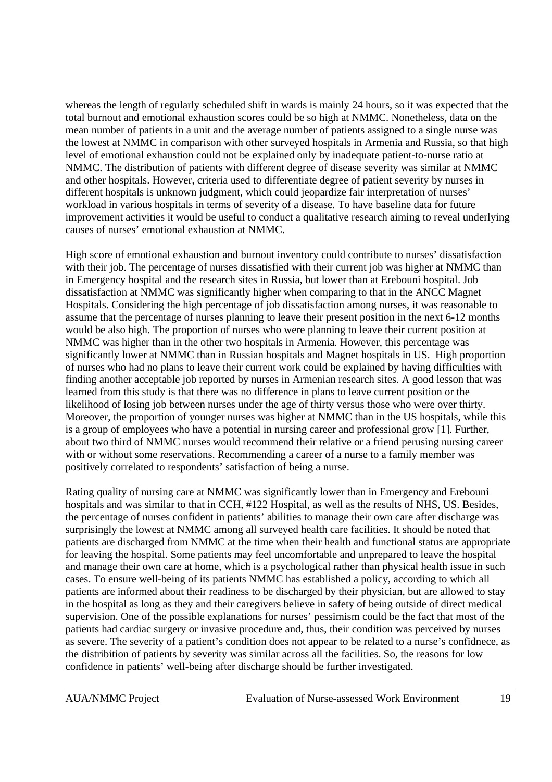whereas the length of regularly scheduled shift in wards is mainly 24 hours, so it was expected that the total burnout and emotional exhaustion scores could be so high at NMMC. Nonetheless, data on the mean number of patients in a unit and the average number of patients assigned to a single nurse was the lowest at NMMC in comparison with other surveyed hospitals in Armenia and Russia, so that high level of emotional exhaustion could not be explained only by inadequate patient-to-nurse ratio at NMMC. The distribution of patients with different degree of disease severity was similar at NMMC and other hospitals. However, criteria used to differentiate degree of patient severity by nurses in different hospitals is unknown judgment, which could jeopardize fair interpretation of nurses' workload in various hospitals in terms of severity of a disease. To have baseline data for future improvement activities it would be useful to conduct a qualitative research aiming to reveal underlying causes of nurses' emotional exhaustion at NMMC.

High score of emotional exhaustion and burnout inventory could contribute to nurses' dissatisfaction with their job. The percentage of nurses dissatisfied with their current job was higher at NMMC than in Emergency hospital and the research sites in Russia, but lower than at Erebouni hospital. Job dissatisfaction at NMMC was significantly higher when comparing to that in the ANCC Magnet Hospitals. Considering the high percentage of job dissatisfaction among nurses, it was reasonable to assume that the percentage of nurses planning to leave their present position in the next 6-12 months would be also high. The proportion of nurses who were planning to leave their current position at NMMC was higher than in the other two hospitals in Armenia. However, this percentage was significantly lower at NMMC than in Russian hospitals and Magnet hospitals in US. High proportion of nurses who had no plans to leave their current work could be explained by having difficulties with finding another acceptable job reported by nurses in Armenian research sites. A good lesson that was learned from this study is that there was no difference in plans to leave current position or the likelihood of losing job between nurses under the age of thirty versus those who were over thirty. Moreover, the proportion of younger nurses was higher at NMMC than in the US hospitals, while this is a group of employees who have a potential in nursing career and professional grow [1]. Further, about two third of NMMC nurses would recommend their relative or a friend perusing nursing career with or without some reservations. Recommending a career of a nurse to a family member was positively correlated to respondents' satisfaction of being a nurse.

Rating quality of nursing care at NMMC was significantly lower than in Emergency and Erebouni hospitals and was similar to that in CCH, #122 Hospital, as well as the results of NHS, US. Besides, the percentage of nurses confident in patients' abilities to manage their own care after discharge was surprisingly the lowest at NMMC among all surveyed health care facilities. It should be noted that patients are discharged from NMMC at the time when their health and functional status are appropriate for leaving the hospital. Some patients may feel uncomfortable and unprepared to leave the hospital and manage their own care at home, which is a psychological rather than physical health issue in such cases. To ensure well-being of its patients NMMC has established a policy, according to which all patients are informed about their readiness to be discharged by their physician, but are allowed to stay in the hospital as long as they and their caregivers believe in safety of being outside of direct medical supervision. One of the possible explanations for nurses' pessimism could be the fact that most of the patients had cardiac surgery or invasive procedure and, thus, their condition was perceived by nurses as severe. The severity of a patient's condition does not appear to be related to a nurse's confidnece, as the distribition of patients by severity was similar across all the facilities. So, the reasons for low confidence in patients' well-being after discharge should be further investigated.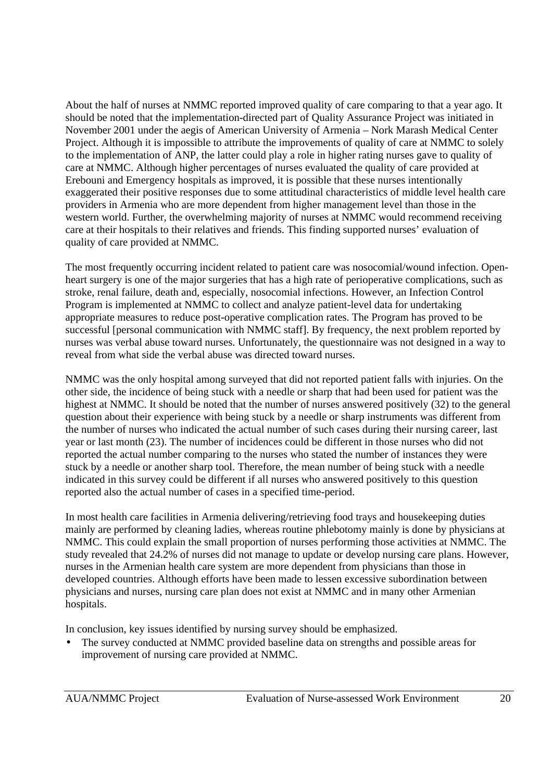About the half of nurses at NMMC reported improved quality of care comparing to that a year ago. It should be noted that the implementation-directed part of Quality Assurance Project was initiated in November 2001 under the aegis of American University of Armenia – Nork Marash Medical Center Project. Although it is impossible to attribute the improvements of quality of care at NMMC to solely to the implementation of ANP, the latter could play a role in higher rating nurses gave to quality of care at NMMC. Although higher percentages of nurses evaluated the quality of care provided at Erebouni and Emergency hospitals as improved, it is possible that these nurses intentionally exaggerated their positive responses due to some attitudinal characteristics of middle level health care providers in Armenia who are more dependent from higher management level than those in the western world. Further, the overwhelming majority of nurses at NMMC would recommend receiving care at their hospitals to their relatives and friends. This finding supported nurses' evaluation of quality of care provided at NMMC.

The most frequently occurring incident related to patient care was nosocomial/wound infection. Openheart surgery is one of the major surgeries that has a high rate of perioperative complications, such as stroke, renal failure, death and, especially, nosocomial infections. However, an Infection Control Program is implemented at NMMC to collect and analyze patient-level data for undertaking appropriate measures to reduce post-operative complication rates. The Program has proved to be successful [personal communication with NMMC staff]. By frequency, the next problem reported by nurses was verbal abuse toward nurses. Unfortunately, the questionnaire was not designed in a way to reveal from what side the verbal abuse was directed toward nurses.

NMMC was the only hospital among surveyed that did not reported patient falls with injuries. On the other side, the incidence of being stuck with a needle or sharp that had been used for patient was the highest at NMMC. It should be noted that the number of nurses answered positively (32) to the general question about their experience with being stuck by a needle or sharp instruments was different from the number of nurses who indicated the actual number of such cases during their nursing career, last year or last month (23). The number of incidences could be different in those nurses who did not reported the actual number comparing to the nurses who stated the number of instances they were stuck by a needle or another sharp tool. Therefore, the mean number of being stuck with a needle indicated in this survey could be different if all nurses who answered positively to this question reported also the actual number of cases in a specified time-period.

In most health care facilities in Armenia delivering/retrieving food trays and housekeeping duties mainly are performed by cleaning ladies, whereas routine phlebotomy mainly is done by physicians at NMMC. This could explain the small proportion of nurses performing those activities at NMMC. The study revealed that 24.2% of nurses did not manage to update or develop nursing care plans. However, nurses in the Armenian health care system are more dependent from physicians than those in developed countries. Although efforts have been made to lessen excessive subordination between physicians and nurses, nursing care plan does not exist at NMMC and in many other Armenian hospitals.

In conclusion, key issues identified by nursing survey should be emphasized.

The survey conducted at NMMC provided baseline data on strengths and possible areas for improvement of nursing care provided at NMMC.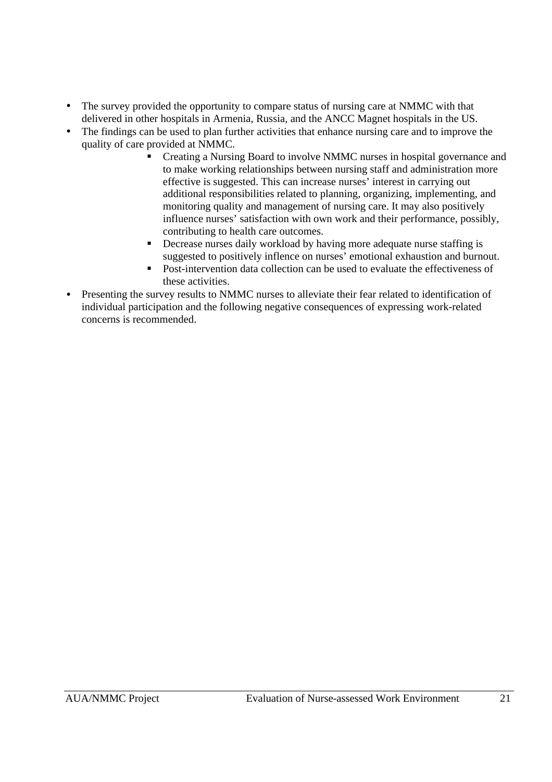- The survey provided the opportunity to compare status of nursing care at NMMC with that delivered in other hospitals in Armenia, Russia, and the ANCC Magnet hospitals in the US.
- The findings can be used to plan further activities that enhance nursing care and to improve the quality of care provided at NMMC.
	- ß Creating a Nursing Board to involve NMMC nurses in hospital governance and to make working relationships between nursing staff and administration more effective is suggested. This can increase nurses' interest in carrying out additional responsibilities related to planning, organizing, implementing, and monitoring quality and management of nursing care. It may also positively influence nurses' satisfaction with own work and their performance, possibly, contributing to health care outcomes.
	- Decrease nurses daily workload by having more adequate nurse staffing is suggested to positively inflence on nurses' emotional exhaustion and burnout.
	- ß Post-intervention data collection can be used to evaluate the effectiveness of these activities.
- Presenting the survey results to NMMC nurses to alleviate their fear related to identification of individual participation and the following negative consequences of expressing work-related concerns is recommended.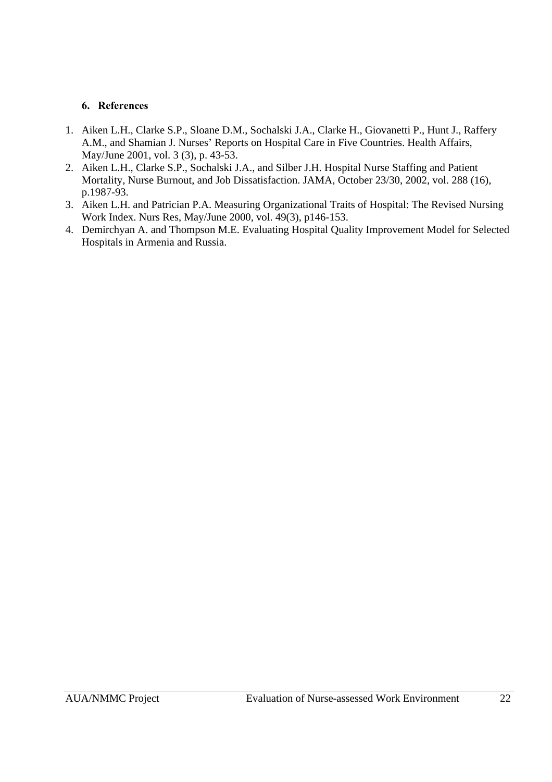## **6. References**

- 1. Aiken L.H., Clarke S.P., Sloane D.M., Sochalski J.A., Clarke H., Giovanetti P., Hunt J., Raffery A.M., and Shamian J. Nurses' Reports on Hospital Care in Five Countries. Health Affairs, May/June 2001, vol. 3 (3), p. 43-53.
- 2. Aiken L.H., Clarke S.P., Sochalski J.A., and Silber J.H. Hospital Nurse Staffing and Patient Mortality, Nurse Burnout, and Job Dissatisfaction. JAMA, October 23/30, 2002, vol. 288 (16), p.1987-93.
- 3. Aiken L.H. and Patrician P.A. Measuring Organizational Traits of Hospital: The Revised Nursing Work Index. Nurs Res, May/June 2000, vol. 49(3), p146-153.
- 4. Demirchyan A. and Thompson M.E. Evaluating Hospital Quality Improvement Model for Selected Hospitals in Armenia and Russia.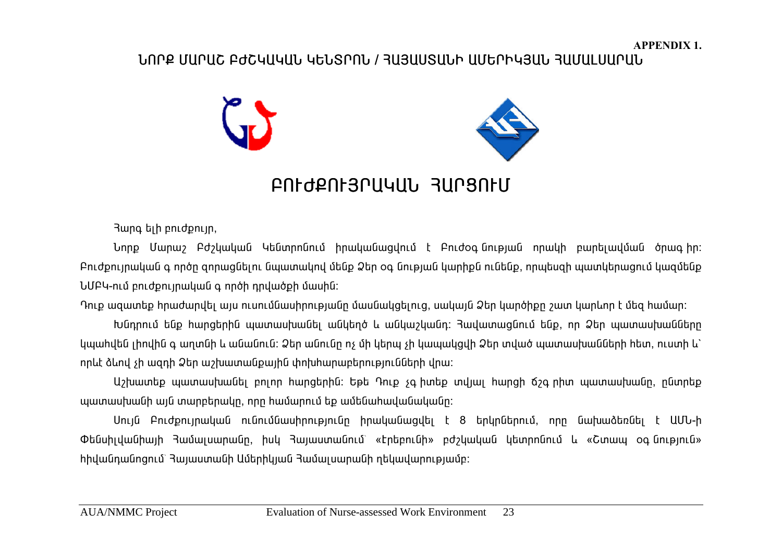## **Üàðø Ø²ð²Þ ´ÄÞÎ²Î²Ü ÎºÜîðàÜ / вڲêî²ÜÆ ²ØºðÆÎÚ²Ü Ð²Ø²Èê²ð²Ü**



# **´àôÄøàôÚð²Î²Ü вðòàôØ**

Rung bih pnidpnijn,

 $U$ որք Մարաշ Բժշկական Կենտրոնում իրականացվում է Բուժօգնության որակի բարելավման ծրագիր։ <u>Բուժքույրական գ ործը զորազնելու նպատակով մենք Ձեր օգ նության կարիքն ունենք, որպեսզի պատկերացում կազմենք</u> UUF4-nւմ բուժքույրական գ ործի դրվածքի մասին:

Դուք ազատեք իրաժարվել այս ուսումնասիրությանը մասնակցելուց, սակայն Ձեր կարծիքը շատ կարևոր է մեց իամար։

<u>Խնդրում ենք իարցերին պատասխանել անկեղծ և անկաշկանդ։ Յավատացնում ենք, որ Ձեր պատասխանները</u> <u>կպաիվեն լիովին գ աղտնի և անանուն։ Ձեր անունը ոչ մի կերպ չի կապակզվի Ձեր տված պատասխանների իետ, ուստի և՝</u> nnևէ ձևով չի ազդի Ձեր աշխատանքային փոխիարաբերությունների վրա:

U>խատեք պատասխանել բոլոր hարցերին: Եթե Դուք չգ իտեք տվյալ hարցի ճշգ րիտ պատասխանը, ընտրեք <u>պատասխանի այն տարբերակը, որը իամարում եք ամենաիավանականը։</u>

Uույն Բուժքույրական ունումնասիրությունը իրականացվել է 8 երկրներում, որը նախաձեռնել է ԱՄՆ-ի Oենսիլվանիայի Յամալսարանը, իսկ Յայաստանում` «Էրեբունի» բժշկական կետրոնում և «Շտապ օգնություն» <u>hիվանդանոցում՝ Յայաստանի Ամերիկյան Յամալսարանի ղեկավարությամբ։</u>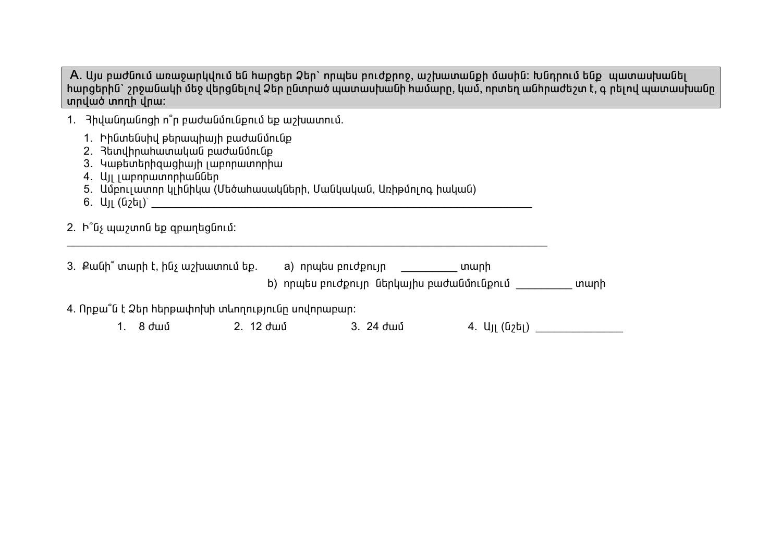A. Այս բաժնում առաջարկվում են hարցեր Ձեր` որպես բուժքրոջ, աշխատանքի մասին։ Խնդրում ենք պատասխանել <u>ծարցերին` շրջանակի մեջ վերցնելով Ձեր ընտրած պատասխանի համարը, կամ, որտեղ անհրաժեշտ է, գ րելով պատասխանը</u> **innual** innum unu:

- 1. Bhywūnwūngh n<sup>o</sup>n pwdwūúnLūpnLú bp wahwunnLú.
	- 1. Իինտենսիվ թերապիայի բաժանմունք
	- 2. Rundhnwhwwwwwu pwdwu uning
	- 3. Կաթետերիզացիայի լաբորատորիա
	- 4. UJL Lupnpwunnphwudbp
	- 5. Ամբուլատոր կլինիկա (Մեծահասակների, Մանկական, Առիթմոլոգ իական)
	- $6. \text{U}_{II}$  (G<sub>2</sub>G<sub>I</sub>)<sup> $\text{V}}$ </sup>
- 2.  $\mathsf{h}^{\circ}$ նչ պաշտոն եք զբաղեցնում:  $\mathcal{L}_\text{max}$  and  $\mathcal{L}_\text{max}$  and  $\mathcal{L}_\text{max}$  and  $\mathcal{L}_\text{max}$  and  $\mathcal{L}_\text{max}$  and  $\mathcal{L}_\text{max}$

| 3. Քանի՞ տարի է, ինչ աշխատում եք.                                                                                                                                                                                                         | a) որպես բուժքույր | տարի                                       |      |
|-------------------------------------------------------------------------------------------------------------------------------------------------------------------------------------------------------------------------------------------|--------------------|--------------------------------------------|------|
|                                                                                                                                                                                                                                           |                    | b) որպես բուժքույր  ներկայիս բաժանմունքում | տարի |
| $\overline{A}$ of $\overline{C}$ is the set of the set of the set of the set of the set of the set of the set of the set of the set of the set of the set of the set of the set of the set of the set of the set of the set of the set of |                    |                                            |      |

4. Որքա՞ն է Ձեր հերթափոխի տևողությունը սովորաբար:

1. 8 ųÙ 2. 12 ųÙ 3. 24 ųÙ 4. ²ÛÉ (Ýß»É) \_\_\_\_\_\_\_\_\_\_\_\_\_\_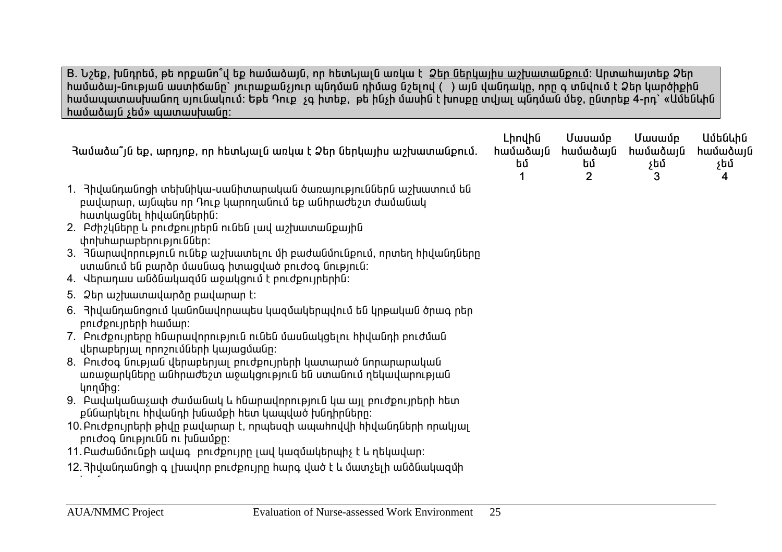B. Նշեք, խնդրեմ, թե որքանո՞վ եք hամաձայն, որ hետևյալն առկա է 2եր ներկայիս աշխատանքում: Արտահայտեք Ձեր **իամաձայ-նության աստիճանը` յուրաքանչյուր** պնդման դիմաց նշելով ( ) այն վանդակը, որը գ տնվում է Ձեր կարծիքին **ѳٳå³ï³ë˳ÝáÕ ëÛáõݳÏáõÙ: ºÃ» ¸áõù ã· Çï»ù, û ÇÝãÇ Ù³ëÇÝ ¿ ËáëùÁ ïíÛ³É åÝ¹Ù³Ý Ù»ç, ÁÝïñ»ù 4-ñ¹` §²Ù»Ý¨ÇÝ h**ամաձայն չեմ» պատասխանը:

| բավարար, այնպես որ Դուք կարողանում եք անիրաժեշտ ժամանակ<br>հատկացնել հիվանդներին։<br>փոխիարաբերություններ։<br>ստանում են բարձր մասնագ իտացված բուժօգ նություն:<br>բուժքույրերի համար։<br>վերաբերյալ որոշումների կայացմանը։<br>առաջարկները անհրաժեշտ աջակցություն են ստանում ղեկավարության<br>կողմից։<br>քննարկելու հիվանդի խնամքի հետ կապված խնդիրները։<br>բուժօգ նությունն ու խնամքը։ | Յամաձա՞յն եք, արդյոք, որ հետևյալն առկա է Ձեր ներկայիս աշխատանքում.                                                                                                                                                                                                                                                                                                                                                                                                                                                                                                                                                                                                                                                                                                              | Lhnyhū<br>համաձայն<br>եմ | Մասամբ<br>համաձայն<br>եմ<br>$\overline{2}$ | Մասամբ<br>համաձայն<br>չեմ<br>3 | Ամենևին<br>համաձայն<br>չեմ<br>4 |
|----------------------------------------------------------------------------------------------------------------------------------------------------------------------------------------------------------------------------------------------------------------------------------------------------------------------------------------------------------------------------------------|---------------------------------------------------------------------------------------------------------------------------------------------------------------------------------------------------------------------------------------------------------------------------------------------------------------------------------------------------------------------------------------------------------------------------------------------------------------------------------------------------------------------------------------------------------------------------------------------------------------------------------------------------------------------------------------------------------------------------------------------------------------------------------|--------------------------|--------------------------------------------|--------------------------------|---------------------------------|
|                                                                                                                                                                                                                                                                                                                                                                                        | 1. Յիվանդանոցի տեխնիկա-սանիտարական ծառայություններն աշխատում են<br>2. Բժիշկները և բուժքույրերն ունեն լավ աշխատանքային<br>3. Յնարավորություն ունեք աշխատելու մի բաժանմունքում, որտեղ հիվանդները<br>4. Վերադաս անձնակազմն աջակցում է բուժքույրերին:<br>5. Ձեր աշխատավարձը բավարար է։<br>6. Յիվանդանոցում կանոնավորապես կազմակերպվում են կրթական ծրագ րեր<br>7. Բուժքույրերը հնարավորություն ունեն մասնակցելու հիվանդի բուժման<br>8. Բուժօգ նության վերաբերյալ բուժքույրերի կատարած նորարարական<br>9. Բավականաչափ ժամանակ և հնարավորություն կա այլ բուժքույրերի հետ<br>10. Բուժքույրերի թիվը բավարար է, որպեսզի ապահովվի հիվանդների որակյալ<br>11. Բաժանմունքի ավագ բուժքույրը լավ կազմակերպիչ է և ղեկավար։<br>12. Յիվանդանոցի գ լխավոր բուժքույրը հարգ ված է և մատչելի անձնակազմի |                          |                                            |                                |                                 |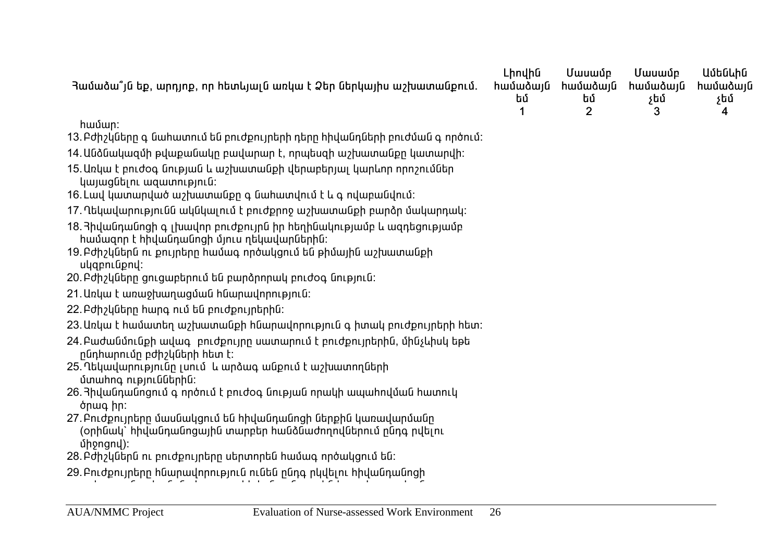| Յամաձա՞յն եք, արդյոք, որ հետևյալն առկա է Ձեր ներկայիս աշխատանքում.                                                                        | Lhnyhū<br><b>hամաձայն</b><br>եմ | Մասամբ<br><b>իամաձայն</b><br>եմ<br>$\overline{2}$ | Մասամբ<br><b>իամաձայն</b><br>չեմ<br>3 | Ամենևին<br><b>իամաձայն</b><br>չեմ<br>4 |
|-------------------------------------------------------------------------------------------------------------------------------------------|---------------------------------|---------------------------------------------------|---------------------------------------|----------------------------------------|
| համար։                                                                                                                                    |                                 |                                                   |                                       |                                        |
| 13. Բժիշկները գ նահատում են բուժքույրերի դերը հիվանդների բուժման գ ործում։                                                                |                                 |                                                   |                                       |                                        |
| 14. Անձնակազմի թվաքանակը բավարար է, որպեսզի աշխատանքը կատարվի։                                                                            |                                 |                                                   |                                       |                                        |
| 15. Առկա է բուժօգ նության և աշխատանքի վերաբերյալ կարևոր որոշումներ<br>կայացնելու ազատություն։                                             |                                 |                                                   |                                       |                                        |
| 16. Լավ կատարված աշխատանքը գ նահատվում է և գ ովաբանվում:                                                                                  |                                 |                                                   |                                       |                                        |
| 17. Ղեկավարությունն ակնկալում է բուժքրոջ աշխատանքի բարձր մակարդակ։                                                                        |                                 |                                                   |                                       |                                        |
| 18. Յիվանդանոցի գ լխավոր բուժքույրն իր հեղինակությամբ և ազդեցությամբ<br>համազոր է հիվանդանոցի մյուս ղեկավարներին։                         |                                 |                                                   |                                       |                                        |
| 19. Բժիշկներն ու քույրերը համագ ործակցում են թիմային աշխատանքի<br>ulgpniupny:                                                             |                                 |                                                   |                                       |                                        |
| 20. Բժիշկները ցուցաբերում են բարձրորակ բուժօգ նություն:                                                                                   |                                 |                                                   |                                       |                                        |
| 21. Առկա է առաջխաղացման հնարավորություն:                                                                                                  |                                 |                                                   |                                       |                                        |
| 22. Բժիշկները հարգ ում են բուժքույրերին։                                                                                                  |                                 |                                                   |                                       |                                        |
| 23. Առկա է համատեղ աշխատանքի հնարավորություն գ իտակ բուժքույրերի հետ։                                                                     |                                 |                                                   |                                       |                                        |
| 24. Բաժանմունքի ավագ բուժքույրը սատարում է բուժքույրերին, մինչևիսկ եթե<br>րնդիարումը բժիշկների հետ է։                                     |                                 |                                                   |                                       |                                        |
| 25. Ղեկավարությունը լսում և արձագ անքում է աշխատողների<br>մտահոգ ություններին։                                                            |                                 |                                                   |                                       |                                        |
| 26. 3իվանդանոցում գ ործում է բուժօգ նության որակի ապահովման հատուկ<br>ծրագ իր։                                                            |                                 |                                                   |                                       |                                        |
| 27.Բուժքույրերը մասնակցում են հիվանդանոցի ներքին կառավարմանը<br>(օրինակ` հիվանդանոցային տարբեր հանձնաժողովներում ընդգ րվելու<br>միջոցով)։ |                                 |                                                   |                                       |                                        |
| 28.Բժիշկներն ու բուժքույրերը սերտորեն համագ ործակցում են։                                                                                 |                                 |                                                   |                                       |                                        |
| 29 Բուժքույրերը հնարավորություն ունեն ընդգ րկվելու հիվանդանոցի                                                                            |                                 |                                                   |                                       |                                        |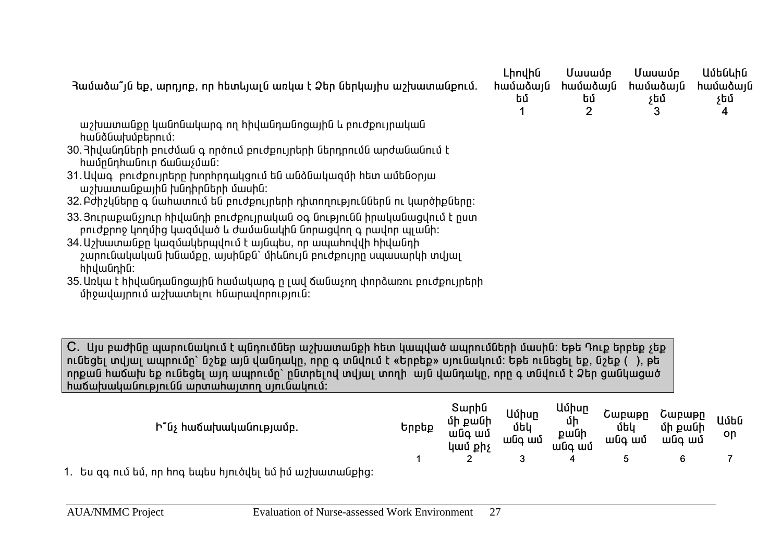| Յամաձա՞յն եք, արդյոք, որ հետևյալն առկա է Ձեր ներկայիս աշխատանքում.                                                                                                                                                                                                                                                                                                                                                                                                                                                                                                                                                                                                                                                                                                 | Լիովին<br>համաձայն<br>եմ | Մասամբ<br>համաձայն<br>եմ<br>$\overline{2}$ | Մասամբ<br>համաձայն<br>չեմ<br>3 | Ամենևին<br>համաձայն<br>չեմ<br>4 |  |
|--------------------------------------------------------------------------------------------------------------------------------------------------------------------------------------------------------------------------------------------------------------------------------------------------------------------------------------------------------------------------------------------------------------------------------------------------------------------------------------------------------------------------------------------------------------------------------------------------------------------------------------------------------------------------------------------------------------------------------------------------------------------|--------------------------|--------------------------------------------|--------------------------------|---------------------------------|--|
| աշխատանքը կանոնակարգ ող հիվանդանոցային և բուժքույրական<br>հանձնախմբերում։<br>30. Յիվանդների բուժման գ ործում բուժքույրերի ներդրումն արժանանում է<br>համընդհանուր ճանաչման։<br>31. Ավագ բուժքույրերը խորհրդակցում են անձնակազմի հետ ամենօրյա<br>աշխատանքային խնդիրների մասին։<br>32.Բժիշկները գ նահատում են բուժքույրերի դիտողություններն ու կարծիքները։<br>33.Յուրաքանչյուր հիվանդի բուժքույրական օգ նությունն իրականացվում է ըստ<br>բուժքրոջ կողմից կազմված և ժամանակին նորացվող գ րավոր պլանի։<br>34. Աշխատանքը կազմակերպվում է այնպես, որ ապահովվի հիվանդի<br>շարունակական խնամքը, այսինքն` միևնույն բուժքույրը սպասարկի տվյալ<br>իիվանդին։<br>35. Առկա է հիվանդանոցային համակարգ ը լավ ճանաչող փորձառու բուժքույրերի<br>միջավայրում աշխատելու հնարավորություն։ |                          |                                            |                                |                                 |  |
| C.  Այս բաժինը պարունակում է պնդումներ աշխատանքի հետ կապված ապրումների մասին։ Եթե Դուք երբեք չեք<br>ունեցել տվյալ ապրումը` նշեք այն վանդակը, որը գ տնվում է «Երբեք» սյունակում։ Եթե ունեցել եք, նշեք (  ), թե<br>որքան հաճախ եք ունեցել այդ ապրումը` ընտրելով տվյալ տողի  այն վանդակը, որը գ տնվում է Ձեր ցանկացած<br>հաճախականությունն արտահայտող սյունակում:                                                                                                                                                                                                                                                                                                                                                                                                     |                          |                                            |                                |                                 |  |

| Ի՞նչ հաճախականությամբ.                                                            | Երբեք | Տարին<br>մի քանի<br>անգ ամ<br>կամ քիչ | Ամիսր<br>մեկ<br>անգ ամ | Ամիսր<br>մի<br>քանի<br>անգ ամ | Շաբաթր<br>մեկ<br>անգ ամ | Cwpwpn<br>մի քանի<br>անգ ամ | Ամեն<br>on |
|-----------------------------------------------------------------------------------|-------|---------------------------------------|------------------------|-------------------------------|-------------------------|-----------------------------|------------|
|                                                                                   |       |                                       |                        |                               |                         | 6                           |            |
| انمطمت التمسين بالمنتد كتمل كطابط المكتمين ماريطان بالمقام المتمار كالكنيم المتمر |       |                                       |                        |                               |                         |                             |            |

1. Ես զգ ում եմ, որ hոգ եպես hյուծվել եմ իմ աշխատանքից։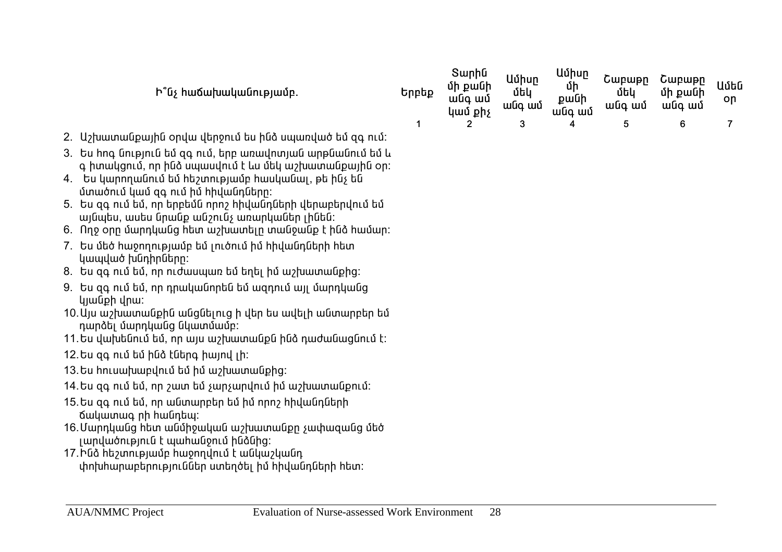| Ի՞նչ հաճախականությամբ.                                                               | Երբեք | Տարին<br>մի քանի<br>անգ ամ<br>կամ քիչ | Ամիսր<br>մեկ<br>անգ ամ | Ամիսր<br>մի<br>քանի<br>անգ ամ | Շաբաթը<br>մեկ<br>անգ ամ | Cwpwpn<br>մի քանի<br>անգ ամ | Ամեն<br>on |
|--------------------------------------------------------------------------------------|-------|---------------------------------------|------------------------|-------------------------------|-------------------------|-----------------------------|------------|
|                                                                                      |       |                                       |                        | 4                             |                         |                             |            |
| $\mu$ nufinuubli onduudknonu $\delta$ ku bliž uuuunduut ki $\delta$ ao nu $\delta$ : |       |                                       |                        |                               |                         |                             |            |

- 2. Աշխատանքային օրվա վերջում ես ինձ սպառված եմ զգ ում:
- 3. Ես hng նություն եմ զգ ում, երբ առավոտյան արթնանում եմ և a hunuyanı û, nn huð umunuyni í t un útly maturunung purifu on:
- $4.$  bu կարողանում եմ hեշտությամբ hասկանալ, թե ինչ են մտածում կամ զգ ում իմ hիվանդները:
- 5. bu qo nւմ եմ, որ երբեմն որոշ իիվանդների վերաբերվում եմ այնպես, ասես նրանք անշունչ առարկաներ լինեն:
- 6. nn onn մարդկանց hետ աշխատելը տանջանք է ինձ hամար:
- 7. Ես մեծ hաջողությամբ եմ յուծում իմ hիվանդների hետ luwulwo tuunhnutun:
- 8. Ես qq ում եմ, որ ուժասպառ եմ եղել իմ աշխատանքից:
- 9. Ես ցգ ում եմ, որ դրականորեն եմ ազդում այլ մարդկանց lijuuGph Unu:
- 10. Այս աշխատանքին անցնելուց ի վեր ես ավելի անտարբեր եմ nաnձել մարդկանց նկատմամբ:
- $11.$ Ես վախենում եմ, որ այս աշխատանքն ինձ դաժանացնում է:
- $12.$  bu go nư bu huộ tu thay hund th:
- $13.$ Ես hուսախաբվում եմ իմ աշխատանքից:
- $14.$ Ես զգ ում եմ, որ շատ եմ չարչարվում իմ աշխատանքում:
- $15.$ Ես ցգ ում եմ, որ անտարբեր եմ իմ որոշ իիվանդների ճակատագ nh hանդեպ:
- 16. Մարդկանց hետ անմիջական աշխատանքը չափացանց մեծ լարվածություն է պահանջում ինձնից:
- 17.Ինձ hեշտությամբ hաջողվում է անկաշկանդ փոխիարաբերություններ ստեղծել իմ իիվանդների իետ: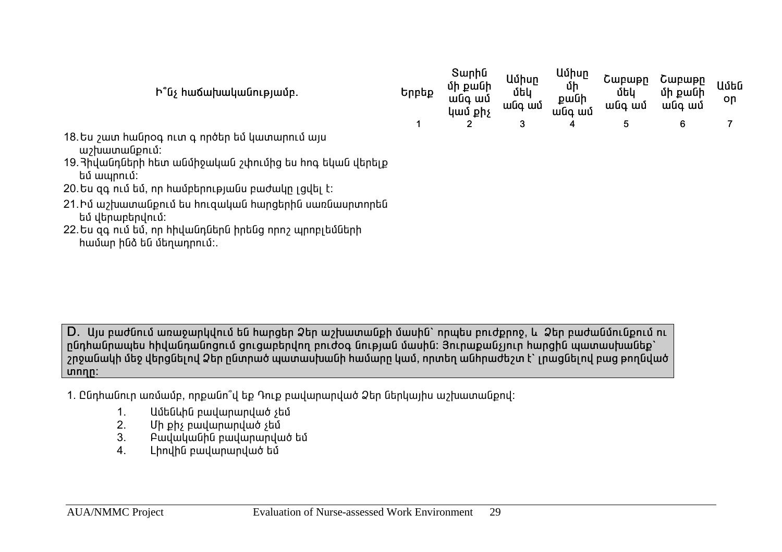| $\mathsf{h}^{\circ}$ նչ հաճախականությամբ.                                                                                              | Երբեք | Ծալլլա<br>մի քանի<br>անգ ամ<br>կամ քիչ | <b>U</b> uhun<br>մեկ<br>wūq wū | սսլալ<br>մի<br>pwuh<br>անգ ամ | Շաբաթը<br>մեկ<br>անգ ամ | Շաբաթր<br>մի քանի<br>անգ ամ | Ամեն<br>on |  |
|----------------------------------------------------------------------------------------------------------------------------------------|-------|----------------------------------------|--------------------------------|-------------------------------|-------------------------|-----------------------------|------------|--|
|                                                                                                                                        |       |                                        | 3                              | 4                             | 5                       | 6                           |            |  |
| 18. Ես շատ հանրօգ ուտ գ ործեր եմ կատարում այս<br>աշխատանքում:<br>19. Յիվանդների հետ անմիջական շփումից ես հոգ եկան վերելք<br>եմ ապրում: |       |                                        |                                |                               |                         |                             |            |  |
| 20.Ես զգ ում եմ, որ համբերությանս բաժակը լցվել է։                                                                                      |       |                                        |                                |                               |                         |                             |            |  |
| 21.Իմ աշխատանքում ես հուզական հարցերին սառնասրտորեն<br>եմ վերաբերվում:                                                                 |       |                                        |                                |                               |                         |                             |            |  |

 $S$ **unh** 

**U** 

D. Այս բաժնում առաջարկվում են hարցեր Ձեր աշխատանքի մասին` որպես բուժքրոջ, և Ձեր բաժանմունքում ու nնդիանրապես hիվանդանոցում ցուցաբերվող բուժօգ նության մասին: Յուրաքանչյուր hարցին պատասխանեք`  $\overline{a}$ րջանակի մեջ վերցնելով Ձեր ընտրած պատասխանի համարը կամ, որտեղ անիրաժեշտ է՝ լրացնելով բաց թողնված **unnn:** 

- 1. Ընդիանուր առմամբ, որքանո՞վ եք Դուք բավարարված Ձեր ներկայիս աշխատանքով:
	- 1. ²Ù»Ý¨ÇÝ µ³í³ñ³ñí³Í ã»Ù
	- Uh ph puulununuuo stú
	- 3. Բավականին բավարարված եմ

22. Ես գգ ում եմ, որ hիվանդներն իրենց որոշ պրոբլեմների

<u>hամար ինձ են մեղադրում:.</u>

4. Lhnyhū pwywnwnywo tu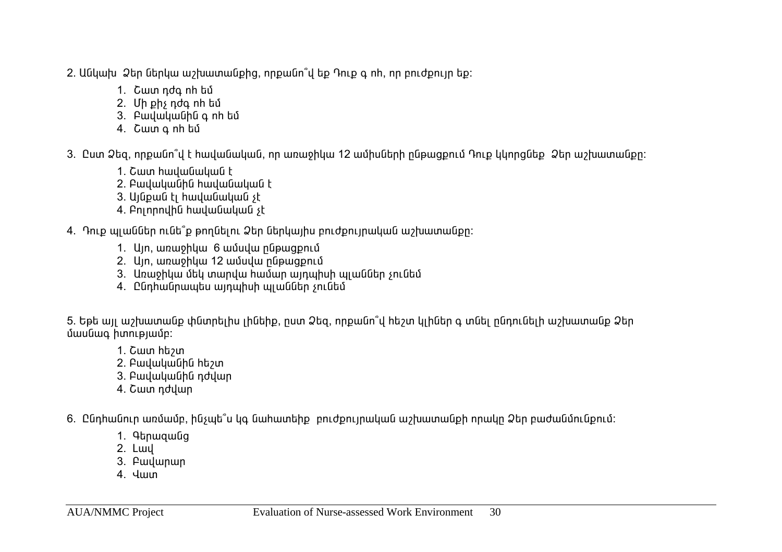- 2. Անկախ Ձեր ներկա աշխատանքից, որքանո՞վ եք Դուք գ ոհ, որ բուժքույր եք:
	- 1. Cww nda nh bú
	- 2. Uh ph<sub>s</sub> ndq nh bú
	- 3. PwywywGhG q nh bu
	- 4. Cww a nh bù

3. Cum Ձեց, որքանո՞վ է hավանական, որ առաջիկա 12 ամիսների ընթացքում Դուք կկորցնեք Ձեր աշխատանքը։

- 1. Շատ hավանական է
- 2. PwywywGhG hwywGwywG t
- 3. Ujūpwū tį hwywūwywū st
- 4. Pninnnyhū hwywūwywū st
- 4. Դուք պլաններ ունե՞ք թողնելու Ձեր ներկայիս բուժքույրական աշխատանքը:
	- 1. Un, wnwohluu 6 wuuluu nupwqpnu
	- 2. Ujn, wnwohluu 12 wuuluu nupwqpnuu
	- 3. Unwohluu utlu wundw hwuwn winwhuh wiwuatah sni utla
	- 4. Ընդիանրապես այդպիսի պյաններ չունեմ

5. Եթե այլ աշխատանք փնտրելիս լինեիք, ըստ Ձեզ, որքանո՞վ հեշտ կլիներ գ տնել ընդունելի աշխատանք Ձեր Úwuuuq hunlelwup:

- 1. Cww httpun
- $2.$  Բավականին hեշտ
- 3. PwywywGhG ndywn
- 4. Cwn ndywn

6. Ընդհանուր առմամբ, ինչպե՞ս կգ նահատեիք բուժքույրական աշխատանքի որակր Ձեր բաժանմունքում։

- 1. 9bnwqwuq
- 2. Lwy
- 3. Pwywnwn
- $4.$   $\frac{1}{10}$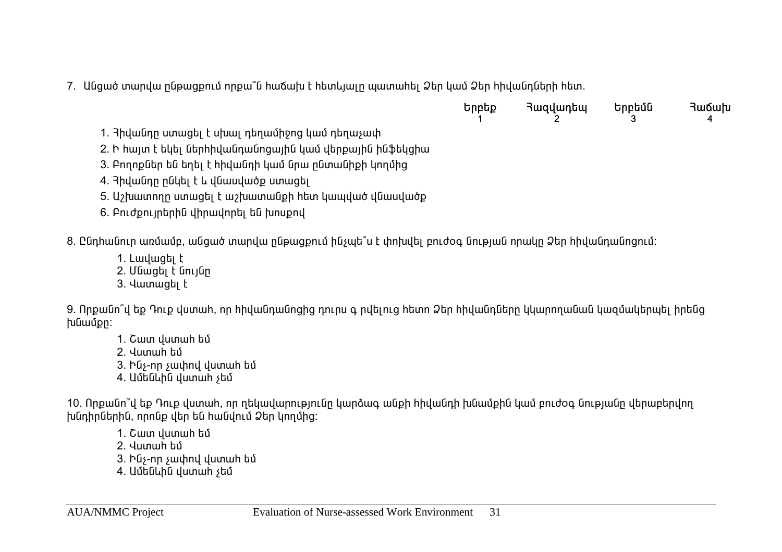7. Անցած տարվա ընթացքում որքա՞ն հաճախ է հետևյալը պատահել Ձեր կամ Ձեր հիվանդների հետ.

| Երբեք | Յազվադեպ | Երբեմն | Յաճախ |
|-------|----------|--------|-------|
|       |          |        |       |

1. Յիվանդր ստացել է սխալ դեղամիջոց կամ դեղաչափ

2. Ի hայտ է եկել ներիիվանդանոցային կամ վերքային ինֆեկցիա

3. Բողոքներ են եղել է hիվանդի կամ նրա ընտանիքի կողմից

4. Յիվանդր ընկել է և վնասվածք ստացել

5. Աշխատողը ստացել է աշխատանքի իետ կապված վնասվածք

6. Pntdpntinghhū yhnwynngi Gū hunupny

8. Ընդիանուր առմամբ, անցած տարվա ընթացքում ինչպե՞ս է փոխվել բուժօգ նության որակը Ձեր իիվանդանոցում:

1. Lwywgtu t

2. Մնացել է նույնը

3. Juunwqu k

9. Որքանո՞վ եք Դուք վստահ, որ հիվանդանոցից դուրս գ րվելուց հետո Ձեր հիվանդները կկարողանան կազմակերպել իրենց խնամքը։

1. Cww yumwh bu

2. Վստաի եմ

3. būs-nn swuhnu yuunwh bu

4. Ամենևին վստաի չեմ

10. Որքանո՞վ եք Դուք վստահ, որ ղեկավարությունը կարձագ անքի հիվանդի խնամքին կամ բուժօգ նությանը վերաբերվող խնդիրներին, որոնք վեր են հանվում Ձեր կողմից:

1. Շատ վստաի եմ

2. Վստաի եմ

3. būs-nn swuhnu yuunwh bu

4. Ամենևին վստաի չեմ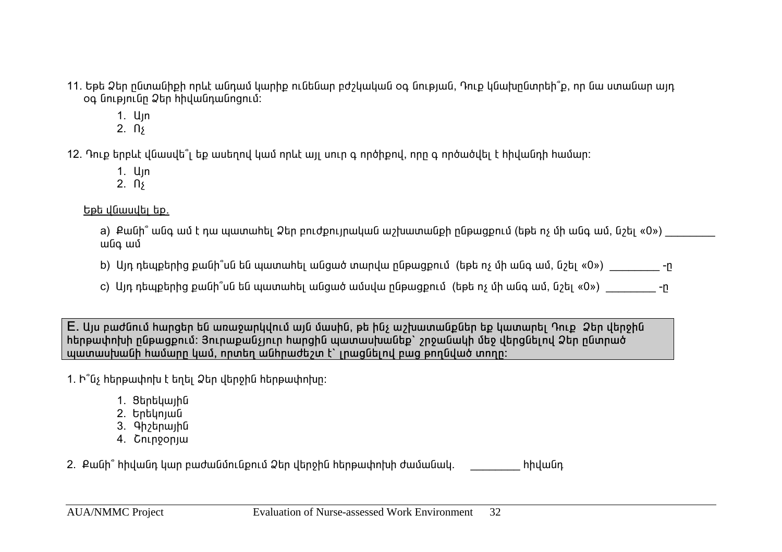- 11. Եթե Ձեր ընտանիքի որևէ անդամ կարիք ունենար բժշկական օգ նության, Դուք կնախընտրեի՞ք, որ նա ստանար այդ oq նությունը Ձեր hիվանդանոցում:
	- $1.$  U<sub>In</sub>
	- $2. \n\sqrt{3}$

 $12$ . Դուք երբևէ վնասվե՞լ եք ասեղով կամ որևէ այլ սուր գ ործիքով, որը գ ործածվել է hիվանդի hամար։

- $1.$  U<sub>In</sub>
- 2.  $\pi$

bph duwudh bp.

a) Քանի՞ անգ ամ է դա պատահել Ձեր բուժքույրական աշխատանքի ընթացքում (եթե ոչ մի անգ ամ, նշել «0») անգ ամ

b) Այդ դեպքերից քանի՞սն են պատահել անցած տարվա ընթացքում (եթե ոչ մի անգ ամ, նշել «0») \_\_\_\_\_\_\_\_\_\_\_\_\_\_

c) Այդ դեպքերից քանի՞սն են պատահել անցած ամսվա ընթացքում (եթե ոչ մի անգ ամ, նշել «0») \_\_\_\_\_\_\_\_\_\_\_\_\_\_

E. Այս բաժնում hարցեր են առաջարկվում այն մասին, թե ինչ աշխատանքներ եք կատարել Դուք *Ձ*եր վերջին hերթափոխի ընթացքում: Յուրաքանչյուր hարցին պատասխանեք` շրջանակի մեջ վերցնելով Ձեր ընտրած wwwwupwubh hwuwnn կամ, որտեղ անhրաժեշտ է՝ լրացնելով բաց թողնված տողը:

- 1. b<sup>®</sup>G<sub>2</sub> hերթափոխ է եղել Ձեր վերջին hերթափոխը:
	- 1. Stntywiha
	- 2. Երեկոյան
	- 3. 9h<sub>2</sub>bnwihū
	- 4. Cninoonjui

2. Քանի՞ հիվանդ կար բաժանմունքում Ձեր վերջին հերթափոխի ժամանակ. \_\_\_\_\_\_\_\_\_\_\_\_\_\_\_\_\_ հիվանդ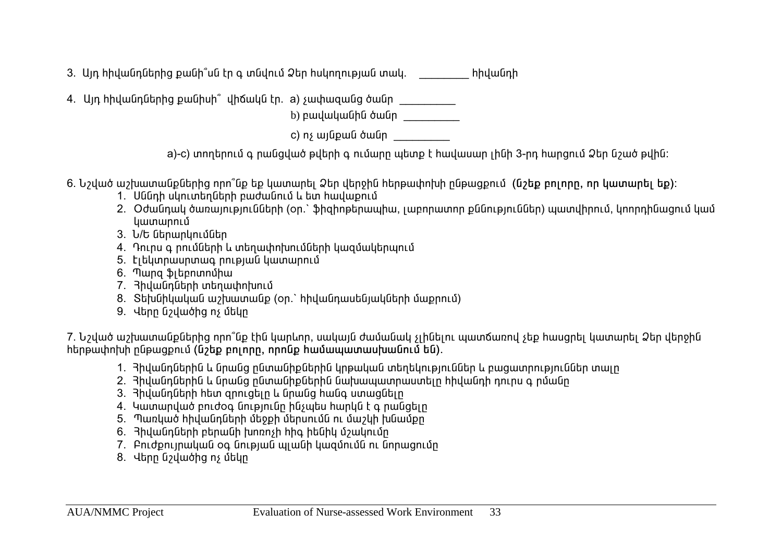3. Այդ հիվանդներից քանի՞սն էր գ տնվում Ձեր հսկողության տակ. \_\_\_\_\_\_\_\_\_\_\_\_\_\_\_\_\_\_\_\_\_ հիվանդի

4. Այդ hիվանդներից քանիսի՞ վիճակն էր. a) չափազանց ծանր  $\frac{1}{\sqrt{1-\frac{1}{n}}}$ 

b) բավականին ծանր

c) nչ այնքան ծանր

a)-c) տողերում գ րանցված թվերի գ ումարը պետք է hավասար լինի 3-րդ hարցում Ձեր նշած թվին:

- 6. Նշված աշխատանքներից որո՞նք եք կատարել Ձեր վերջին հերթափոխի ընթացքում (նշեք բոլորը, որ կատարել եք)։
	- 1. Uննդի սկուտերների բաժանում և ետ իավաքում
	- 2. Oժանդակ ծառայությունների (on.` ֆիզիոթերապիա, լաբորատոր քննություններ) պատվիրում, կոորդինացում կամ կատարում
	- 3. U/b ներարկումներ
	- 4. Դուրս գ րումների և տեղափոխումների կազմակերպում
	- 5. tibyunuununung nnipjuua yuununni
	- 6. Thung \$juhannunghu
	- 7. Յիվանդների տեղափոխում
	- 8. Sեխնիկական աշխատանք (on.` hիվանդասենյակների մաքրում)
	- 9. Վերը նշվածից ոչ մեկը

7. Նշված աշխատանքներից որո՞նք էին կարևոր, սակայն ժամանակ չլինելու պատճառով չեք հասցրել կատարել Ձեր վերջին hերթափոխի ընթացքում (նշեք բոլորը, որոնք համապատասխանում են).

- 1. Յիվանդներին և նրանց ընտանիքներին կրթական տեղեկություններ և բացատրություններ տալը
- 2. 3իվանդներին և նրանց ընտանիքներին նախապատրաստելը հիվանդի դուրս գ ըմանը
- 3. Bhywūnūtnh htun qnnigtin և ūnwūg hwūq unwgūtin
- 4. Կատարված բուժօգ նությունը ինչպես հարկն է գ րանցելը
- 5. Պառկած hիվանդների մեջքի մերսումն ու մաշկի խնամքը
- 6.  $\theta$ իվանդների բերանի խոռոչի իիգ իենիկ մշակումը
- 7. Pnւժքույրական օգ նության պյանի կազմումն ու նորացումը
- 8. Վերը նշվածից ոչ մեկը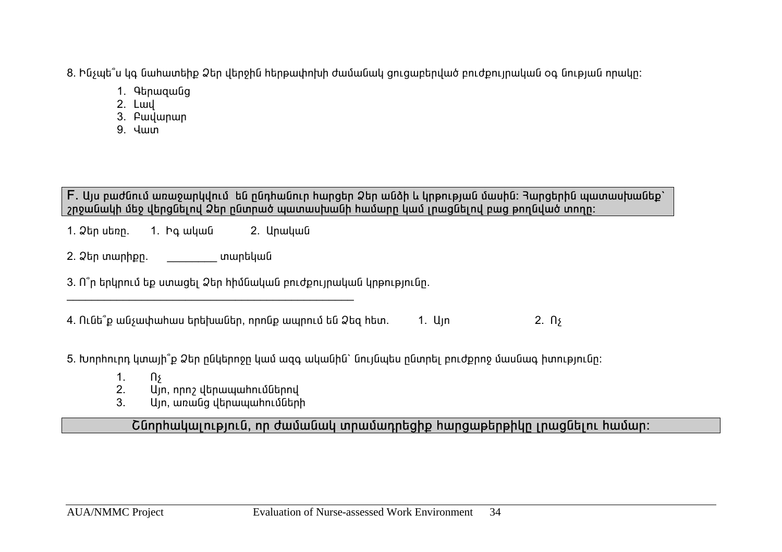8. Ինչպե՞ս կգ նահատեիք Ձեր վերջին հերթափոխի ժամանակ ցուցաբերված բուժքույրական օգ նության որակր։

- 1. 9bnwqwuq
- 2. Lwy
- 3. Pwywnwn
- $9$   $\frac{1}{1}$

F. Այս բաժնում առաջարկվում են ընդհանուր հարցեր Ձեր անձի և կրթության մասին։ **Յարցերին պատասխանեք**՝  $\eta$ րջանակի մեջ վերգնելով Ձեր ընտրած պատասխանի համարը կամ լրացնելով բաց թողնված տողը։

1. Ձեր սեռը. 1. Իգ ական 2. Արական

2. Ò»ñ ï³ñÇùÁ. \_\_\_\_\_\_\_\_ ï³ñ»Ï³Ý

3. n<sup>°</sup>n երկրում եք ստացել Ձեր hիմնական բուժքույրական կրթությունը.  $\mathcal{L}_\text{max}$  and  $\mathcal{L}_\text{max}$  and  $\mathcal{L}_\text{max}$  and  $\mathcal{L}_\text{max}$ 

 $4.$  Ունե՞ք անչափահաս երեխաներ, որոնք ապրում են Ձեզ հետ.  $1.$  Այո  $2.$  Ոչ

5. Խորիուրդ կտայի՞ք Ձեր ընկերոջը կամ ազգ ականին` նույնպես ընտրել բուժքրոջ մասնագ իտությունը։

- 1.  $\mathsf{a}$
- $2.$  U<sub>I</sub>n, nnn<sub>2</sub> վերապաիումներով
- 3. U<sub>jn, </sub>առանց վերապահումների

<u>Շնորիակալություն, որ ժամանակ տրամադրեզիք իարցաթերթիկը լրազնելու իամար:</u>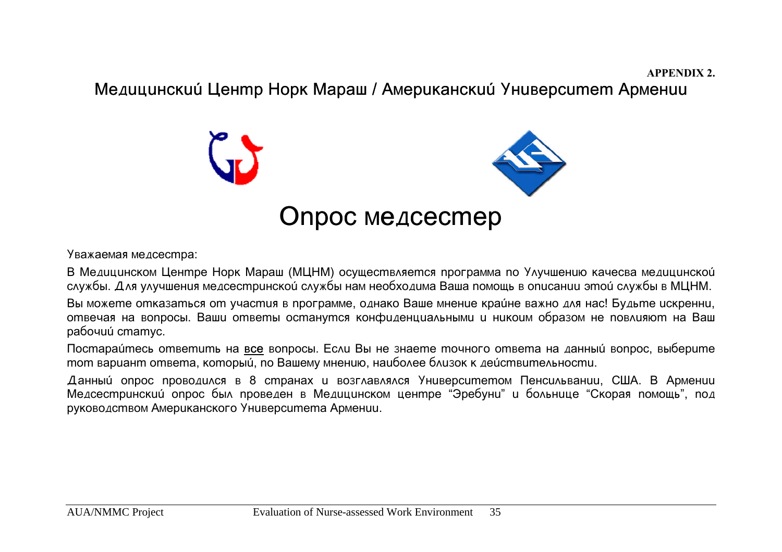**APPENDIX 2.**

Медицинский Центр Норк Мараш / Американский Университет Армении



Уважаемая медсестра:

В Медицинском Центре Норк Мараш (МЦНМ) осуществляется программа по Улучшению качесва медицинской службы. Для улучшения медсестринской службы нам необходима Ваша помощь в описании этой службы в МЦНМ.

Вы можете отказаться от участия в программе, однако Ваше мнение крайне важно для нас! Будьте искренни, отвечая на вопросы. Ваши ответы останутся конфиденциальными и никоим образом не повлияют на Ваш paбoчии статус.

Постараи́тесь ответить на <u>все</u> вопросы. Если Вы не знаете точного ответа на данный вопрос, выберите тот вариант ответа, который, по Вашему мнению, наиболее близок к действительности.

Данный опрос проводился в 8 странах и возглавлялся Университетом Пенсильвании, США. В Армении Медсестринский опрос был проведен в Медицинском центре "Эребуни" и больнице "Скорая помощь", под руководством Американского Университета Армении.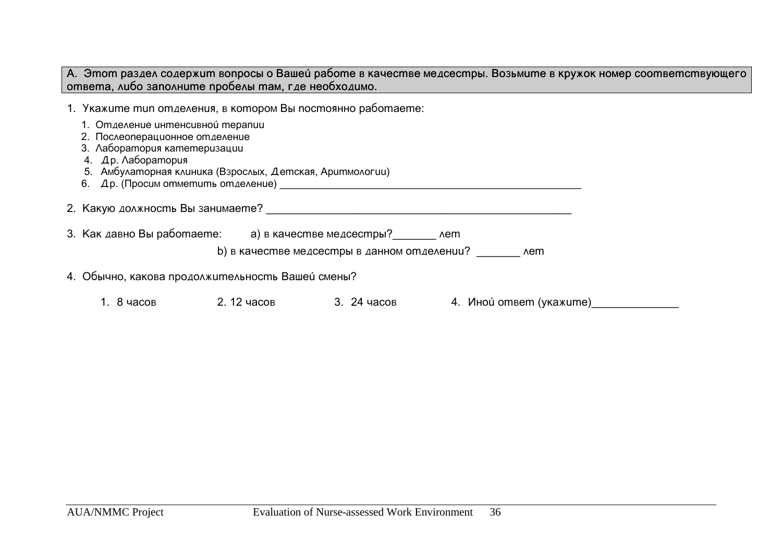А. Этот раздел содержит вопросы о Вашей работе в качестве медсестры. Возьмите в кружок номер соответствующего **ответа, либо заполните пробелы там, где необходимо.** 

1. Укажите mun отделения, в котором Вы постоянно работаете:

- 1. Omgevenue unmencusnoú mepanuu
- 2. Послеоперационное отделение
- 3. Aaборатория катетеризации
- 4. Др. Лаборатория
- 5. Aмбулаторная клиника (Взрослых, Детская, Аритмологии)
- 6. Äð. (Ïðîñèì îòìåòèòü îòäåëåíèå) \_\_\_\_\_\_\_\_\_\_\_\_\_\_\_\_\_\_\_\_\_\_\_\_\_\_\_\_\_\_\_\_\_\_\_\_\_\_\_\_\_\_\_\_\_\_\_\_\_\_\_\_\_

2. Какую должность Вы занимаете?  $\blacksquare$ 

3. Как давно Вы работаете: а) в качестве медсестры? иет

b) в качестве медсестры в данном отделении? **Дета** 

- 4. Обычно, какова продолжительность Вашей смены?
	- 1. 8 ÷àñîâ 2. 12 ÷àñîâ 3. 24 ÷àñîâ 4. Èíîé îòâåò (óêàæèòå)\_\_\_\_\_\_\_\_\_\_\_\_\_\_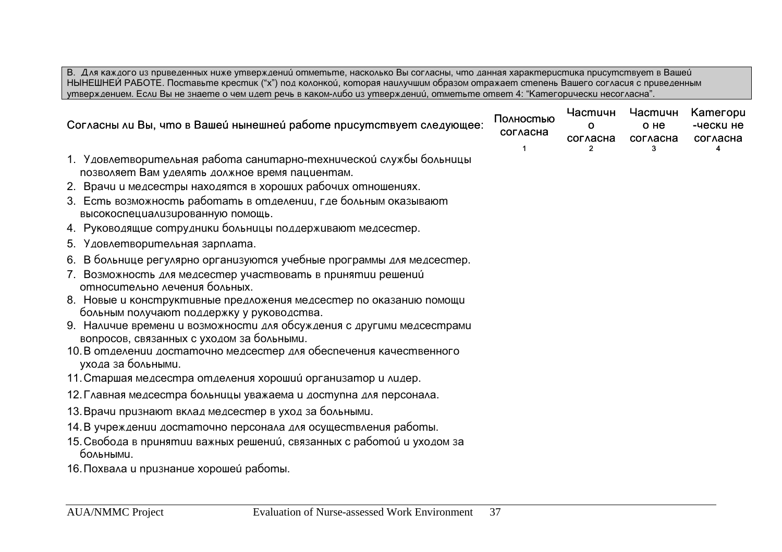В. Д∧я каждого из приведенных ниже утверждении́ отметьте, наско∧ько Вы сог∧асны, что данная характеристика присутствует в Вашеи́ НЫНЕШНЕЙ РАБОТЕ. Поставьте крестик ("x") под колонкои́, которая наилучшим образом отражает степень Вашего согласия с приведенным утверждением. Если Вы не знаете о чем идет речь в каком-либо из утверждении́, отметьте ответ 4: "Категорически несогласна".

| Полностью<br>Согласны ли Вы, что в Вашей нынешней работе присутствует следующее:                                   |  | Частичн<br>O<br>согласна | <b>Частичн</b><br>о не<br>согласна | Kameropu<br>-чески не<br>согласна |
|--------------------------------------------------------------------------------------------------------------------|--|--------------------------|------------------------------------|-----------------------------------|
| 1. Удовлетворительная работа санитарно-технической службы больницы                                                 |  |                          |                                    |                                   |
| позволяет Вам уделять должное время пациентам.                                                                     |  |                          |                                    |                                   |
| 2. Врачи и медсестры находятся в хороших рабочих отношениях.                                                       |  |                          |                                    |                                   |
| 3. Есть возможность работать в отделении, где больным оказывают<br>высокоспециализированную помощь.                |  |                          |                                    |                                   |
| 4. Руководящие сотрудники больницы поддерживают медсестер.                                                         |  |                          |                                    |                                   |
| 5. Удовлетворительная зарплата.                                                                                    |  |                          |                                    |                                   |
| 6. В больнице регулярно организуются учебные программы для медсестер.                                              |  |                          |                                    |                                   |
| 7. Возможность для медсестер участвовать в принятии решений<br>относительно лечения больных.                       |  |                          |                                    |                                   |
| 8. Новые и конструктивные предложения медсестер по оказанию помощи                                                 |  |                          |                                    |                                   |
| больным получают поддержку у руководства.                                                                          |  |                          |                                    |                                   |
| 9. Наличие времени и возможности для обсуждения с другими медсестрами<br>вопросов, связанных с уходом за больными. |  |                          |                                    |                                   |
| 10. В отделении достаточно медсестер для обеспечения качественного<br>ухода за больными.                           |  |                          |                                    |                                   |
| 11. Старшая медсестра отделения хороший организатор и лидер.                                                       |  |                          |                                    |                                   |
| 12. Главная медсестра больницы уважаема и доступна для персонала.                                                  |  |                          |                                    |                                   |
| 13. Врачи признают вклад медсестер в уход за больными.                                                             |  |                          |                                    |                                   |
| 14. В учреждении достаточно персонала для осуществления работы.                                                    |  |                          |                                    |                                   |
| 15. Свобода в принятии важных решении, связанных с работой и уходом за<br>больными.                                |  |                          |                                    |                                   |
| 16. Похвала и признание хороше и работы.                                                                           |  |                          |                                    |                                   |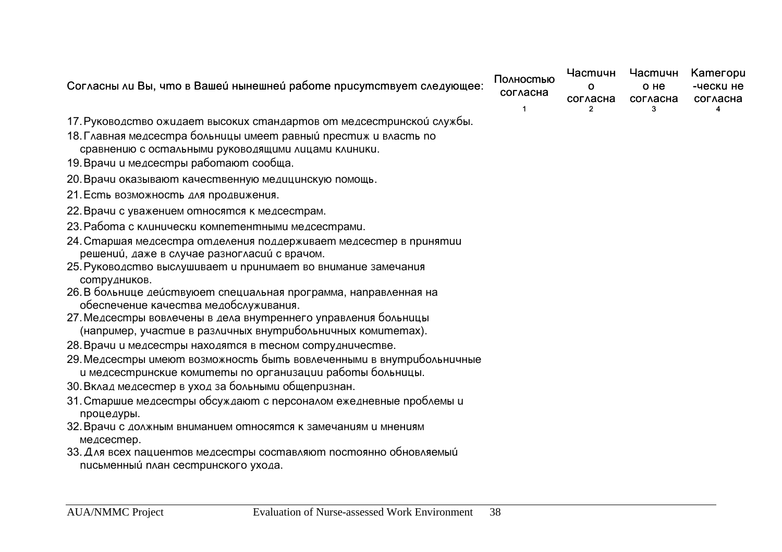| Согласны ли Вы, что в Вашей нынешней работе присутствует следующее:                                                               | Полностью<br>согласна | <b>Частичн</b><br>O<br>согласна | <b>Частичн</b><br>о не<br>согласна | Kameropu<br>-чески не<br>согласна |
|-----------------------------------------------------------------------------------------------------------------------------------|-----------------------|---------------------------------|------------------------------------|-----------------------------------|
| 17. Руководство ожидает высоких стандартов от медсестринской службы.                                                              |                       |                                 |                                    |                                   |
| 18. Главная медсестра больницы имеет равный престиж и власть по<br>сравнению с остальными руководящими лицами клиники.            |                       |                                 |                                    |                                   |
| 19. Врачи и медсестры работают сообща.                                                                                            |                       |                                 |                                    |                                   |
| 20. Врачи оказывают качественную медицинскую помощь.                                                                              |                       |                                 |                                    |                                   |
| 21. Есть возможность для продвижения.                                                                                             |                       |                                 |                                    |                                   |
| 22. Врачи с уважением относятся к медсестрам.                                                                                     |                       |                                 |                                    |                                   |
| 23. Работа с клинически компетентными медсестрами.                                                                                |                       |                                 |                                    |                                   |
| 24. Старшая медсестра отделения поддерживает медсестер в принятии                                                                 |                       |                                 |                                    |                                   |
| решении, даже в случае разногласии с врачом.                                                                                      |                       |                                 |                                    |                                   |
| 25. Руководство выслушивает и принимает во внимание замечания<br>сотрудников.                                                     |                       |                                 |                                    |                                   |
| 26. В больнице действуюет специальная программа, направленная на<br>обеспечение качества медобслуживания.                         |                       |                                 |                                    |                                   |
| 27. Медсестры вовлечены в дела внутреннего управления больницы<br>(например, участие в различных внутрибольничных комитетах).     |                       |                                 |                                    |                                   |
| 28. Врачи и медсестры находятся в тесном сотрудничестве.                                                                          |                       |                                 |                                    |                                   |
| 29. Медсестры имеют возможность быть вовлеченными в внутрибольничные<br>и медсестринские комитеты по организации работы больницы. |                       |                                 |                                    |                                   |
| 30. Вклад медсестер в уход за больными общепризнан.                                                                               |                       |                                 |                                    |                                   |
| 31. Старшие медсестры обсуждают с персоналом ежедневные проблемы и<br>процедуры.                                                  |                       |                                 |                                    |                                   |
| 32. Врачи с должным вниманием относятся к замечаниям и мнениям<br>медсестер.                                                      |                       |                                 |                                    |                                   |
| 33. Для всех пациентов медсестры составляют постоянно обновляемый                                                                 |                       |                                 |                                    |                                   |

письменный план сестринского ухода.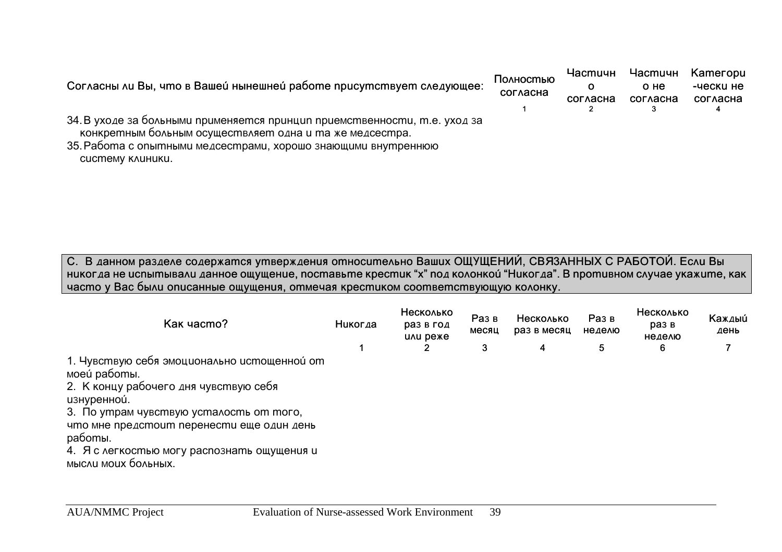| Согласны ли Вы, что в Вашей нынешней работе присутствует следующее:       | Полностью<br>согласна | Частичн<br>согласна | Частичн<br>о не<br>согласна | <b>Категори</b><br>-чески не<br>согласна |
|---------------------------------------------------------------------------|-----------------------|---------------------|-----------------------------|------------------------------------------|
|                                                                           |                       |                     |                             |                                          |
| 34. В уходе за больными применяется принцип приемственности, т.е. уход за |                       |                     |                             |                                          |
| конкретным больным осуществляет одна и та же медсестра.                   |                       |                     |                             |                                          |
| 35. Работа с опытными медсестрами, хорошо знающими внутреннюю             |                       |                     |                             |                                          |
| CUCMEMY KAUHUKU.                                                          |                       |                     |                             |                                          |

С. В данном разделе содержатся утверждения относительно Ваших ОЩУЩЕНИИ, СВЯЗАННЫХ С РАБОТОИ. Если Вы **никогда не испытывали данное ощущение, поставьте крестик "x" под колонкой "Никогда". В противном случае укажите, как** часто у Вас были описанные ощущения, отмечая крестиком соответствующую колонку.

| Kak yacmo?                                                                                                                                                                                                                                                                                    | Никогда | Несколько<br>раз в год<br>UAU DEXE | Раз в<br>месяц | Несколько<br>раз в месяц | Раз в<br>неделю | Несколько<br>раз в<br>неделю | Каждый<br>день |
|-----------------------------------------------------------------------------------------------------------------------------------------------------------------------------------------------------------------------------------------------------------------------------------------------|---------|------------------------------------|----------------|--------------------------|-----------------|------------------------------|----------------|
|                                                                                                                                                                                                                                                                                               |         | 2                                  | 3              | 4                        | 5               | 6                            |                |
| 1. Чувствую себя эмоционально истощенной от<br>моеи́ работы.<br>2. К концу рабочего дня чувствую себя<br>изнуренной.<br>3. По утрам чувствую усталость от того,<br>что мне предстоит перенести еще один день<br>работы.<br>4. Я с легкостью могу распознать ощущения и<br>мысли моих больных. |         |                                    |                |                          |                 |                              |                |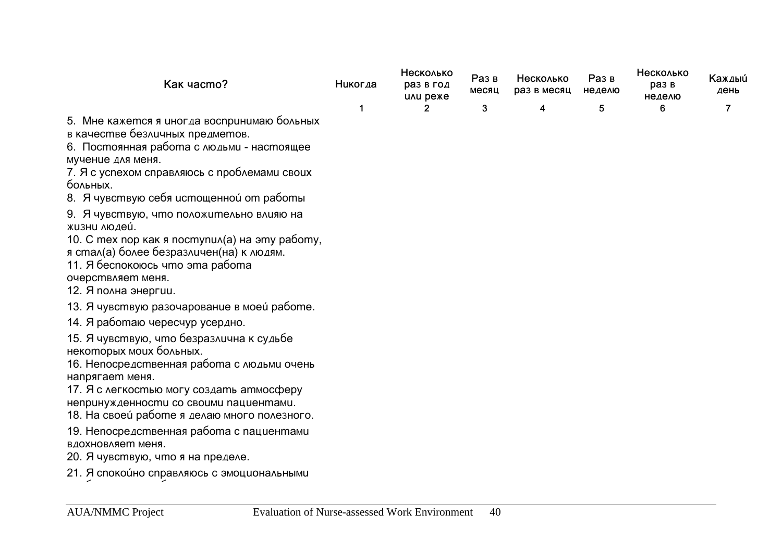| Как часто?                                                                                                                                                                                                                                                                                                                                                                                                                                                                 | Никогда | Несколько<br>раз в год<br>или реже | Раз в<br>месяц | Несколько<br>раз в месяц | Раз в<br>неделю | Несколько<br>раз в<br>неделю | Каждый<br>день |
|----------------------------------------------------------------------------------------------------------------------------------------------------------------------------------------------------------------------------------------------------------------------------------------------------------------------------------------------------------------------------------------------------------------------------------------------------------------------------|---------|------------------------------------|----------------|--------------------------|-----------------|------------------------------|----------------|
|                                                                                                                                                                                                                                                                                                                                                                                                                                                                            | 1       | 2                                  | 3              | 4                        | 5               | 6                            | $\overline{7}$ |
| 5. Мне кажется я иногда воспринимаю больных<br>в качестве безличных предметов.<br>6. Постоянная работа с людьми - настоящее<br>мучение для меня.<br>7. Я с успехом справляюсь с проблемами своих<br>больных.<br>8. Я чувствую себя истощенной от работы<br>9. Я чувствую, что положительно влияю на<br>жизни людеи́.<br>10. С тех пор как я поступил(а) на эту работу,<br>я стал(а) более безразличен(на) к людям.<br>11. Я беспокоюсь что эта работа<br>очерствляет меня. |         |                                    |                |                          |                 |                              |                |
| 12. Я полна энергии.                                                                                                                                                                                                                                                                                                                                                                                                                                                       |         |                                    |                |                          |                 |                              |                |
| 13. Я чувствую разочарование в моей работе.                                                                                                                                                                                                                                                                                                                                                                                                                                |         |                                    |                |                          |                 |                              |                |
| 14. Я работаю чересчур усердно.<br>15. Я чувствую, что безразлична к судьбе<br>некоторых моих больных.<br>16. Непосредственная работа с людьми очень<br>напрягает меня.<br>17. Я с легкостью могу создать атмосферу<br>непринужденности со своими пациентами.<br>18. На своеи работе я делаю много полезного.<br>19. Непосредственная работа с пациентами<br>вдохновляет меня.                                                                                             |         |                                    |                |                          |                 |                              |                |
| 20. Я чувствую, что я на пределе.                                                                                                                                                                                                                                                                                                                                                                                                                                          |         |                                    |                |                          |                 |                              |                |

21. Я спокои́но справляюсь с эмоциональными

ïðîáëåìàìè íà ðàáîòå.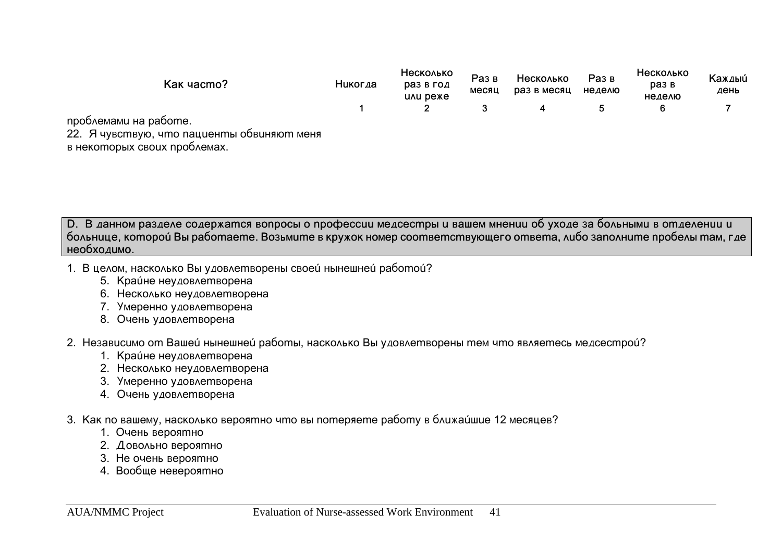| Kak yacmo?                                                  | Никогда | Несколько<br>раз в год<br><b>UAU DEXE</b> | Раз в<br>месяц | Несколько<br>раз в месяц | Раз в<br>неделю | Несколько<br>раз в<br>неделю | Каждый<br>день |
|-------------------------------------------------------------|---------|-------------------------------------------|----------------|--------------------------|-----------------|------------------------------|----------------|
|                                                             |         |                                           |                |                          |                 |                              |                |
| проблемами на работе.                                       |         |                                           |                |                          |                 |                              |                |
| 22. Я чувствую, что пациенты обвиняют меня<br>$\mathcal{L}$ |         |                                           |                |                          |                 |                              |                |

в некоторых своих проблемах.

**D. В данном разделе содержатся вопросы о профессии медсестры и вашем мнении об уходе за больными в отделении и** больнице, которой Вы работаете. Возьмите в кружок номер соответствующего ответа, либо заполните пробелы там, где **необходимо.** 

- 1. В целом, насколько Вы удовлетворены своей нынешней работой?
	- 5. Краине неудовлетворена
	- 6. Несколько неудовлетворена
	- 7. Умеренно удовлетворена
	- 8. Очень удовлетворена

## 2. Независимо от Вашеи нынешней работы, насколько Вы удовлетворены тем что являетесь медсестрой?

- 1. Краине неудовлетворена
- 2. Несколько неудовлетворена
- 3. Умеренно удовлетворена
- 4. Очень удовлетворена
- 3. Как по вашему, насколько вероятно что вы потеряете работу в ближаищие 12 месяцев?
	- 1. Очень вероятно
	- 2. Довольно вероятно
	- 3. Не очень вероятно
	- 4. Вообще невероятно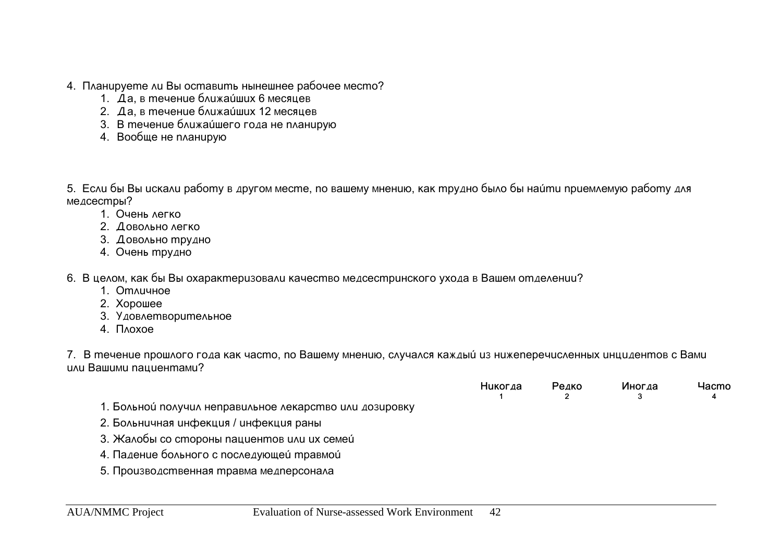- 4. Планируете ли Вы оставить нынешнее рабочее место?
	- 1. Да, в течение ближаи ших 6 месяцев
	- 2. Да, в течение ближаи ших 12 месяцев
	- 3. В течение ближаищего года не планирую
	- 4. Вообще не планирую

5. Если бы Вы искали работу в другом месте, по вашему мнению, как трудно было бы наи́ти приемлемую работу для медсестры?

- 1. Очень легко
- 2. Довольно легко
- 3. Довольно трудно
- 4. Очень трудно

6. В целом, как бы Вы охарактеризовали качество медсестринского ухода в Вашем отделении?

- 1. Отличное
- 2. Xopowee
- 3. Удовлетворительное
- 4. **Noxoe**

7. В течение прошлого года как часто, по Вашему мнению, случался каждый из нижеперечисленных инцидентов с Вами uvu Balilumu nalilue hmamu?

|                                                         | Никогда | Редко | Иногда | Hacmo |
|---------------------------------------------------------|---------|-------|--------|-------|
| 1. Больной получил неправильное лекарство или дозировку |         |       |        |       |
| 2. Больничная инфекция / инфекция раны                  |         |       |        |       |
| 3. Жалобы со стороны пациентов или их семеи́            |         |       |        |       |
| 4. Падение больного с последующей травмой               |         |       |        |       |
| 5. Производственная травма медперсонала                 |         |       |        |       |
|                                                         |         |       |        |       |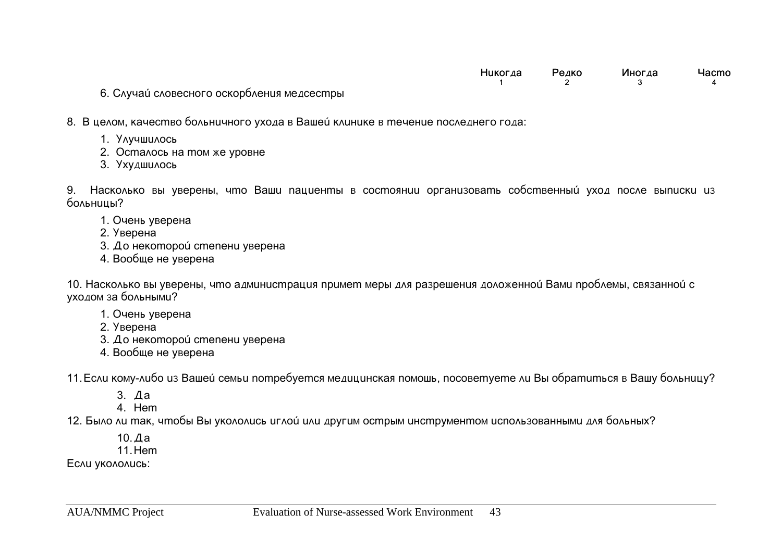| Никогда | Редко | Иногда | Hacmo |
|---------|-------|--------|-------|
|         |       |        |       |

6. Случаи словесного оскорбления медсестры

8. В целом, качество больничного ухода в Вашей клинике в течение последнего года:

- 1. Улучшилось
- 2. Осталось на том же уровне
- 3. Ухудшилось

9. Насколько вы уверены, что Ваши пациенты в состоянии организовать собственный уход после выписки из больницы?

- 1. Oчень уверена
- 2. Уверена
- 3. До некоторой степени уверена
- 4. Вообще не уверена

10. Насколько вы уверены, что администрация примет меры для разрешения доложенной Вами проблемы, связанной с уходом за больными?

- 1. Oчень уверена
- 2. Уверена
- $3.$   $\Delta$ о некоторои́ степени уверена
- 4. Вообще не уверена

11. Если кому-либо из Вашей семьи nompeбуется медицинская помошь, посоветуете ли Вы обратиться в Вашу больницу?

- 3. Äà
- 4 Hem

12. Было ли так, чтобы Вы укололись иглой или другим острым инструментом использованными для больных?

10.Äà

11. Hem

ECAU VKOAOAUCb: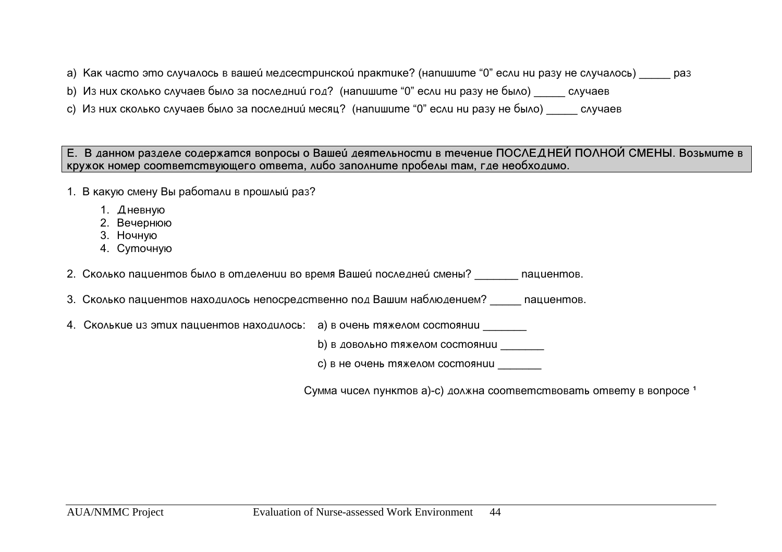a) Kak часто это случалось в вашей медсестринской практике? (напишите "0" если ни разу не случалось) и раз

- b) Из них сколько случаев было за последний год? (напишите "0" если ни разу не было) случаев
- с) Из них сколько случаев было за последний месяц? (напишите "0" если ни разу не было) случаев

Е. В данном разделе содержатся вопросы о Вашей деятельности в течение ПОСЛЕДНЕЙ ПОЛНОЙ СМЕНЫ. Возьмите в **кружок номер соответствующего ответа, либо заполните пробелы там, где необходимо.** 

- 1. В какую смену Вы работали в прошлый раз?
	- 1.  $\Delta$ невную
	- 2. Вечернюю
	- 3. Ночную
	- 4. Cymouную

2. Сколько пациентов было в отделении во время Вашей последней смены? и тациентов.

- 3. Сколько пациентов находилось непосредственно под Вашим наблюдением? и пациентов.
- 4. Cколькие из этих пациентов находилось: а) в очень тяжелом состоянии

b) в довольно тяжелом состоянии

с) в не очень тяжелом состоянии

Cymma чисел пунктов a)-c) должна соответствовать ответу в вопросе<sup>1</sup>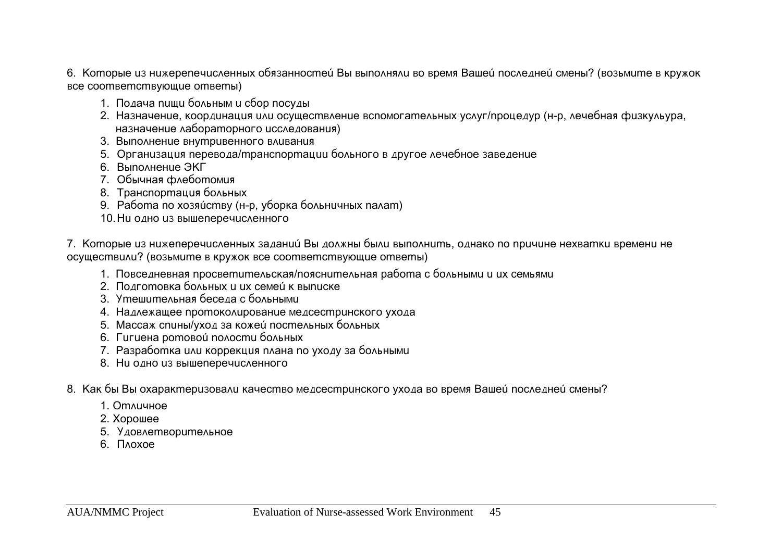6. Которые из нижерепечисленных обязанностей Вы выполняли во время Вашей последней смены? (возьмите в кружок **все соответствующие ответы)** 

- 1. Подача пищи больным и сбор посуды
- 2. Назначение, координация или осуществление вспомогательных услуг/процедур (н-р, лечебная физкульура, назначение лабораторного исследования)
- 3. Выполнение внутривенного вливания
- 5. Организация перевода/транспортации больного в другое лечебное заведение
- 6. Bыполнение ЭКГ
- 7. Обычная флеботомия
- 8. Транспортация больных
- 9. Paбота по хозяи́ству (н-р, уборка больничных палат)
- 10. Hu одно из вышеперечисленного

7. Которые из нижеперечисленных заданий Вы должны были выполнить, однако по причине нехватки времени не осуществили? (возьмите в кружок все соответствующие ответы)

- 1. Повседневная просветительская/пояснительная работа с больными и их семьями
- 2. Подготовка больных и их семей к выписке
- 3. Утешительная беседа с больными
- 4. Надлежащее протоколирование медсестринского ухода
- 5. Maccaж спины/уход за кожеи постельных больных
- 6. Гигиена ротовой полости больных
- 7. Разработка или коррекция плана по уходу за больными
- 8. Ни одно из вышеперечисленного
- 8. Как бы Вы охарактеризовали качество медсестринского ухода во время Вашеи последнеи смены?
	- 1. Om Nuu Hoe
	- 2. Хорошее
	- 5. Удовлетворительное
	- 6. Noxoe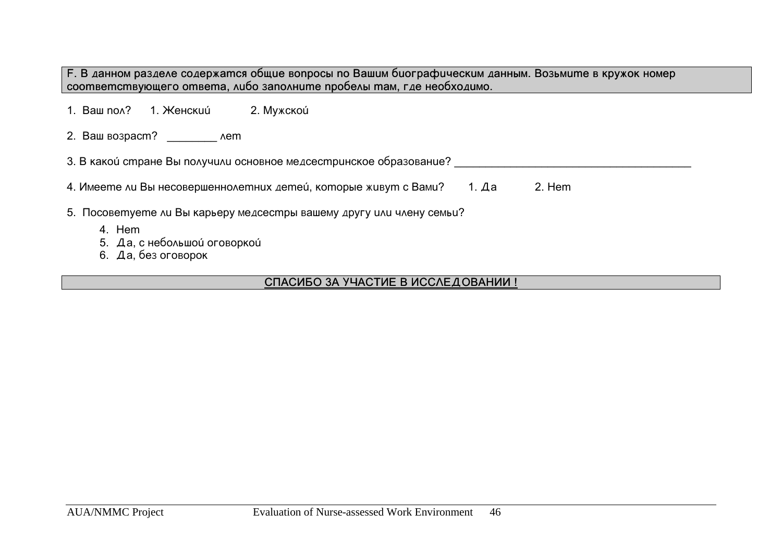F. В данном разделе содержатся общие вопросы по Вашим биографическим данным. Возьмите в кружок номер соответствующего ответа, либо заполните пробелы там, где необходимо.

| 1. Ваш no∧?  | 1. Женскии́                                                                        | 2. Мужской                                                           |  |  |  |  |  |
|--------------|------------------------------------------------------------------------------------|----------------------------------------------------------------------|--|--|--|--|--|
|              | 2. Ваш возраст? Мет                                                                |                                                                      |  |  |  |  |  |
|              |                                                                                    | 3. В какой стране Вы получили основное медсестринское образование?   |  |  |  |  |  |
|              | 4. Имеете ли Вы несовершеннолетних детей, которые живут с Вами?<br>2. Hem<br>1. Да |                                                                      |  |  |  |  |  |
|              |                                                                                    | 5. Посоветуете ли Вы карьеру медсестры вашему другу или члену семьи? |  |  |  |  |  |
| 4. Hem<br>6. | 5. Да, с небольшой оговоркой<br>Да, без оговорок                                   |                                                                      |  |  |  |  |  |

## СПАСИБО ЗА УЧАСТИЕ В ИССЛЕДОВАНИИ !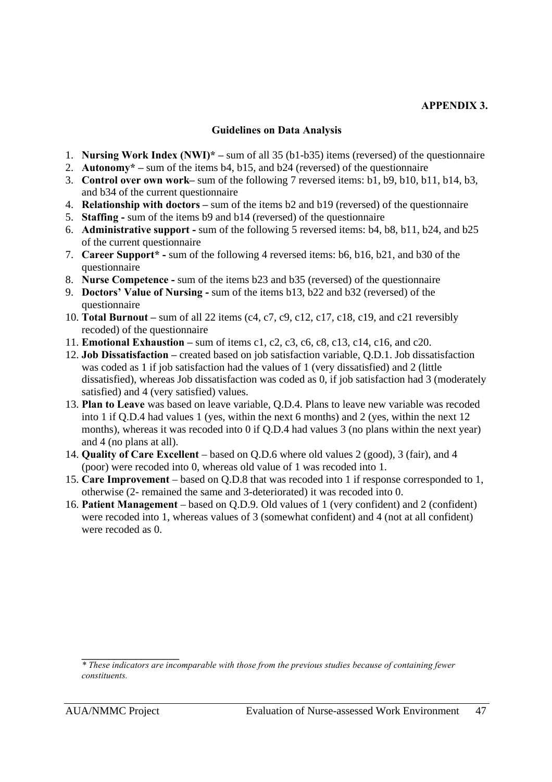#### **APPENDIX 3.**

#### **Guidelines on Data Analysis**

- 1. **Nursing Work Index (NWI)\* –** sum of all 35 (b1-b35) items (reversed) of the questionnaire
- 2. **Autonomy\* –** sum of the items b4, b15, and b24 (reversed) of the questionnaire
- 3. **Control over own work–** sum of the following 7 reversed items: b1, b9, b10, b11, b14, b3, and b34 of the current questionnaire
- 4. **Relationship with doctors –** sum of the items b2 and b19 (reversed) of the questionnaire
- 5. **Staffing -** sum of the items b9 and b14 (reversed) of the questionnaire
- 6. **Administrative support -** sum of the following 5 reversed items: b4, b8, b11, b24, and b25 of the current questionnaire
- 7. **Career Support\* -** sum of the following 4 reversed items: b6, b16, b21, and b30 of the questionnaire
- 8. **Nurse Competence -** sum of the items b23 and b35 (reversed) of the questionnaire
- 9. **Doctors' Value of Nursing -** sum of the items b13, b22 and b32 (reversed) of the questionnaire
- 10. **Total Burnout –** sum of all 22 items (c4, c7, c9, c12, c17, c18, c19, and c21 reversibly recoded) of the questionnaire
- 11. **Emotional Exhaustion –** sum of items c1, c2, c3, c6, c8, c13, c14, c16, and c20.
- 12. **Job Dissatisfaction –** created based on job satisfaction variable, Q.D.1. Job dissatisfaction was coded as 1 if job satisfaction had the values of 1 (very dissatisfied) and 2 (little dissatisfied), whereas Job dissatisfaction was coded as 0, if job satisfaction had 3 (moderately satisfied) and 4 (very satisfied) values.
- 13. **Plan to Leave** was based on leave variable, Q.D.4. Plans to leave new variable was recoded into 1 if Q.D.4 had values 1 (yes, within the next 6 months) and 2 (yes, within the next 12 months), whereas it was recoded into 0 if Q.D.4 had values 3 (no plans within the next year) and 4 (no plans at all).
- 14. **Quality of Care Excellent**  based on Q.D.6 where old values 2 (good), 3 (fair), and 4 (poor) were recoded into 0, whereas old value of 1 was recoded into 1.
- 15. **Care Improvement**  based on Q.D.8 that was recoded into 1 if response corresponded to 1, otherwise (2- remained the same and 3-deteriorated) it was recoded into 0.
- 16. **Patient Management**  based on Q.D.9. Old values of 1 (very confident) and 2 (confident) were recoded into 1, whereas values of 3 (somewhat confident) and 4 (not at all confident) were recoded as 0.

**\_\_\_\_\_\_\_\_\_\_\_\_\_\_\_\_\_\_**

*<sup>\*</sup> These indicators are incomparable with those from the previous studies because of containing fewer constituents.*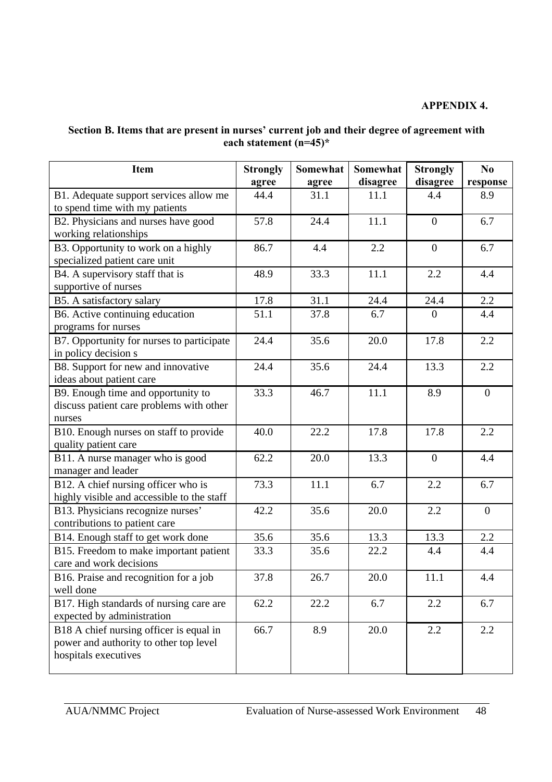#### **APPENDIX 4.**

## **Section B. Items that are present in nurses' current job and their degree of agreement with each statement (n=45)\***

| <b>Item</b>                                                                                               | <b>Strongly</b><br>agree | Somewhat<br>agree | <b>Somewhat</b><br>disagree | <b>Strongly</b><br>disagree | N <sub>0</sub><br>response |
|-----------------------------------------------------------------------------------------------------------|--------------------------|-------------------|-----------------------------|-----------------------------|----------------------------|
| B1. Adequate support services allow me<br>to spend time with my patients                                  | 44.4                     | 31.1              | 11.1                        | 4.4                         | 8.9                        |
| B2. Physicians and nurses have good<br>working relationships                                              | 57.8                     | 24.4              | 11.1                        | $\overline{0}$              | 6.7                        |
| B3. Opportunity to work on a highly<br>specialized patient care unit                                      | 86.7                     | 4.4               | 2.2                         | $\overline{0}$              | 6.7                        |
| B4. A supervisory staff that is<br>supportive of nurses                                                   | 48.9                     | 33.3              | 11.1                        | 2.2                         | 4.4                        |
| B5. A satisfactory salary                                                                                 | 17.8                     | 31.1              | 24.4                        | 24.4                        | 2.2                        |
| B6. Active continuing education<br>programs for nurses                                                    | 51.1                     | 37.8              | 6.7                         | $\theta$                    | 4.4                        |
| B7. Opportunity for nurses to participate<br>in policy decision s                                         | 24.4                     | 35.6              | 20.0                        | 17.8                        | 2.2                        |
| B8. Support for new and innovative<br>ideas about patient care                                            | 24.4                     | 35.6              | 24.4                        | 13.3                        | 2.2                        |
| B9. Enough time and opportunity to<br>discuss patient care problems with other<br>nurses                  | 33.3                     | 46.7              | 11.1                        | 8.9                         | $\boldsymbol{0}$           |
| B10. Enough nurses on staff to provide<br>quality patient care                                            | 40.0                     | 22.2              | 17.8                        | 17.8                        | 2.2                        |
| B11. A nurse manager who is good<br>manager and leader                                                    | 62.2                     | 20.0              | 13.3                        | $\overline{0}$              | 4.4                        |
| B12. A chief nursing officer who is<br>highly visible and accessible to the staff                         | 73.3                     | 11.1              | 6.7                         | 2.2                         | 6.7                        |
| B13. Physicians recognize nurses'<br>contributions to patient care                                        | 42.2                     | 35.6              | 20.0                        | 2.2                         | $\overline{0}$             |
| B14. Enough staff to get work done                                                                        | 35.6                     | 35.6              | 13.3                        | 13.3                        | 2.2                        |
| B15. Freedom to make important patient<br>care and work decisions                                         | 33.3                     | 35.6              | 22.2                        | 4.4                         | 4.4                        |
| B16. Praise and recognition for a job<br>well done                                                        | 37.8                     | 26.7              | 20.0                        | 11.1                        | 4.4                        |
| B17. High standards of nursing care are<br>expected by administration                                     | 62.2                     | 22.2              | 6.7                         | 2.2                         | 6.7                        |
| B18 A chief nursing officer is equal in<br>power and authority to other top level<br>hospitals executives | 66.7                     | 8.9               | 20.0                        | 2.2                         | 2.2                        |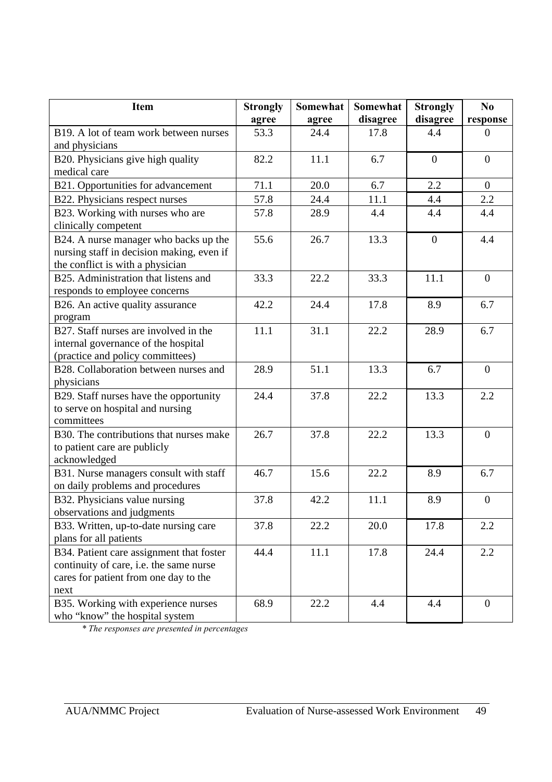| <b>Item</b>                                                                                                                          | <b>Strongly</b> | <b>Somewhat</b> | Somewhat | <b>Strongly</b> | N <sub>0</sub> |
|--------------------------------------------------------------------------------------------------------------------------------------|-----------------|-----------------|----------|-----------------|----------------|
|                                                                                                                                      | agree           | agree           | disagree | disagree        | response       |
| B <sub>19</sub> . A lot of team work between nurses<br>and physicians                                                                | 53.3            | 24.4            | 17.8     | 4.4             | $\overline{0}$ |
| B20. Physicians give high quality                                                                                                    | 82.2            | 11.1            | 6.7      | $\overline{0}$  | $\overline{0}$ |
| medical care                                                                                                                         |                 |                 |          |                 |                |
| B21. Opportunities for advancement                                                                                                   | 71.1            | 20.0            | 6.7      | 2.2             | $\overline{0}$ |
| B22. Physicians respect nurses                                                                                                       | 57.8            | 24.4            | 11.1     | 4.4             | 2.2            |
| B23. Working with nurses who are<br>clinically competent                                                                             | 57.8            | 28.9            | 4.4      | 4.4             | 4.4            |
| B24. A nurse manager who backs up the<br>nursing staff in decision making, even if<br>the conflict is with a physician               | 55.6            | 26.7            | 13.3     | $\overline{0}$  | 4.4            |
| B25. Administration that listens and<br>responds to employee concerns                                                                | 33.3            | 22.2            | 33.3     | 11.1            | $\mathbf{0}$   |
| B26. An active quality assurance<br>program                                                                                          | 42.2            | 24.4            | 17.8     | 8.9             | 6.7            |
| B27. Staff nurses are involved in the<br>internal governance of the hospital<br>(practice and policy committees)                     | 11.1            | 31.1            | 22.2     | 28.9            | 6.7            |
| B28. Collaboration between nurses and<br>physicians                                                                                  | 28.9            | 51.1            | 13.3     | 6.7             | $\overline{0}$ |
| B29. Staff nurses have the opportunity<br>to serve on hospital and nursing<br>committees                                             | 24.4            | 37.8            | 22.2     | 13.3            | 2.2            |
| B30. The contributions that nurses make<br>to patient care are publicly<br>acknowledged                                              | 26.7            | 37.8            | 22.2     | 13.3            | $\overline{0}$ |
| B31. Nurse managers consult with staff<br>on daily problems and procedures                                                           | 46.7            | 15.6            | 22.2     | 8.9             | 6.7            |
| B32. Physicians value nursing<br>observations and judgments                                                                          | 37.8            | 42.2            | 11.1     | 8.9             | $\theta$       |
| B33. Written, up-to-date nursing care<br>plans for all patients                                                                      | 37.8            | 22.2            | 20.0     | 17.8            | 2.2            |
| B34. Patient care assignment that foster<br>continuity of care, i.e. the same nurse<br>cares for patient from one day to the<br>next | 44.4            | 11.1            | 17.8     | 24.4            | 2.2            |
| B35. Working with experience nurses<br>who "know" the hospital system                                                                | 68.9            | 22.2            | 4.4      | 4.4             | $\mathbf{0}$   |

*\* The responses are presented in percentages*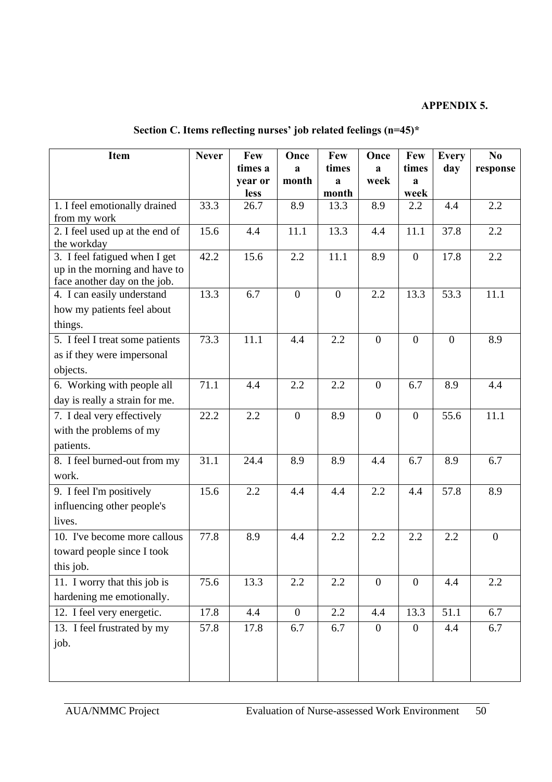## **APPENDIX 5.**

| Item                            | <b>Never</b> | Few                 | Once           | Few            | Once           | Few            | <b>Every</b>   | No             |
|---------------------------------|--------------|---------------------|----------------|----------------|----------------|----------------|----------------|----------------|
|                                 |              | times a             | a              | times          | a              | times          | day            | response       |
|                                 |              | year or             | month          | a              | week           | a              |                |                |
| 1. I feel emotionally drained   | 33.3         | <b>less</b><br>26.7 | 8.9            | month<br>13.3  | 8.9            | week<br>2.2    | 4.4            | 2.2            |
| from my work                    |              |                     |                |                |                |                |                |                |
| 2. I feel used up at the end of | 15.6         | 4.4                 | 11.1           | 13.3           | 4.4            | 11.1           | 37.8           | 2.2            |
| the workday                     |              |                     |                |                |                |                |                |                |
| 3. I feel fatigued when I get   | 42.2         | 15.6                | 2.2            | 11.1           | 8.9            | $\theta$       | 17.8           | 2.2            |
| up in the morning and have to   |              |                     |                |                |                |                |                |                |
| face another day on the job.    |              |                     |                |                |                |                |                |                |
| 4. I can easily understand      | 13.3         | 6.7                 | $\mathbf{0}$   | $\overline{0}$ | 2.2            | 13.3           | 53.3           | 11.1           |
| how my patients feel about      |              |                     |                |                |                |                |                |                |
| things.                         |              |                     |                |                |                |                |                |                |
| 5. I feel I treat some patients | 73.3         | 11.1                | 4.4            | 2.2            | $\overline{0}$ | $\overline{0}$ | $\overline{0}$ | 8.9            |
| as if they were impersonal      |              |                     |                |                |                |                |                |                |
| objects.                        |              |                     |                |                |                |                |                |                |
| 6. Working with people all      | 71.1         | 4.4                 | 2.2            | 2.2            | $\overline{0}$ | 6.7            | 8.9            | 4.4            |
| day is really a strain for me.  |              |                     |                |                |                |                |                |                |
| 7. I deal very effectively      | 22.2         | 2.2                 | $\overline{0}$ | 8.9            | $\overline{0}$ | $\overline{0}$ | 55.6           | 11.1           |
| with the problems of my         |              |                     |                |                |                |                |                |                |
| patients.                       |              |                     |                |                |                |                |                |                |
| 8. I feel burned-out from my    | 31.1         | 24.4                | 8.9            | 8.9            | 4.4            | 6.7            | 8.9            | 6.7            |
| work.                           |              |                     |                |                |                |                |                |                |
| 9. I feel I'm positively        | 15.6         | 2.2                 | 4.4            | 4.4            | 2.2            | 4.4            | 57.8           | 8.9            |
| influencing other people's      |              |                     |                |                |                |                |                |                |
| lives.                          |              |                     |                |                |                |                |                |                |
| 10. I've become more callous    | 77.8         | 8.9                 | 4.4            | 2.2            | 2.2            | 2.2            | 2.2            | $\overline{0}$ |
| toward people since I took      |              |                     |                |                |                |                |                |                |
| this job.                       |              |                     |                |                |                |                |                |                |
| 11. I worry that this job is    | 75.6         | 13.3                | 2.2            | 2.2            | $\overline{0}$ | $\overline{0}$ | 4.4            | 2.2            |
| hardening me emotionally.       |              |                     |                |                |                |                |                |                |
| 12. I feel very energetic.      | 17.8         | 4.4                 | $\overline{0}$ | 2.2            | 4.4            | 13.3           | 51.1           | 6.7            |
| 13. I feel frustrated by my     | 57.8         | 17.8                | 6.7            | 6.7            | $\overline{0}$ | $\theta$       | 4.4            | 6.7            |
| job.                            |              |                     |                |                |                |                |                |                |
|                                 |              |                     |                |                |                |                |                |                |
|                                 |              |                     |                |                |                |                |                |                |

|  | Section C. Items reflecting nurses' job related feelings (n=45)* |  |  |  |
|--|------------------------------------------------------------------|--|--|--|